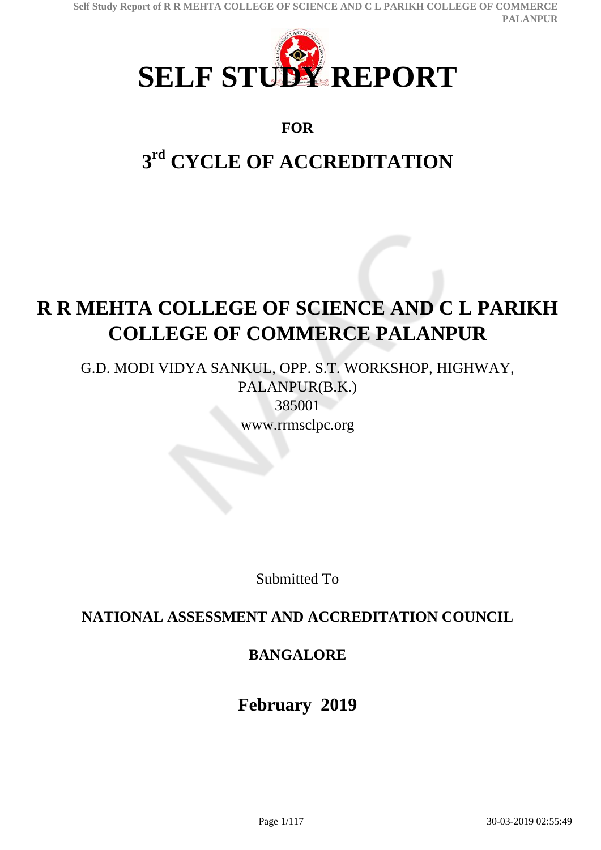

### **FOR**

# **3 rd CYCLE OF ACCREDITATION**

# **R R MEHTA COLLEGE OF SCIENCE AND C L PARIKH COLLEGE OF COMMERCE PALANPUR**

G.D. MODI VIDYA SANKUL, OPP. S.T. WORKSHOP, HIGHWAY, PALANPUR(B.K.) 385001 www.rrmsclpc.org

Submitted To

## **NATIONAL ASSESSMENT AND ACCREDITATION COUNCIL**

# **BANGALORE**

**February 2019**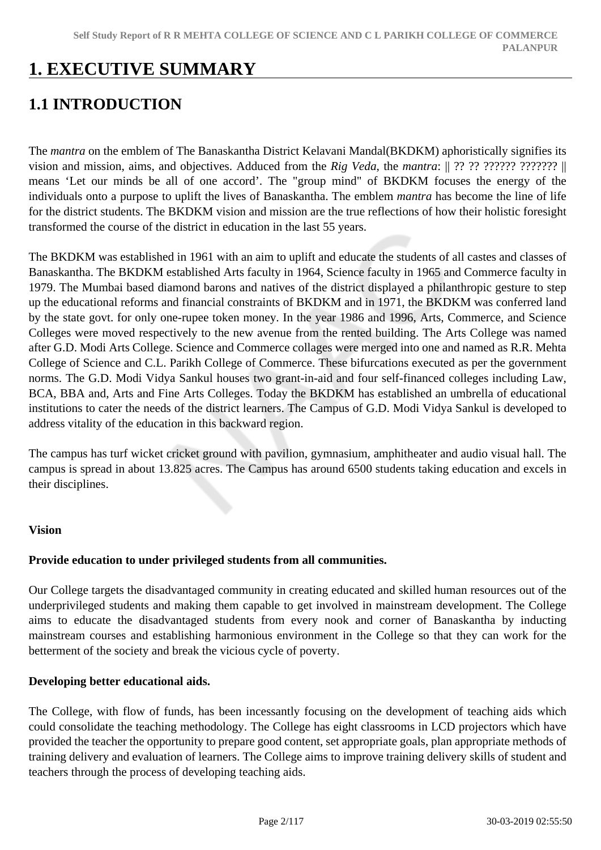# **1. EXECUTIVE SUMMARY**

# **1.1 INTRODUCTION**

The *mantra* on the emblem of The Banaskantha District Kelavani Mandal(BKDKM) aphoristically signifies its vision and mission, aims, and objectives. Adduced from the *Rig Veda*, the *mantra*: || ?? ?? ?????? ??????? || means 'Let our minds be all of one accord'. The "group mind" of BKDKM focuses the energy of the individuals onto a purpose to uplift the lives of Banaskantha. The emblem *mantra* has become the line of life for the district students. The BKDKM vision and mission are the true reflections of how their holistic foresight transformed the course of the district in education in the last 55 years.

The BKDKM was established in 1961 with an aim to uplift and educate the students of all castes and classes of Banaskantha. The BKDKM established Arts faculty in 1964, Science faculty in 1965 and Commerce faculty in 1979. The Mumbai based diamond barons and natives of the district displayed a philanthropic gesture to step up the educational reforms and financial constraints of BKDKM and in 1971, the BKDKM was conferred land by the state govt. for only one-rupee token money. In the year 1986 and 1996, Arts, Commerce, and Science Colleges were moved respectively to the new avenue from the rented building. The Arts College was named after G.D. Modi Arts College. Science and Commerce collages were merged into one and named as R.R. Mehta College of Science and C.L. Parikh College of Commerce. These bifurcations executed as per the government norms. The G.D. Modi Vidya Sankul houses two grant-in-aid and four self-financed colleges including Law, BCA, BBA and, Arts and Fine Arts Colleges. Today the BKDKM has established an umbrella of educational institutions to cater the needs of the district learners. The Campus of G.D. Modi Vidya Sankul is developed to address vitality of the education in this backward region.

The campus has turf wicket cricket ground with pavilion, gymnasium, amphitheater and audio visual hall. The campus is spread in about 13.825 acres. The Campus has around 6500 students taking education and excels in their disciplines.

#### **Vision**

#### **Provide education to under privileged students from all communities.**

Our College targets the disadvantaged community in creating educated and skilled human resources out of the underprivileged students and making them capable to get involved in mainstream development. The College aims to educate the disadvantaged students from every nook and corner of Banaskantha by inducting mainstream courses and establishing harmonious environment in the College so that they can work for the betterment of the society and break the vicious cycle of poverty.

#### **Developing better educational aids.**

The College, with flow of funds, has been incessantly focusing on the development of teaching aids which could consolidate the teaching methodology. The College has eight classrooms in LCD projectors which have provided the teacher the opportunity to prepare good content, set appropriate goals, plan appropriate methods of training delivery and evaluation of learners. The College aims to improve training delivery skills of student and teachers through the process of developing teaching aids.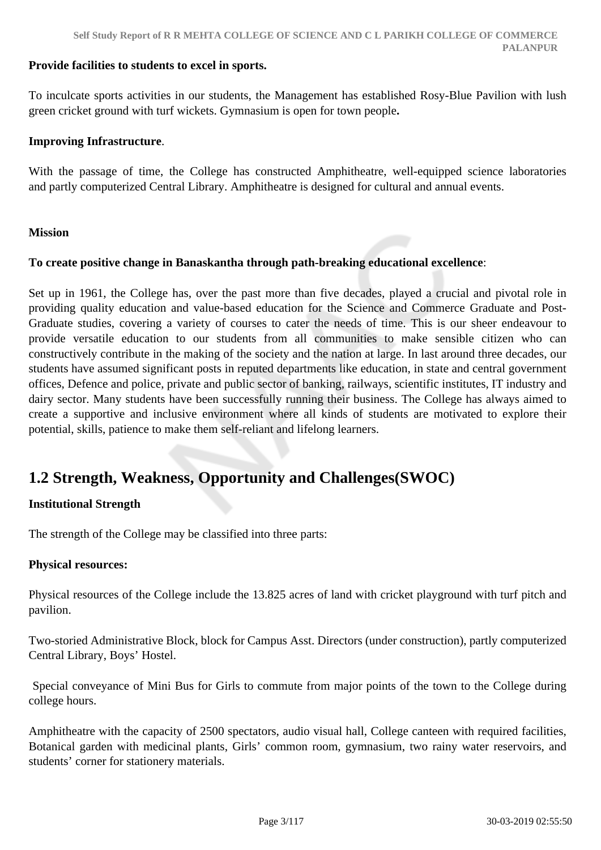#### **Provide facilities to students to excel in sports.**

To inculcate sports activities in our students, the Management has established Rosy-Blue Pavilion with lush green cricket ground with turf wickets. Gymnasium is open for town people**.**

#### **Improving Infrastructure**.

With the passage of time, the College has constructed Amphitheatre, well-equipped science laboratories and partly computerized Central Library. Amphitheatre is designed for cultural and annual events.

#### **Mission**

#### **To create positive change in Banaskantha through path-breaking educational excellence**:

Set up in 1961, the College has, over the past more than five decades, played a crucial and pivotal role in providing quality education and value-based education for the Science and Commerce Graduate and Post-Graduate studies, covering a variety of courses to cater the needs of time. This is our sheer endeavour to provide versatile education to our students from all communities to make sensible citizen who can constructively contribute in the making of the society and the nation at large. In last around three decades, our students have assumed significant posts in reputed departments like education, in state and central government offices, Defence and police, private and public sector of banking, railways, scientific institutes, IT industry and dairy sector. Many students have been successfully running their business. The College has always aimed to create a supportive and inclusive environment where all kinds of students are motivated to explore their potential, skills, patience to make them self-reliant and lifelong learners.

## **1.2 Strength, Weakness, Opportunity and Challenges(SWOC)**

#### **Institutional Strength**

The strength of the College may be classified into three parts:

#### **Physical resources:**

Physical resources of the College include the 13.825 acres of land with cricket playground with turf pitch and pavilion.

Two-storied Administrative Block, block for Campus Asst. Directors (under construction), partly computerized Central Library, Boys' Hostel.

 Special conveyance of Mini Bus for Girls to commute from major points of the town to the College during college hours.

Amphitheatre with the capacity of 2500 spectators, audio visual hall, College canteen with required facilities, Botanical garden with medicinal plants, Girls' common room, gymnasium, two rainy water reservoirs, and students' corner for stationery materials.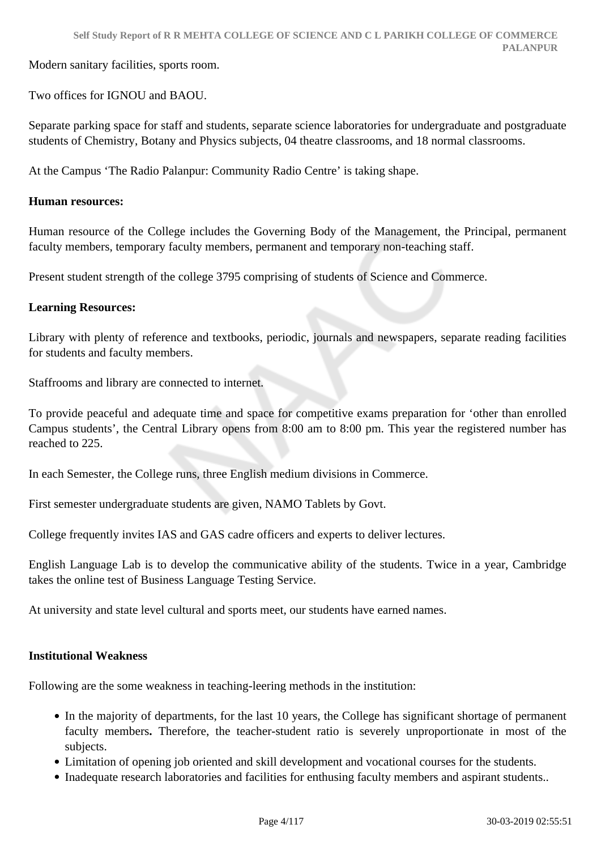Modern sanitary facilities, sports room.

Two offices for IGNOU and BAOU.

Separate parking space for staff and students, separate science laboratories for undergraduate and postgraduate students of Chemistry, Botany and Physics subjects, 04 theatre classrooms, and 18 normal classrooms.

At the Campus 'The Radio Palanpur: Community Radio Centre' is taking shape.

#### **Human resources:**

Human resource of the College includes the Governing Body of the Management, the Principal, permanent faculty members, temporary faculty members, permanent and temporary non-teaching staff.

Present student strength of the college 3795 comprising of students of Science and Commerce.

#### **Learning Resources:**

Library with plenty of reference and textbooks, periodic, journals and newspapers, separate reading facilities for students and faculty members.

Staffrooms and library are connected to internet.

To provide peaceful and adequate time and space for competitive exams preparation for 'other than enrolled Campus students', the Central Library opens from 8:00 am to 8:00 pm. This year the registered number has reached to 225.

In each Semester, the College runs, three English medium divisions in Commerce.

First semester undergraduate students are given, NAMO Tablets by Govt.

College frequently invites IAS and GAS cadre officers and experts to deliver lectures.

English Language Lab is to develop the communicative ability of the students. Twice in a year, Cambridge takes the online test of Business Language Testing Service.

At university and state level cultural and sports meet, our students have earned names.

#### **Institutional Weakness**

Following are the some weakness in teaching-leering methods in the institution:

- In the majority of departments, for the last 10 years, the College has significant shortage of permanent faculty members**.** Therefore, the teacher-student ratio is severely unproportionate in most of the subjects.
- Limitation of opening job oriented and skill development and vocational courses for the students.
- Inadequate research laboratories and facilities for enthusing faculty members and aspirant students..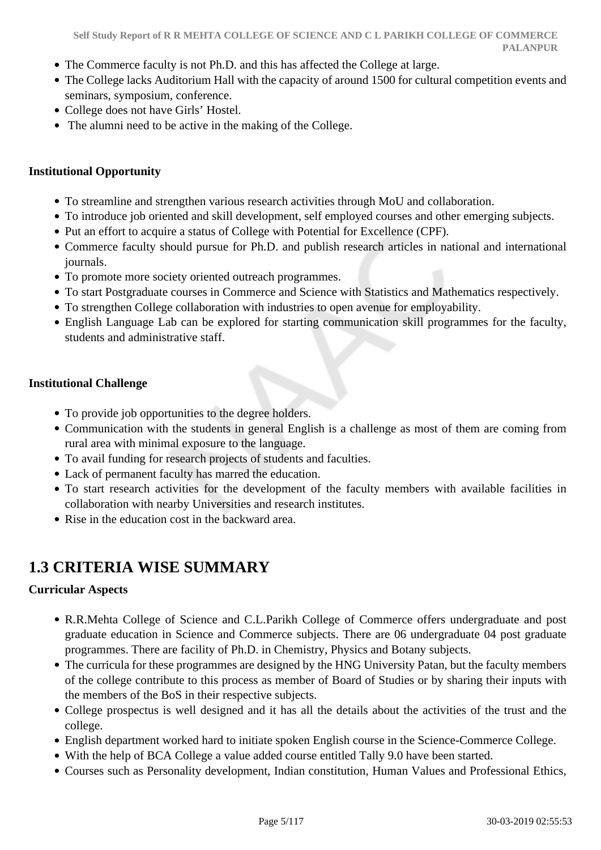- The Commerce faculty is not Ph.D. and this has affected the College at large.
- The College lacks Auditorium Hall with the capacity of around 1500 for cultural competition events and seminars, symposium, conference.
- College does not have Girls' Hostel.
- The alumni need to be active in the making of the College.

#### **Institutional Opportunity**

- To streamline and strengthen various research activities through MoU and collaboration.
- To introduce job oriented and skill development, self employed courses and other emerging subjects.
- Put an effort to acquire a status of College with Potential for Excellence (CPF).
- Commerce faculty should pursue for Ph.D. and publish research articles in national and international journals.
- To promote more society oriented outreach programmes.
- To start Postgraduate courses in Commerce and Science with Statistics and Mathematics respectively.
- To strengthen College collaboration with industries to open avenue for employability.
- English Language Lab can be explored for starting communication skill programmes for the faculty, students and administrative staff.

#### **Institutional Challenge**

- To provide job opportunities to the degree holders.
- Communication with the students in general English is a challenge as most of them are coming from rural area with minimal exposure to the language.
- To avail funding for research projects of students and faculties.
- Lack of permanent faculty has marred the education.
- To start research activities for the development of the faculty members with available facilities in collaboration with nearby Universities and research institutes.
- Rise in the education cost in the backward area.

## **1.3 CRITERIA WISE SUMMARY**

#### **Curricular Aspects**

- R.R.Mehta College of Science and C.L.Parikh College of Commerce offers undergraduate and post graduate education in Science and Commerce subjects. There are 06 undergraduate 04 post graduate programmes. There are facility of Ph.D. in Chemistry, Physics and Botany subjects.
- The curricula for these programmes are designed by the HNG University Patan, but the faculty members of the college contribute to this process as member of Board of Studies or by sharing their inputs with the members of the BoS in their respective subjects.
- College prospectus is well designed and it has all the details about the activities of the trust and the college.
- English department worked hard to initiate spoken English course in the Science-Commerce College.
- With the help of BCA College a value added course entitled Tally 9.0 have been started.
- Courses such as Personality development, Indian constitution, Human Values and Professional Ethics,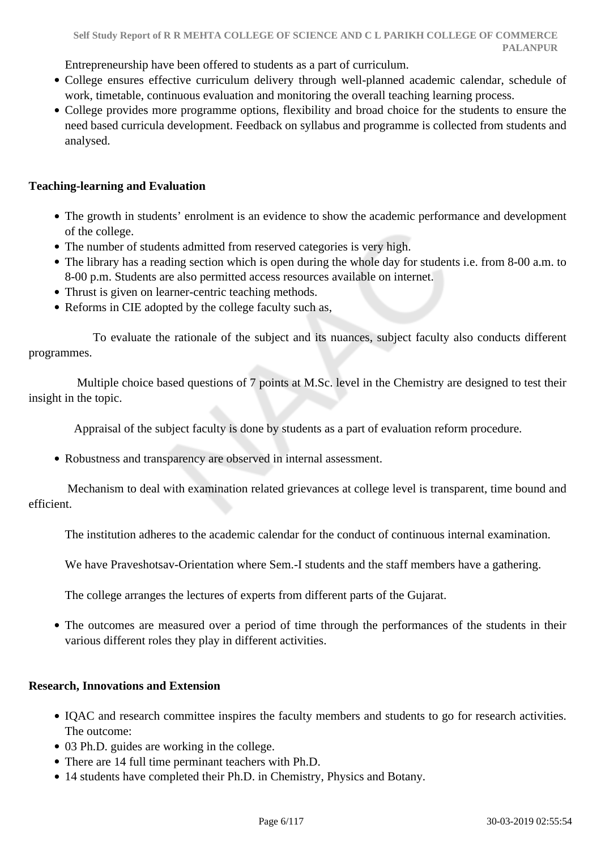Entrepreneurship have been offered to students as a part of curriculum.

- College ensures effective curriculum delivery through well-planned academic calendar, schedule of work, timetable, continuous evaluation and monitoring the overall teaching learning process.
- College provides more programme options, flexibility and broad choice for the students to ensure the need based curricula development. Feedback on syllabus and programme is collected from students and analysed.

#### **Teaching-learning and Evaluation**

- The growth in students' enrolment is an evidence to show the academic performance and development of the college.
- The number of students admitted from reserved categories is very high.
- The library has a reading section which is open during the whole day for students i.e. from 8-00 a.m. to 8-00 p.m. Students are also permitted access resources available on internet.
- Thrust is given on learner-centric teaching methods.
- Reforms in CIE adopted by the college faculty such as,

 To evaluate the rationale of the subject and its nuances, subject faculty also conducts different programmes.

 Multiple choice based questions of 7 points at M.Sc. level in the Chemistry are designed to test their insight in the topic.

Appraisal of the subject faculty is done by students as a part of evaluation reform procedure.

Robustness and transparency are observed in internal assessment.

 Mechanism to deal with examination related grievances at college level is transparent, time bound and efficient.

The institution adheres to the academic calendar for the conduct of continuous internal examination.

We have Praveshotsav-Orientation where Sem.-I students and the staff members have a gathering.

The college arranges the lectures of experts from different parts of the Gujarat.

• The outcomes are measured over a period of time through the performances of the students in their various different roles they play in different activities.

#### **Research, Innovations and Extension**

- IQAC and research committee inspires the faculty members and students to go for research activities. The outcome:
- 03 Ph.D. guides are working in the college.
- There are 14 full time perminant teachers with Ph.D.
- 14 students have completed their Ph.D. in Chemistry, Physics and Botany.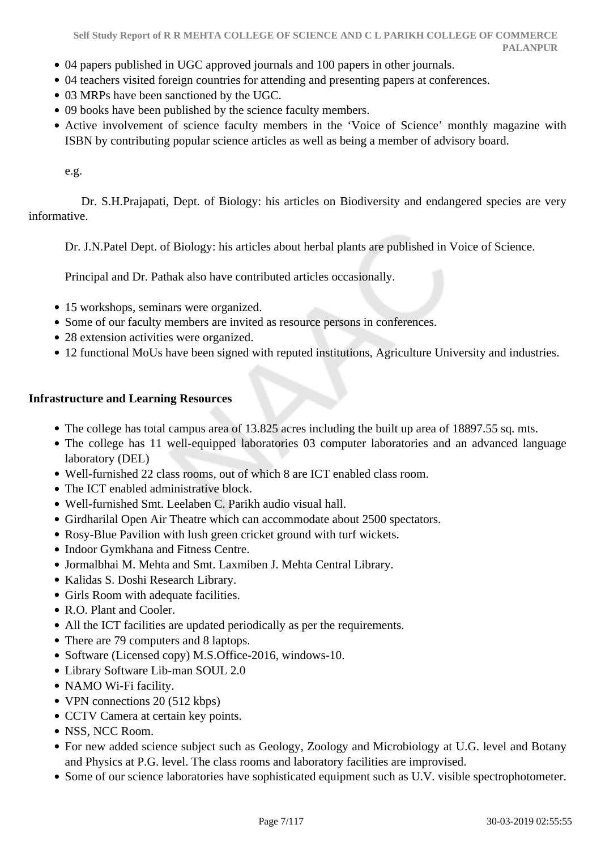- 04 papers published in UGC approved journals and 100 papers in other journals.
- 04 teachers visited foreign countries for attending and presenting papers at conferences.
- 03 MRPs have been sanctioned by the UGC.
- 09 books have been published by the science faculty members.
- Active involvement of science faculty members in the 'Voice of Science' monthly magazine with ISBN by contributing popular science articles as well as being a member of advisory board.

e.g.

 Dr. S.H.Prajapati, Dept. of Biology: his articles on Biodiversity and endangered species are very informative.

Dr. J.N.Patel Dept. of Biology: his articles about herbal plants are published in Voice of Science.

Principal and Dr. Pathak also have contributed articles occasionally.

- 15 workshops, seminars were organized.
- Some of our faculty members are invited as resource persons in conferences.
- 28 extension activities were organized.
- 12 functional MoUs have been signed with reputed institutions, Agriculture University and industries.

#### **Infrastructure and Learning Resources**

- The college has total campus area of 13.825 acres including the built up area of 18897.55 sq. mts.
- The college has 11 well-equipped laboratories 03 computer laboratories and an advanced language laboratory (DEL)
- Well-furnished 22 class rooms, out of which 8 are ICT enabled class room.
- The ICT enabled administrative block.
- Well-furnished Smt. Leelaben C. Parikh audio visual hall.
- Girdharilal Open Air Theatre which can accommodate about 2500 spectators.
- Rosy-Blue Pavilion with lush green cricket ground with turf wickets.
- Indoor Gymkhana and Fitness Centre.
- Jormalbhai M. Mehta and Smt. Laxmiben J. Mehta Central Library.
- Kalidas S. Doshi Research Library.
- Girls Room with adequate facilities.
- R.O. Plant and Cooler.
- All the ICT facilities are updated periodically as per the requirements.
- There are 79 computers and 8 laptops.
- Software (Licensed copy) M.S.Office-2016, windows-10.
- Library Software Lib-man SOUL 2.0
- NAMO Wi-Fi facility.
- VPN connections 20 (512 kbps)
- CCTV Camera at certain key points.
- NSS, NCC Room.
- For new added science subject such as Geology, Zoology and Microbiology at U.G. level and Botany and Physics at P.G. level. The class rooms and laboratory facilities are improvised.
- Some of our science laboratories have sophisticated equipment such as U.V. visible spectrophotometer.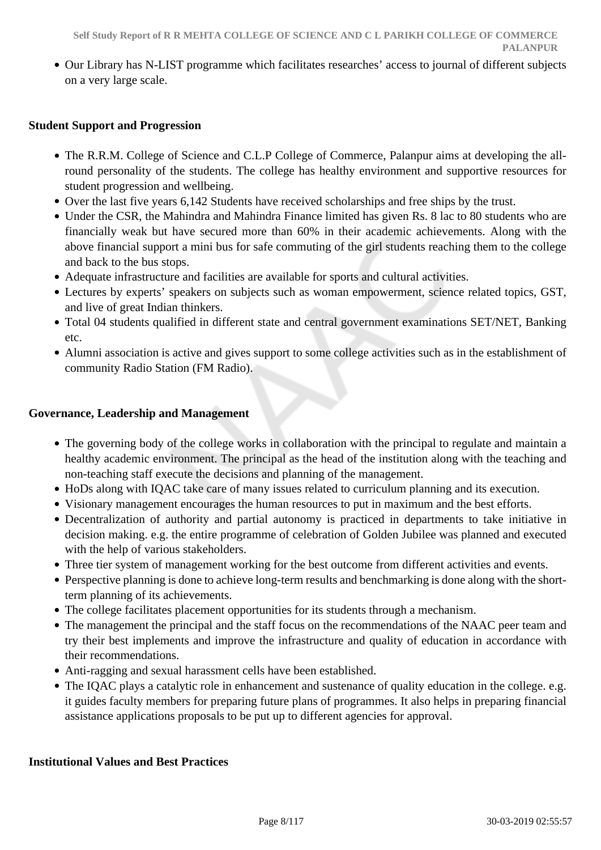Our Library has N-LIST programme which facilitates researches' access to journal of different subjects on a very large scale.

#### **Student Support and Progression**

- The R.R.M. College of Science and C.L.P College of Commerce, Palanpur aims at developing the allround personality of the students. The college has healthy environment and supportive resources for student progression and wellbeing.
- Over the last five years 6,142 Students have received scholarships and free ships by the trust.
- Under the CSR, the Mahindra and Mahindra Finance limited has given Rs. 8 lac to 80 students who are financially weak but have secured more than 60% in their academic achievements. Along with the above financial support a mini bus for safe commuting of the girl students reaching them to the college and back to the bus stops.
- Adequate infrastructure and facilities are available for sports and cultural activities.
- Lectures by experts' speakers on subjects such as woman empowerment, science related topics, GST, and live of great Indian thinkers.
- Total 04 students qualified in different state and central government examinations SET/NET, Banking etc.
- Alumni association is active and gives support to some college activities such as in the establishment of community Radio Station (FM Radio).

#### **Governance, Leadership and Management**

- The governing body of the college works in collaboration with the principal to regulate and maintain a healthy academic environment. The principal as the head of the institution along with the teaching and non-teaching staff execute the decisions and planning of the management.
- HoDs along with IQAC take care of many issues related to curriculum planning and its execution.
- Visionary management encourages the human resources to put in maximum and the best efforts.
- Decentralization of authority and partial autonomy is practiced in departments to take initiative in decision making. e.g. the entire programme of celebration of Golden Jubilee was planned and executed with the help of various stakeholders.
- Three tier system of management working for the best outcome from different activities and events.
- Perspective planning is done to achieve long-term results and benchmarking is done along with the shortterm planning of its achievements.
- The college facilitates placement opportunities for its students through a mechanism.
- The management the principal and the staff focus on the recommendations of the NAAC peer team and try their best implements and improve the infrastructure and quality of education in accordance with their recommendations.
- Anti-ragging and sexual harassment cells have been established.
- The IQAC plays a catalytic role in enhancement and sustenance of quality education in the college. e.g. it guides faculty members for preparing future plans of programmes. It also helps in preparing financial assistance applications proposals to be put up to different agencies for approval.

#### **Institutional Values and Best Practices**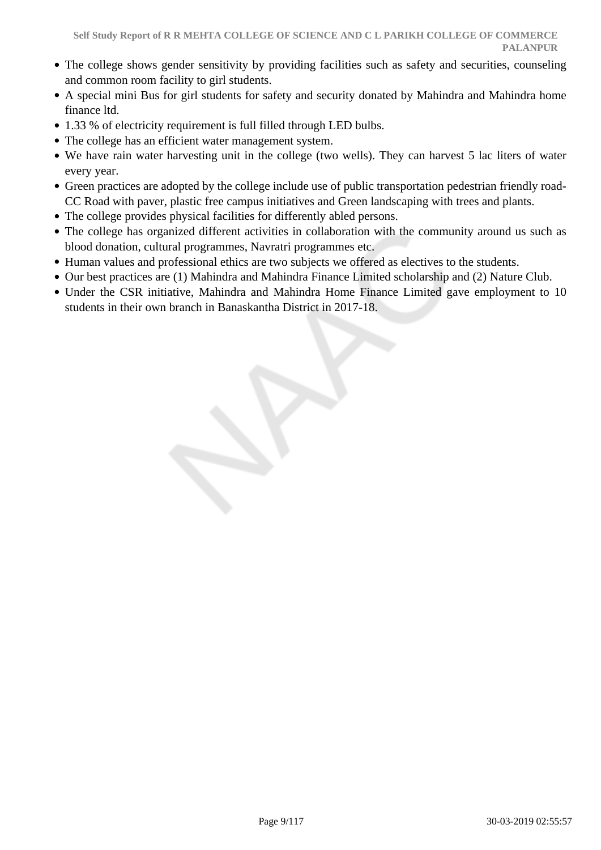- The college shows gender sensitivity by providing facilities such as safety and securities, counseling and common room facility to girl students.
- A special mini Bus for girl students for safety and security donated by Mahindra and Mahindra home finance ltd.
- 1.33 % of electricity requirement is full filled through LED bulbs.
- The college has an efficient water management system.
- We have rain water harvesting unit in the college (two wells). They can harvest 5 lac liters of water every year.
- Green practices are adopted by the college include use of public transportation pedestrian friendly road-CC Road with paver, plastic free campus initiatives and Green landscaping with trees and plants.
- The college provides physical facilities for differently abled persons.
- The college has organized different activities in collaboration with the community around us such as blood donation, cultural programmes, Navratri programmes etc.
- Human values and professional ethics are two subjects we offered as electives to the students.
- Our best practices are (1) Mahindra and Mahindra Finance Limited scholarship and (2) Nature Club.
- Under the CSR initiative, Mahindra and Mahindra Home Finance Limited gave employment to 10 students in their own branch in Banaskantha District in 2017-18.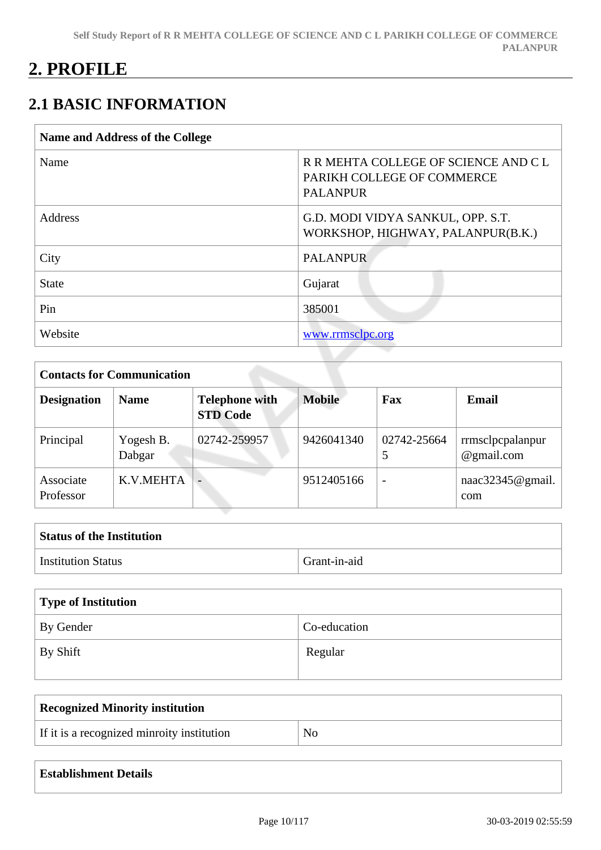# **2. PROFILE**

# **2.1 BASIC INFORMATION**

| <b>Name and Address of the College</b> |                                                                                       |  |  |  |
|----------------------------------------|---------------------------------------------------------------------------------------|--|--|--|
| Name                                   | R R MEHTA COLLEGE OF SCIENCE AND C L<br>PARIKH COLLEGE OF COMMERCE<br><b>PALANPUR</b> |  |  |  |
| Address                                | G.D. MODI VIDYA SANKUL, OPP. S.T.<br>WORKSHOP, HIGHWAY, PALANPUR(B.K.)                |  |  |  |
| City                                   | <b>PALANPUR</b>                                                                       |  |  |  |
| <b>State</b>                           | Gujarat                                                                               |  |  |  |
| Pin                                    | 385001                                                                                |  |  |  |
| Website                                | www.rrmsclpc.org                                                                      |  |  |  |

| <b>Contacts for Communication</b> |                     |                                          |               |                          |                                |
|-----------------------------------|---------------------|------------------------------------------|---------------|--------------------------|--------------------------------|
| <b>Designation</b>                | <b>Name</b>         | <b>Telephone with</b><br><b>STD Code</b> | <b>Mobile</b> | Fax                      | Email                          |
| Principal                         | Yogesh B.<br>Dabgar | 02742-259957                             | 9426041340    | 02742-25664<br>5         | rrmsclpcpalanpur<br>@gmail.com |
| Associate<br>Professor            | K.V.MEHTA           |                                          | 9512405166    | $\overline{\phantom{a}}$ | naac32345@gmail.<br>com        |

| <b>Status of the Institution</b> |              |
|----------------------------------|--------------|
| <b>Institution Status</b>        | Grant-in-aid |

| Type of Institution   |              |  |
|-----------------------|--------------|--|
| By Gender             | Co-education |  |
| $\mathsf{I}$ By Shift | Regular      |  |

| Recognized Minority institution            |                |
|--------------------------------------------|----------------|
| If it is a recognized minroity institution | N <sub>o</sub> |

| <b>Establishment Details</b> |  |  |  |  |  |  |
|------------------------------|--|--|--|--|--|--|
|------------------------------|--|--|--|--|--|--|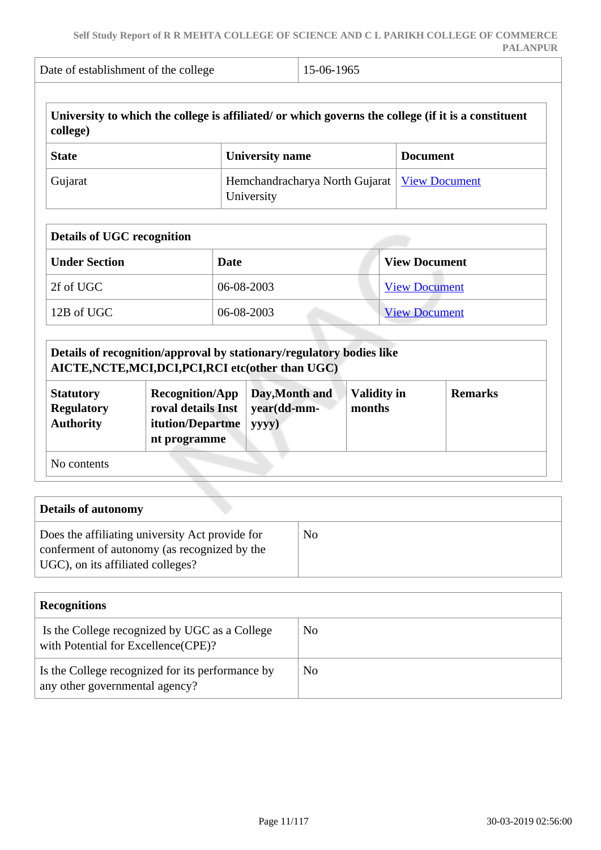| college)                          | University to which the college is affiliated/ or which governs the college (if it is a constituent |                                |                      |
|-----------------------------------|-----------------------------------------------------------------------------------------------------|--------------------------------|----------------------|
| <b>State</b>                      | <b>University name</b>                                                                              |                                | <b>Document</b>      |
| Gujarat                           | University                                                                                          | Hemchandracharya North Gujarat |                      |
| <b>Details of UGC recognition</b> |                                                                                                     |                                |                      |
| <b>Under Section</b>              | Date                                                                                                |                                | <b>View Document</b> |
| 2f of UGC                         | 06-08-2003                                                                                          |                                | <b>View Document</b> |
| 12B of UGC                        | 06-08-2003                                                                                          |                                | <b>View Document</b> |

|                                                           | Details of recognition/approval by stationary/regulatory bodies like<br>AICTE, NCTE, MCI, DCI, PCI, RCI etc(other than UGC) |                                        |                              |                |
|-----------------------------------------------------------|-----------------------------------------------------------------------------------------------------------------------------|----------------------------------------|------------------------------|----------------|
| <b>Statutory</b><br><b>Regulatory</b><br><b>Authority</b> | <b>Recognition/App</b><br>roval details Inst<br>itution/Departme<br>nt programme                                            | Day, Month and<br>year(dd-mm-<br>yyyy) | <b>Validity in</b><br>months | <b>Remarks</b> |
| No contents                                               |                                                                                                                             |                                        |                              |                |

| <b>Details of autonomy</b>                                                                                                           |    |
|--------------------------------------------------------------------------------------------------------------------------------------|----|
| Does the affiliating university Act provide for<br>conferment of autonomy (as recognized by the<br>UGC), on its affiliated colleges? | No |

| <b>Recognitions</b>                                                                   |     |
|---------------------------------------------------------------------------------------|-----|
| Is the College recognized by UGC as a College<br>with Potential for Excellence (CPE)? | No. |
| Is the College recognized for its performance by<br>any other governmental agency?    | No. |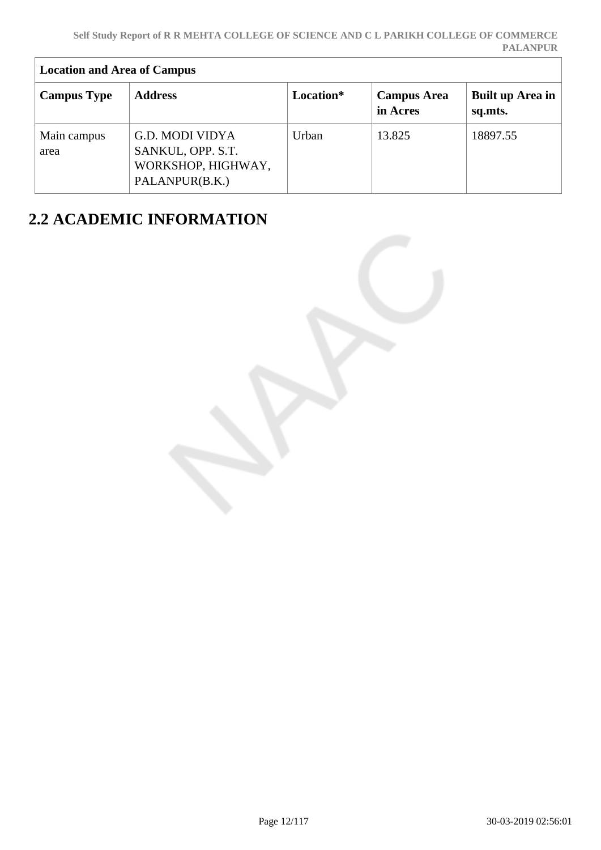| <b>Location and Area of Campus</b> |                                                                              |           |                                |                             |  |
|------------------------------------|------------------------------------------------------------------------------|-----------|--------------------------------|-----------------------------|--|
| <b>Campus Type</b>                 | <b>Address</b>                                                               | Location* | <b>Campus Area</b><br>in Acres | Built up Area in<br>sq.mts. |  |
| Main campus<br>area                | G.D. MODI VIDYA<br>SANKUL, OPP. S.T.<br>WORKSHOP, HIGHWAY,<br>PALANPUR(B.K.) | Urban     | 13.825                         | 18897.55                    |  |

# **2.2 ACADEMIC INFORMATION**

 $\overline{1}$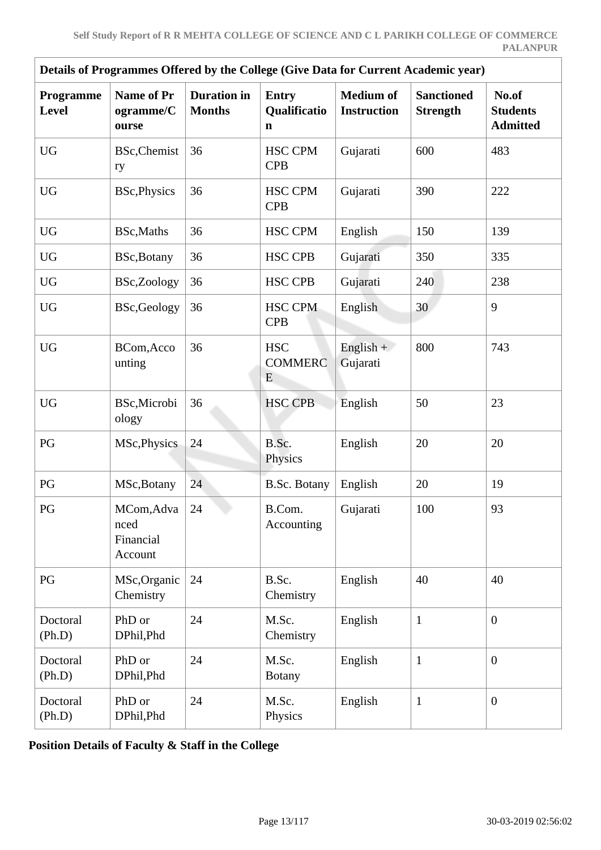| Details of Programmes Offered by the College (Give Data for Current Academic year) |                                            |                                     |                                   |                                        |                                      |                                             |
|------------------------------------------------------------------------------------|--------------------------------------------|-------------------------------------|-----------------------------------|----------------------------------------|--------------------------------------|---------------------------------------------|
| Programme<br>Level                                                                 | Name of Pr<br>ogramme/C<br>ourse           | <b>Duration</b> in<br><b>Months</b> | <b>Entry</b><br>Qualificatio<br>n | <b>Medium of</b><br><b>Instruction</b> | <b>Sanctioned</b><br><b>Strength</b> | No.of<br><b>Students</b><br><b>Admitted</b> |
| <b>UG</b>                                                                          | <b>BSc, Chemist</b><br>ry                  | 36                                  | <b>HSC CPM</b><br><b>CPB</b>      | Gujarati                               | 600                                  | 483                                         |
| <b>UG</b>                                                                          | <b>BSc, Physics</b>                        | 36                                  | <b>HSC CPM</b><br><b>CPB</b>      | Gujarati                               | 390                                  | 222                                         |
| ${\rm U}{\rm G}$                                                                   | BSc, Maths                                 | 36                                  | <b>HSC CPM</b>                    | English                                | 150                                  | 139                                         |
| <b>UG</b>                                                                          | BSc, Botany                                | 36                                  | <b>HSC CPB</b>                    | Gujarati                               | 350                                  | 335                                         |
| <b>UG</b>                                                                          | BSc,Zoology                                | 36                                  | <b>HSC CPB</b>                    | Gujarati                               | 240                                  | 238                                         |
| <b>UG</b>                                                                          | <b>BSc,Geology</b>                         | 36                                  | <b>HSC CPM</b><br><b>CPB</b>      | English                                | 30                                   | 9                                           |
| <b>UG</b>                                                                          | BCom, Acco<br>unting                       | 36                                  | <b>HSC</b><br><b>COMMERC</b><br>E | $English +$<br>Gujarati                | 800                                  | 743                                         |
| <b>UG</b>                                                                          | BSc, Microbi<br>ology                      | 36                                  | <b>HSC CPB</b>                    | English                                | 50                                   | 23                                          |
| $\mathbf{P}\mathbf{G}$                                                             | MSc, Physics                               | 24                                  | B.Sc.<br>Physics                  | English                                | 20                                   | 20                                          |
| PG                                                                                 | MSc, Botany                                | 24                                  | B.Sc. Botany                      | English                                | 20                                   | 19                                          |
| PG                                                                                 | MCom, Adva<br>nced<br>Financial<br>Account | 24                                  | B.Com.<br>Accounting              | Gujarati                               | 100                                  | 93                                          |
| PG                                                                                 | MSc, Organic<br>Chemistry                  | 24                                  | B.Sc.<br>Chemistry                | English                                | 40                                   | 40                                          |
| Doctoral<br>(Ph.D)                                                                 | PhD or<br>DPhil, Phd                       | 24                                  | M.Sc.<br>Chemistry                | English                                | $\mathbf{1}$                         | $\overline{0}$                              |
| Doctoral<br>(Ph.D)                                                                 | PhD or<br>DPhil, Phd                       | 24                                  | M.Sc.<br><b>Botany</b>            | English                                | $\mathbf{1}$                         | $\overline{0}$                              |
| Doctoral<br>(Ph.D)                                                                 | PhD or<br>DPhil, Phd                       | 24                                  | M.Sc.<br>Physics                  | English                                | $\mathbf{1}$                         | $\overline{0}$                              |

**Position Details of Faculty & Staff in the College**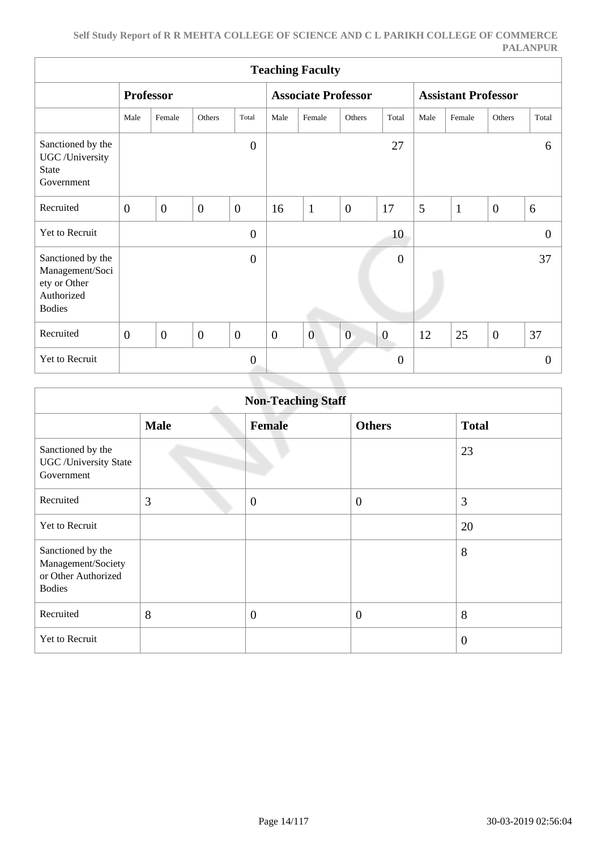|                                                                                     | <b>Teaching Faculty</b> |                  |                |                  |                            |                |                |                            |      |              |                  |              |
|-------------------------------------------------------------------------------------|-------------------------|------------------|----------------|------------------|----------------------------|----------------|----------------|----------------------------|------|--------------|------------------|--------------|
|                                                                                     | <b>Professor</b>        |                  |                |                  | <b>Associate Professor</b> |                |                | <b>Assistant Professor</b> |      |              |                  |              |
|                                                                                     | Male                    | Female           | Others         | Total            | Male                       | Female         | Others         | Total                      | Male | Female       | Others           | Total        |
| Sanctioned by the<br>UGC /University<br><b>State</b><br>Government                  |                         |                  |                | $\overline{0}$   |                            |                |                | 27                         |      |              |                  | 6            |
| Recruited                                                                           | $\overline{0}$          | $\boldsymbol{0}$ | $\overline{0}$ | $\overline{0}$   | 16                         | $\mathbf{1}$   | $\overline{0}$ | 17                         | 5    | $\mathbf{1}$ | $\overline{0}$   | 6            |
| Yet to Recruit                                                                      |                         |                  |                | $\boldsymbol{0}$ |                            |                |                | 10                         |      |              |                  | $\mathbf{0}$ |
| Sanctioned by the<br>Management/Soci<br>ety or Other<br>Authorized<br><b>Bodies</b> |                         |                  |                | $\boldsymbol{0}$ |                            |                |                | $\boldsymbol{0}$           |      |              |                  | 37           |
| Recruited                                                                           | $\overline{0}$          | $\mathbf{0}$     | $\mathbf{0}$   | $\mathbf{0}$     | $\boldsymbol{0}$           | $\overline{0}$ | $\overline{0}$ | $\theta$                   | 12   | 25           | $\boldsymbol{0}$ | 37           |
| Yet to Recruit                                                                      |                         |                  |                | $\theta$         |                            |                |                | . .<br>$\boldsymbol{0}$    |      |              |                  | $\theta$     |

|                                                                                 | <b>Non-Teaching Staff</b> |                |                  |                |  |  |  |  |  |
|---------------------------------------------------------------------------------|---------------------------|----------------|------------------|----------------|--|--|--|--|--|
|                                                                                 | <b>Male</b>               | <b>Female</b>  | <b>Others</b>    | <b>Total</b>   |  |  |  |  |  |
| Sanctioned by the<br><b>UGC</b> / University State<br>Government                |                           |                |                  | 23             |  |  |  |  |  |
| Recruited                                                                       | 3                         | $\overline{0}$ | $\boldsymbol{0}$ | 3              |  |  |  |  |  |
| Yet to Recruit                                                                  |                           |                |                  | 20             |  |  |  |  |  |
| Sanctioned by the<br>Management/Society<br>or Other Authorized<br><b>Bodies</b> |                           |                |                  | 8              |  |  |  |  |  |
| Recruited                                                                       | 8                         | $\mathbf{0}$   | $\overline{0}$   | 8              |  |  |  |  |  |
| Yet to Recruit                                                                  |                           |                |                  | $\overline{0}$ |  |  |  |  |  |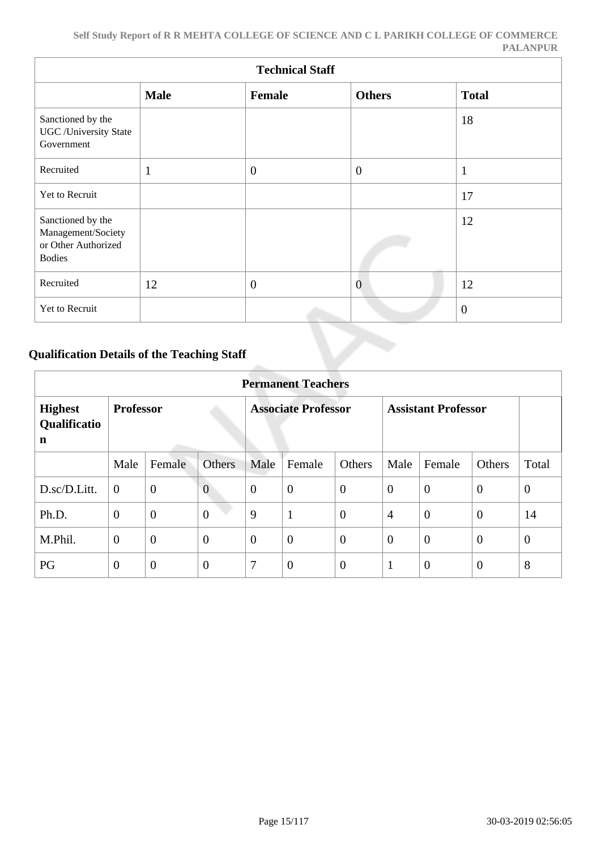|                                                                                 | <b>Technical Staff</b> |                |                |                |  |  |  |  |  |  |
|---------------------------------------------------------------------------------|------------------------|----------------|----------------|----------------|--|--|--|--|--|--|
|                                                                                 | <b>Male</b>            | Female         | <b>Others</b>  | <b>Total</b>   |  |  |  |  |  |  |
| Sanctioned by the<br><b>UGC</b> /University State<br>Government                 |                        |                |                | 18             |  |  |  |  |  |  |
| Recruited                                                                       | 1<br>$\mathbf{I}$      | $\overline{0}$ | $\overline{0}$ | $\mathbf{1}$   |  |  |  |  |  |  |
| Yet to Recruit                                                                  |                        |                |                | 17             |  |  |  |  |  |  |
| Sanctioned by the<br>Management/Society<br>or Other Authorized<br><b>Bodies</b> |                        |                |                | 12             |  |  |  |  |  |  |
| Recruited                                                                       | 12                     | $\overline{0}$ | $\overline{0}$ | 12             |  |  |  |  |  |  |
| Yet to Recruit                                                                  |                        |                |                | $\overline{0}$ |  |  |  |  |  |  |

### **Qualification Details of the Teaching Staff**

|                                     | <b>Permanent Teachers</b> |                |                |                            |                  |                |                            |                |                |              |
|-------------------------------------|---------------------------|----------------|----------------|----------------------------|------------------|----------------|----------------------------|----------------|----------------|--------------|
| <b>Highest</b><br>Qualificatio<br>n | <b>Professor</b>          |                |                | <b>Associate Professor</b> |                  |                | <b>Assistant Professor</b> |                |                |              |
|                                     | Male                      | Female         | <b>Others</b>  | Male                       | Female           | Others         | Male                       | Female         | <b>Others</b>  | Total        |
| D.sc/D.Litt.                        | $\overline{0}$            | $\overline{0}$ | $\overline{0}$ | $\overline{0}$             | $\overline{0}$   | $\overline{0}$ | $\overline{0}$             | $\overline{0}$ | $\overline{0}$ | $\mathbf{0}$ |
| Ph.D.                               | $\overline{0}$            | $\overline{0}$ | $\overline{0}$ | 9                          | $\mathbf{1}$     | $\overline{0}$ | $\overline{4}$             | $\overline{0}$ | $\overline{0}$ | 14           |
| M.Phil.                             | $\overline{0}$            | $\overline{0}$ | $\overline{0}$ | $\overline{0}$             | $\overline{0}$   | $\overline{0}$ | $\theta$                   | $\overline{0}$ | $\overline{0}$ | $\theta$     |
| PG                                  | $\overline{0}$            | $\overline{0}$ | $\theta$       | 7                          | $\boldsymbol{0}$ | $\overline{0}$ | 1                          | $\theta$       | $\overline{0}$ | 8            |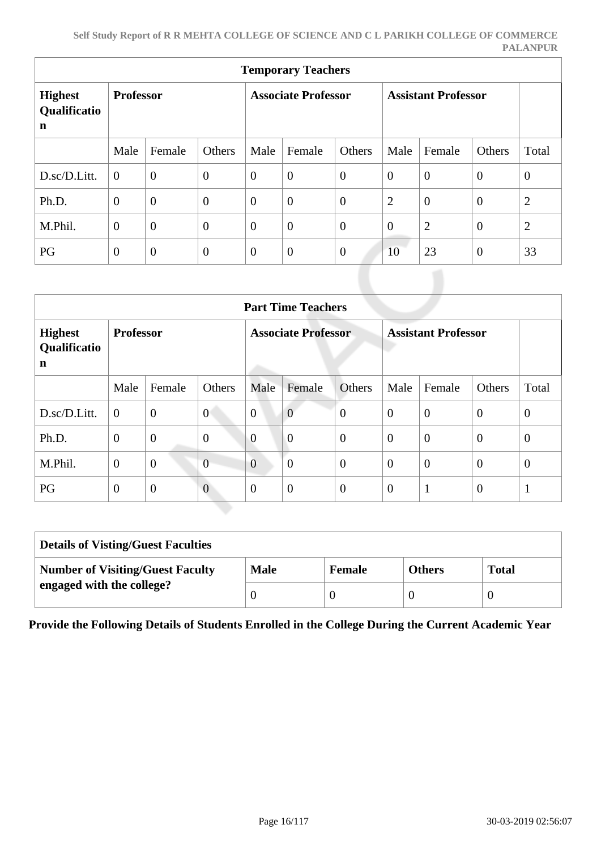| <b>Temporary Teachers</b>                     |                  |                |                  |                            |                  |                |                            |                |                |                |
|-----------------------------------------------|------------------|----------------|------------------|----------------------------|------------------|----------------|----------------------------|----------------|----------------|----------------|
| <b>Highest</b><br>Qualificatio<br>$\mathbf n$ | <b>Professor</b> |                |                  | <b>Associate Professor</b> |                  |                | <b>Assistant Professor</b> |                |                |                |
|                                               | Male             | Female         | Others           | Male                       | Female           | Others         | Male                       | Female         | Others         | Total          |
| D.sc/D.Litt.                                  | $\overline{0}$   | $\overline{0}$ | $\boldsymbol{0}$ | $\overline{0}$             | $\boldsymbol{0}$ | $\overline{0}$ | $\overline{0}$             | $\overline{0}$ | $\overline{0}$ | $\overline{0}$ |
| Ph.D.                                         | $\overline{0}$   | $\theta$       | $\boldsymbol{0}$ | $\overline{0}$             | $\boldsymbol{0}$ | $\overline{0}$ | $\overline{2}$             | $\overline{0}$ | $\overline{0}$ | $\overline{2}$ |
| M.Phil.                                       | $\overline{0}$   | $\overline{0}$ | $\overline{0}$   | $\overline{0}$             | $\boldsymbol{0}$ | $\overline{0}$ | $\overline{0}$             | $\overline{2}$ | $\overline{0}$ | $\overline{2}$ |
| PG                                            | $\theta$         | $\overline{0}$ | $\theta$         | $\overline{0}$             | $\boldsymbol{0}$ | $\overline{0}$ | 10                         | 23             | $\overline{0}$ | 33             |

|                                     | <b>Part Time Teachers</b> |                |                            |                |                |                            |                |                |                |                |
|-------------------------------------|---------------------------|----------------|----------------------------|----------------|----------------|----------------------------|----------------|----------------|----------------|----------------|
| <b>Highest</b><br>Qualificatio<br>n | <b>Professor</b>          |                | <b>Associate Professor</b> |                |                | <b>Assistant Professor</b> |                |                |                |                |
|                                     | Male                      | Female         | Others                     | Male           | Female         | Others                     | Male           | Female         | Others         | Total          |
| D.sc/D.Litt.                        | $\overline{0}$            | $\overline{0}$ | $\overline{0}$             | $\overline{0}$ | $\overline{0}$ | $\overline{0}$             | $\theta$       | $\overline{0}$ | $\overline{0}$ | $\overline{0}$ |
| Ph.D.                               | $\overline{0}$            | $\overline{0}$ | $\overline{0}$             | $\overline{0}$ | $\overline{0}$ | $\overline{0}$             | $\theta$       | $\overline{0}$ | $\theta$       | $\theta$       |
| M.Phil.                             | $\theta$                  | $\overline{0}$ | $\overline{0}$             | $\overline{0}$ | $\overline{0}$ | $\overline{0}$             | $\overline{0}$ | $\overline{0}$ | $\overline{0}$ | $\theta$       |
| PG                                  | $\overline{0}$            | $\overline{0}$ | $\overline{0}$             | $\Omega$       | $\overline{0}$ | $\overline{0}$             | $\overline{0}$ | 1              | $\overline{0}$ |                |

| <b>Details of Visting/Guest Faculties</b> |             |               |               |              |
|-------------------------------------------|-------------|---------------|---------------|--------------|
| <b>Number of Visiting/Guest Faculty</b>   | <b>Male</b> | <b>Female</b> | <b>Others</b> | <b>Total</b> |
| engaged with the college?                 |             |               |               |              |

**Provide the Following Details of Students Enrolled in the College During the Current Academic Year**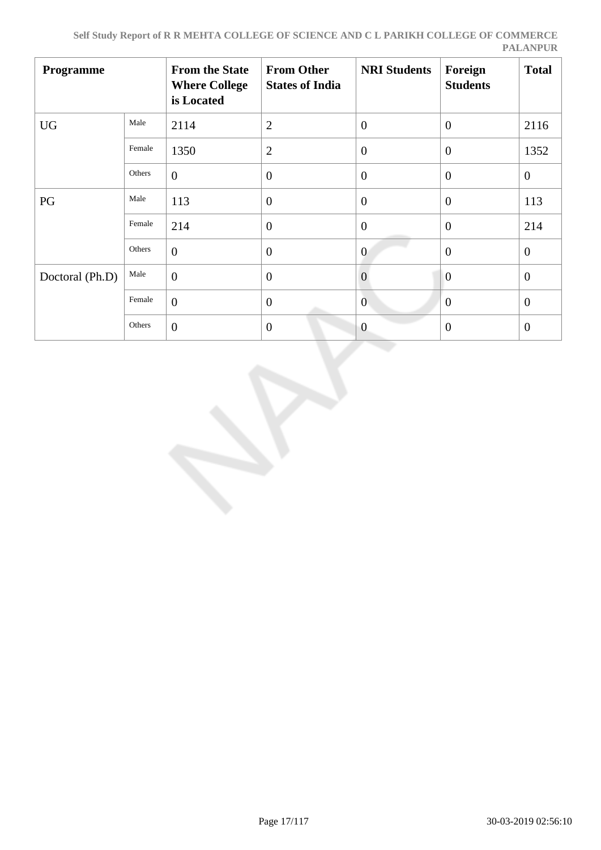| Programme       |        | <b>From the State</b><br><b>Where College</b><br>is Located | <b>From Other</b><br><b>States of India</b> | <b>NRI Students</b> | Foreign<br><b>Students</b> | <b>Total</b>   |
|-----------------|--------|-------------------------------------------------------------|---------------------------------------------|---------------------|----------------------------|----------------|
| <b>UG</b>       | Male   | 2114                                                        | $\overline{2}$                              | $\overline{0}$      | $\overline{0}$             | 2116           |
|                 | Female | 1350                                                        | $\mathfrak{2}$                              | $\overline{0}$      | $\theta$                   | 1352           |
|                 | Others | $\overline{0}$                                              | $\theta$                                    | $\overline{0}$      | $\theta$                   | $\theta$       |
| PG              | Male   | 113                                                         | $\overline{0}$                              | $\overline{0}$      | $\theta$                   | 113            |
|                 | Female | 214                                                         | $\theta$                                    | $\overline{0}$      | $\overline{0}$             | 214            |
|                 | Others | $\overline{0}$                                              | $\theta$                                    | $\overline{0}$      | $\overline{0}$             | $\theta$       |
| Doctoral (Ph.D) | Male   | $\overline{0}$                                              | $\overline{0}$                              | $\overline{0}$      | $\overline{0}$             | $\overline{0}$ |
|                 | Female | $\overline{0}$                                              | $\overline{0}$                              | $\mathbf{0}$        | $\mathbf{0}$               | $\mathbf{0}$   |
|                 | Others | $\overline{0}$                                              | $\overline{0}$                              | $\overline{0}$      | $\overline{0}$             | $\overline{0}$ |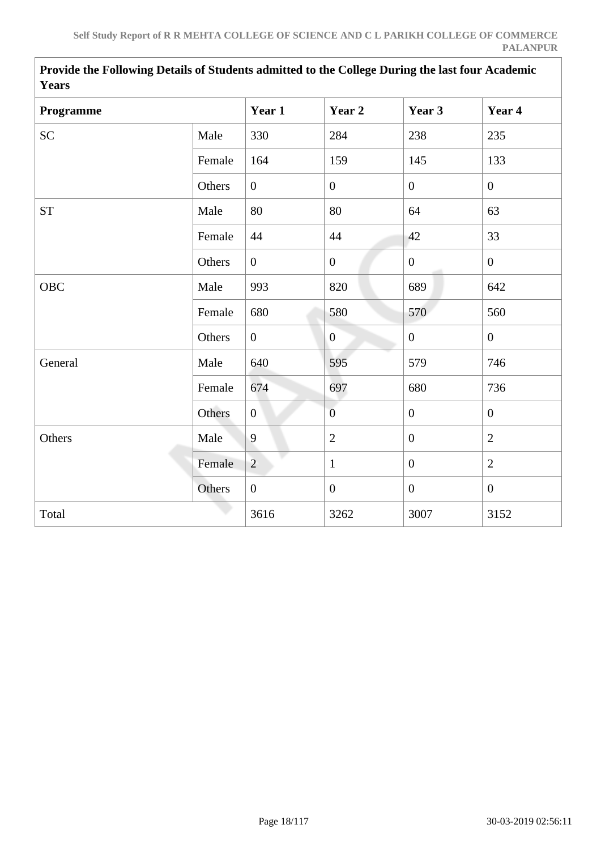| <b>Y</b> ears |        |                  |                  |                  |                  |
|---------------|--------|------------------|------------------|------------------|------------------|
| Programme     |        | Year 1           | Year 2           | Year 3           | Year 4           |
| <b>SC</b>     | Male   | 330              | 284              | 238              | 235              |
|               | Female | 164              | 159              | 145              | 133              |
|               | Others | $\overline{0}$   | $\overline{0}$   | $\overline{0}$   | $\overline{0}$   |
| <b>ST</b>     | Male   | 80               | 80               | 64               | 63               |
|               | Female | 44               | 44               | 42               | 33               |
|               | Others | $\overline{0}$   | $\mathbf{0}$     | $\mathbf{0}$     | $\overline{0}$   |
| OBC           | Male   | 993              | 820              | 689              | 642              |
|               | Female | 680              | 580              | 570              | 560              |
|               | Others | $\overline{0}$   | $\overline{0}$   | $\boldsymbol{0}$ | $\overline{0}$   |
| General       | Male   | 640              | 595              | 579              | 746              |
|               | Female | 674              | 697              | 680              | 736              |
|               | Others | $\overline{0}$   | $\overline{0}$   | $\overline{0}$   | $\overline{0}$   |
| Others        | Male   | 9                | $\overline{2}$   | $\overline{0}$   | $\overline{2}$   |
|               | Female | $\overline{2}$   | $\mathbf{1}$     | $\overline{0}$   | $\overline{2}$   |
|               | Others | $\boldsymbol{0}$ | $\boldsymbol{0}$ | $\boldsymbol{0}$ | $\boldsymbol{0}$ |
| Total         |        | 3616             | 3262             | 3007             | 3152             |

**Provide the Following Details of Students admitted to the College During the last four Academic Years**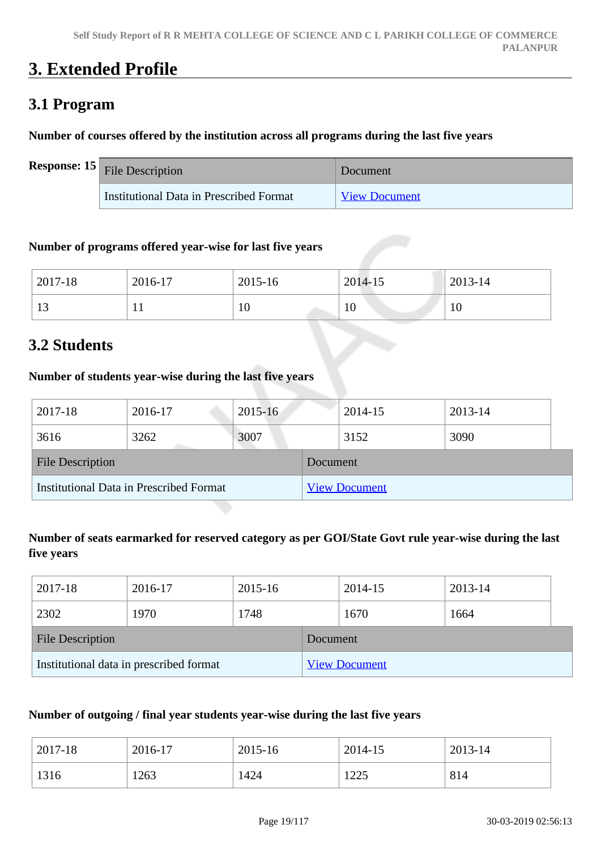# **3. Extended Profile**

# **3.1 Program**

#### **Number of courses offered by the institution across all programs during the last five years**

| <b>Response:</b> $15$ File Description  | Document             |
|-----------------------------------------|----------------------|
| Institutional Data in Prescribed Format | <b>View Document</b> |

#### **Number of programs offered year-wise for last five years**

| 2017-18 | 2016-17              | 2015-16 | 2014-15 | 2013-14 |
|---------|----------------------|---------|---------|---------|
| ר ו     | $\ddot{\phantom{1}}$ | 10      | 10      | 1 V     |

### **3.2 Students**

#### **Number of students year-wise during the last five years**

| 2017-18                                 | 2016-17 | $2015 - 16$ |                      | 2014-15 | 2013-14 |  |  |
|-----------------------------------------|---------|-------------|----------------------|---------|---------|--|--|
| 3616                                    | 3262    | 3007        |                      | 3152    | 3090    |  |  |
| <b>File Description</b>                 |         |             | Document             |         |         |  |  |
| Institutional Data in Prescribed Format |         |             | <b>View Document</b> |         |         |  |  |

### **Number of seats earmarked for reserved category as per GOI/State Govt rule year-wise during the last five years**

| 2017-18                                 | 2016-17 | 2015-16  |                      | 2014-15 | 2013-14 |
|-----------------------------------------|---------|----------|----------------------|---------|---------|
| 2302                                    | 1970    | 1748     |                      | 1670    | 1664    |
| <b>File Description</b>                 |         | Document |                      |         |         |
| Institutional data in prescribed format |         |          | <b>View Document</b> |         |         |

#### **Number of outgoing / final year students year-wise during the last five years**

| 2017-18 | 2016-17 | 2015-16 | 2014-15 | 2013-14 |
|---------|---------|---------|---------|---------|
| 1316    | 1263    | 1424    | 1225    | 814     |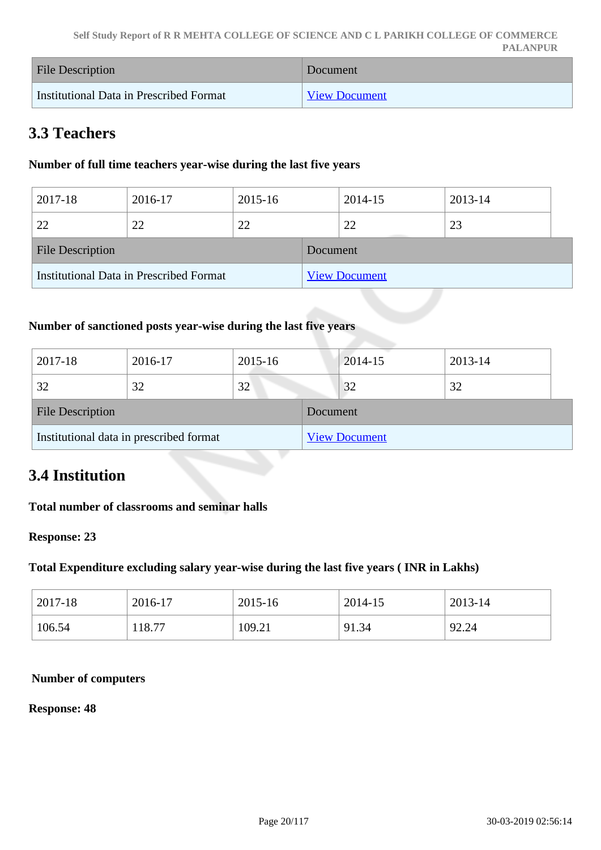| <b>File Description</b>                 | Document             |
|-----------------------------------------|----------------------|
| Institutional Data in Prescribed Format | <b>View Document</b> |

## **3.3 Teachers**

#### **Number of full time teachers year-wise during the last five years**

| 2017-18                                 | 2016-17 | 2015-16 |                      | 2014-15 | 2013-14 |  |
|-----------------------------------------|---------|---------|----------------------|---------|---------|--|
| 22                                      | 22      | 22      |                      | 22      | 23      |  |
| <b>File Description</b>                 |         |         | Document             |         |         |  |
| Institutional Data in Prescribed Format |         |         | <b>View Document</b> |         |         |  |

### **Number of sanctioned posts year-wise during the last five years**

| 2017-18                                 | 2016-17 | 2015-16  |                      | $2014 - 15$ | 2013-14 |
|-----------------------------------------|---------|----------|----------------------|-------------|---------|
| 32                                      | 32      | 32       |                      | 32          | 32      |
| <b>File Description</b>                 |         | Document |                      |             |         |
| Institutional data in prescribed format |         |          | <b>View Document</b> |             |         |

### **3.4 Institution**

#### **Total number of classrooms and seminar halls**

#### **Response: 23**

#### **Total Expenditure excluding salary year-wise during the last five years ( INR in Lakhs)**

| 2017-18 | 2016-17 | 2015-16 | 2014-15 | 2013-14 |
|---------|---------|---------|---------|---------|
| 106.54  | 118.77  | 109.21  | 91.34   | 92.24   |

#### **Number of computers**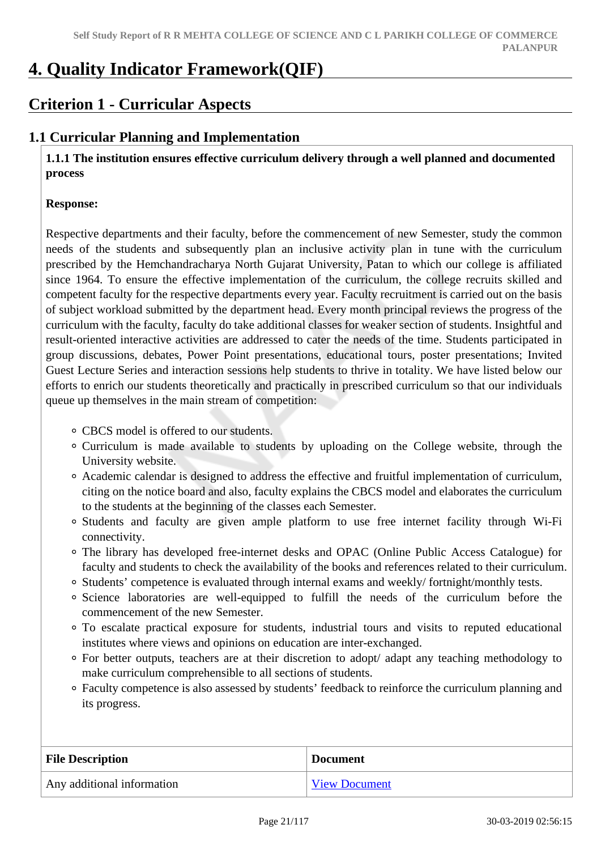# **4. Quality Indicator Framework(QIF)**

# **Criterion 1 - Curricular Aspects**

### **1.1 Curricular Planning and Implementation**

 **1.1.1 The institution ensures effective curriculum delivery through a well planned and documented process** 

#### **Response:**

Respective departments and their faculty, before the commencement of new Semester, study the common needs of the students and subsequently plan an inclusive activity plan in tune with the curriculum prescribed by the Hemchandracharya North Gujarat University, Patan to which our college is affiliated since 1964. To ensure the effective implementation of the curriculum, the college recruits skilled and competent faculty for the respective departments every year. Faculty recruitment is carried out on the basis of subject workload submitted by the department head. Every month principal reviews the progress of the curriculum with the faculty, faculty do take additional classes for weaker section of students. Insightful and result-oriented interactive activities are addressed to cater the needs of the time. Students participated in group discussions, debates, Power Point presentations, educational tours, poster presentations; Invited Guest Lecture Series and interaction sessions help students to thrive in totality. We have listed below our efforts to enrich our students theoretically and practically in prescribed curriculum so that our individuals queue up themselves in the main stream of competition:

- CBCS model is offered to our students.
- Curriculum is made available to students by uploading on the College website, through the University website.
- Academic calendar is designed to address the effective and fruitful implementation of curriculum, citing on the notice board and also, faculty explains the CBCS model and elaborates the curriculum to the students at the beginning of the classes each Semester.
- Students and faculty are given ample platform to use free internet facility through Wi-Fi connectivity.
- The library has developed free-internet desks and OPAC (Online Public Access Catalogue) for faculty and students to check the availability of the books and references related to their curriculum.
- Students' competence is evaluated through internal exams and weekly/ fortnight/monthly tests.
- Science laboratories are well-equipped to fulfill the needs of the curriculum before the commencement of the new Semester.
- To escalate practical exposure for students, industrial tours and visits to reputed educational institutes where views and opinions on education are inter-exchanged.
- For better outputs, teachers are at their discretion to adopt/ adapt any teaching methodology to make curriculum comprehensible to all sections of students.
- Faculty competence is also assessed by students' feedback to reinforce the curriculum planning and its progress.

| <b>File Description</b>    | <b>Document</b>      |
|----------------------------|----------------------|
| Any additional information | <b>View Document</b> |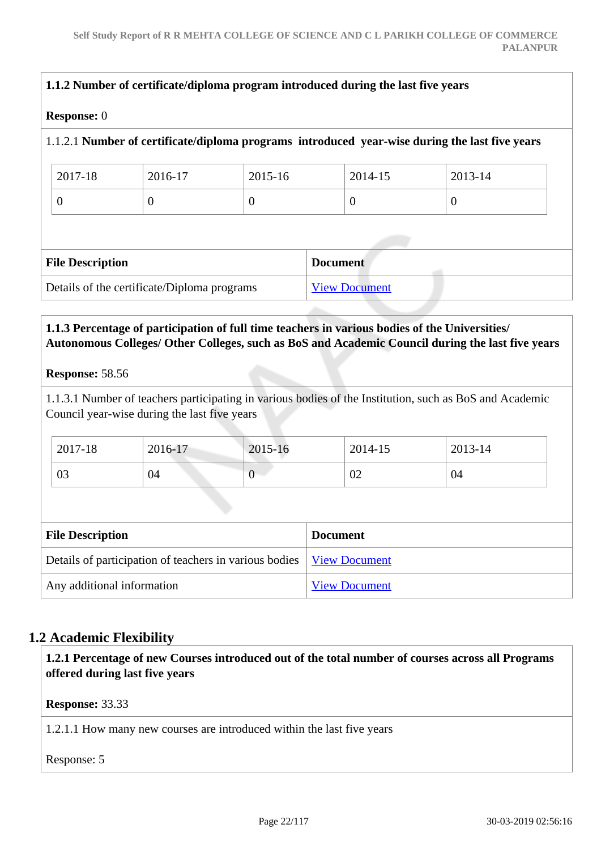| <b>Response:</b> 0      |                                             |             |                      |                                                                                                |
|-------------------------|---------------------------------------------|-------------|----------------------|------------------------------------------------------------------------------------------------|
|                         |                                             |             |                      | 1.1.2.1 Number of certificate/diploma programs introduced year-wise during the last five years |
| 2017-18                 | 2016-17                                     | $2015 - 16$ | 2014-15              | 2013-14                                                                                        |
| $\Omega$                | $\Omega$                                    | $\Omega$    | $\theta$             | $\theta$                                                                                       |
|                         |                                             |             |                      |                                                                                                |
|                         |                                             |             |                      |                                                                                                |
| <b>File Description</b> |                                             |             | <b>Document</b>      |                                                                                                |
|                         | Details of the certificate/Diploma programs |             | <b>View Document</b> |                                                                                                |
|                         |                                             |             |                      |                                                                                                |

#### **1.1.3 Percentage of participation of full time teachers in various bodies of the Universities/ Autonomous Colleges/ Other Colleges, such as BoS and Academic Council during the last five years**

#### **Response:** 58.56

1.1.3.1 Number of teachers participating in various bodies of the Institution, such as BoS and Academic Council year-wise during the last five years

| 2017-18        | 2016-17 | 2015-16 | 2014-15 | 2013-14 |
|----------------|---------|---------|---------|---------|
| $\Omega$<br>U3 | 04      |         | 02      | 04      |

| <b>File Description</b>                                                | <b>Document</b>      |
|------------------------------------------------------------------------|----------------------|
| Details of participation of teachers in various bodies   View Document |                      |
| Any additional information                                             | <b>View Document</b> |

### **1.2 Academic Flexibility**

 **1.2.1 Percentage of new Courses introduced out of the total number of courses across all Programs offered during last five years**

**Response:** 33.33

1.2.1.1 How many new courses are introduced within the last five years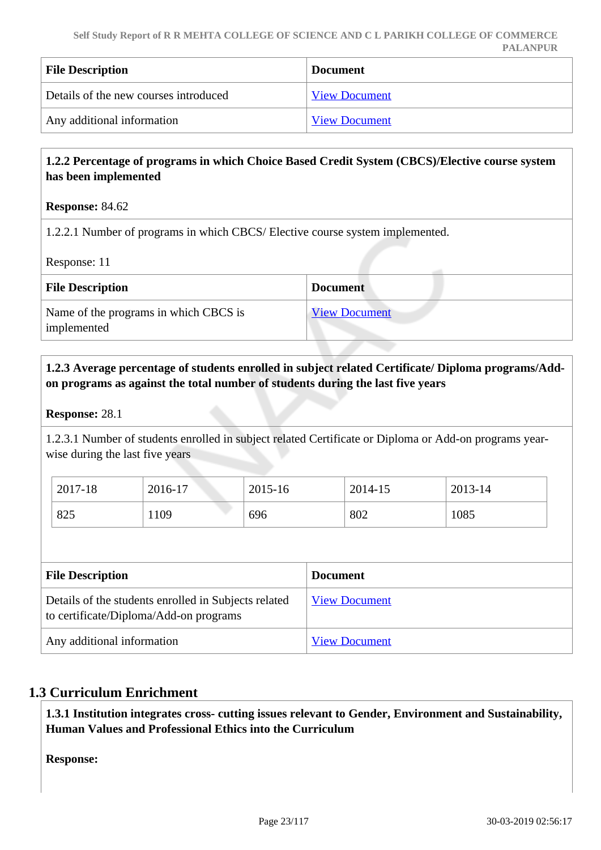| <b>File Description</b>               | <b>Document</b>      |
|---------------------------------------|----------------------|
| Details of the new courses introduced | <b>View Document</b> |
| Any additional information            | <b>View Document</b> |

#### **1.2.2 Percentage of programs in which Choice Based Credit System (CBCS)/Elective course system has been implemented**

#### **Response:** 84.62

1.2.2.1 Number of programs in which CBCS/ Elective course system implemented.

Response: 11

| <b>File Description</b>                              | <b>Document</b>      |
|------------------------------------------------------|----------------------|
| Name of the programs in which CBCS is<br>implemented | <b>View Document</b> |

#### **1.2.3 Average percentage of students enrolled in subject related Certificate/ Diploma programs/Addon programs as against the total number of students during the last five years**

#### **Response:** 28.1

1.2.3.1 Number of students enrolled in subject related Certificate or Diploma or Add-on programs yearwise during the last five years

| 2017-18 | 2016-17 | 2015-16 | 2014-15 | 2013-14 |
|---------|---------|---------|---------|---------|
| 825     | 1109    | 696     | 802     | 1085    |

| <b>File Description</b>                                                                        | <b>Document</b>      |
|------------------------------------------------------------------------------------------------|----------------------|
| Details of the students enrolled in Subjects related<br>to certificate/Diploma/Add-on programs | <b>View Document</b> |
| Any additional information                                                                     | <b>View Document</b> |

#### **1.3 Curriculum Enrichment**

 **1.3.1 Institution integrates cross- cutting issues relevant to Gender, Environment and Sustainability, Human Values and Professional Ethics into the Curriculum**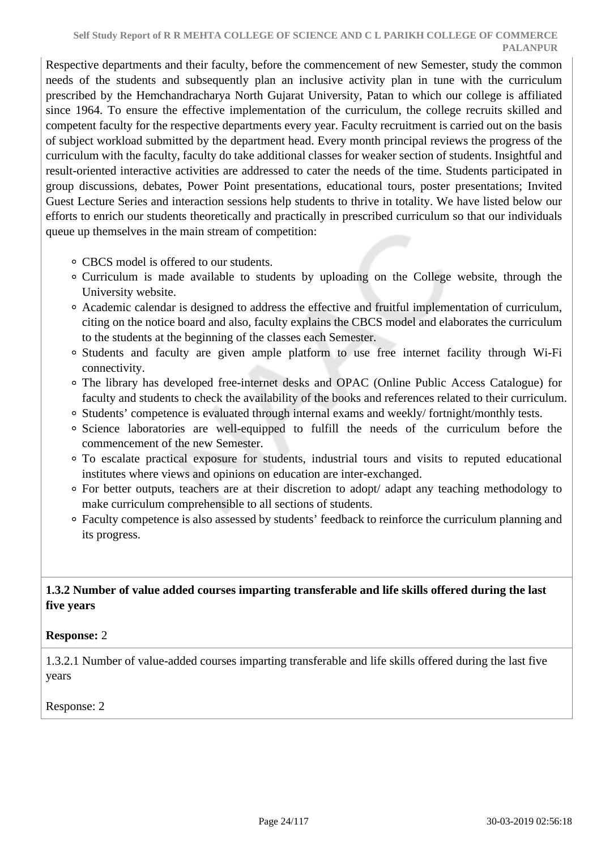Respective departments and their faculty, before the commencement of new Semester, study the common needs of the students and subsequently plan an inclusive activity plan in tune with the curriculum prescribed by the Hemchandracharya North Gujarat University, Patan to which our college is affiliated since 1964. To ensure the effective implementation of the curriculum, the college recruits skilled and competent faculty for the respective departments every year. Faculty recruitment is carried out on the basis of subject workload submitted by the department head. Every month principal reviews the progress of the curriculum with the faculty, faculty do take additional classes for weaker section of students. Insightful and result-oriented interactive activities are addressed to cater the needs of the time. Students participated in group discussions, debates, Power Point presentations, educational tours, poster presentations; Invited Guest Lecture Series and interaction sessions help students to thrive in totality. We have listed below our efforts to enrich our students theoretically and practically in prescribed curriculum so that our individuals queue up themselves in the main stream of competition:

- CBCS model is offered to our students.
- Curriculum is made available to students by uploading on the College website, through the University website.
- Academic calendar is designed to address the effective and fruitful implementation of curriculum, citing on the notice board and also, faculty explains the CBCS model and elaborates the curriculum to the students at the beginning of the classes each Semester.
- Students and faculty are given ample platform to use free internet facility through Wi-Fi connectivity.
- The library has developed free-internet desks and OPAC (Online Public Access Catalogue) for faculty and students to check the availability of the books and references related to their curriculum.
- Students' competence is evaluated through internal exams and weekly/ fortnight/monthly tests.
- Science laboratories are well-equipped to fulfill the needs of the curriculum before the commencement of the new Semester.
- To escalate practical exposure for students, industrial tours and visits to reputed educational institutes where views and opinions on education are inter-exchanged.
- For better outputs, teachers are at their discretion to adopt/ adapt any teaching methodology to make curriculum comprehensible to all sections of students.
- Faculty competence is also assessed by students' feedback to reinforce the curriculum planning and its progress.

### **1.3.2 Number of value added courses imparting transferable and life skills offered during the last five years**

#### **Response:** 2

1.3.2.1 Number of value-added courses imparting transferable and life skills offered during the last five years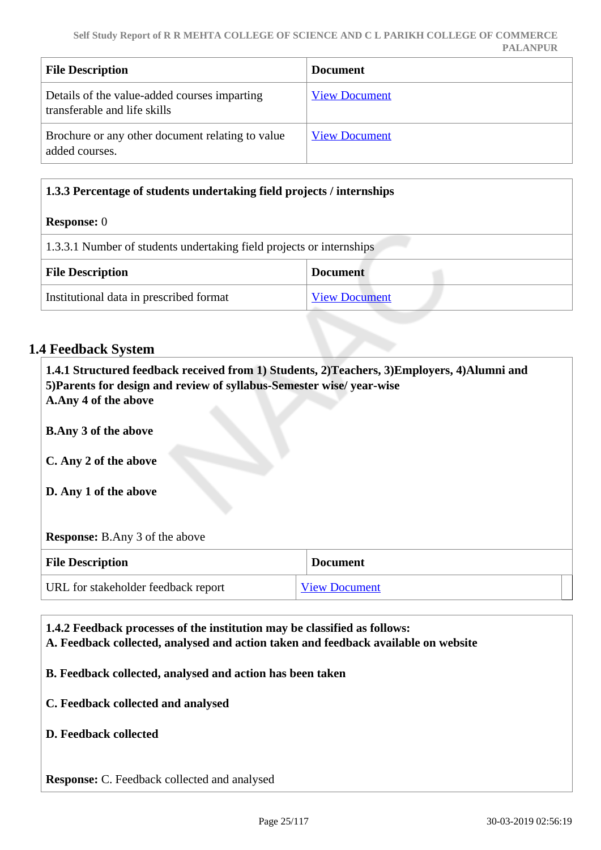| <b>File Description</b>                                                      | <b>Document</b>      |
|------------------------------------------------------------------------------|----------------------|
| Details of the value-added courses imparting<br>transferable and life skills | <b>View Document</b> |
| Brochure or any other document relating to value<br>added courses.           | <b>View Document</b> |

| 1.3.3 Percentage of students undertaking field projects / internships |                      |  |  |
|-----------------------------------------------------------------------|----------------------|--|--|
| <b>Response:</b> 0                                                    |                      |  |  |
| 1.3.3.1 Number of students undertaking field projects or internships  |                      |  |  |
| <b>File Description</b><br><b>Document</b>                            |                      |  |  |
| Institutional data in prescribed format                               | <b>View Document</b> |  |  |

### **1.4 Feedback System**

| 1.4.1 Structured feedback received from 1) Students, 2) Teachers, 3) Employers, 4) Alumni and<br>5) Parents for design and review of syllabus-Semester wise/ year-wise<br>A.Any 4 of the above |                      |  |  |  |
|------------------------------------------------------------------------------------------------------------------------------------------------------------------------------------------------|----------------------|--|--|--|
| <b>B.Any 3 of the above</b>                                                                                                                                                                    |                      |  |  |  |
| C. Any 2 of the above                                                                                                                                                                          |                      |  |  |  |
| D. Any 1 of the above                                                                                                                                                                          |                      |  |  |  |
| <b>Response:</b> B.Any 3 of the above                                                                                                                                                          |                      |  |  |  |
| <b>Document</b><br><b>File Description</b>                                                                                                                                                     |                      |  |  |  |
| URL for stakeholder feedback report                                                                                                                                                            | <b>View Document</b> |  |  |  |

 **1.4.2 Feedback processes of the institution may be classified as follows: A. Feedback collected, analysed and action taken and feedback available on website B. Feedback collected, analysed and action has been taken C. Feedback collected and analysed D. Feedback collected Response:** C. Feedback collected and analysed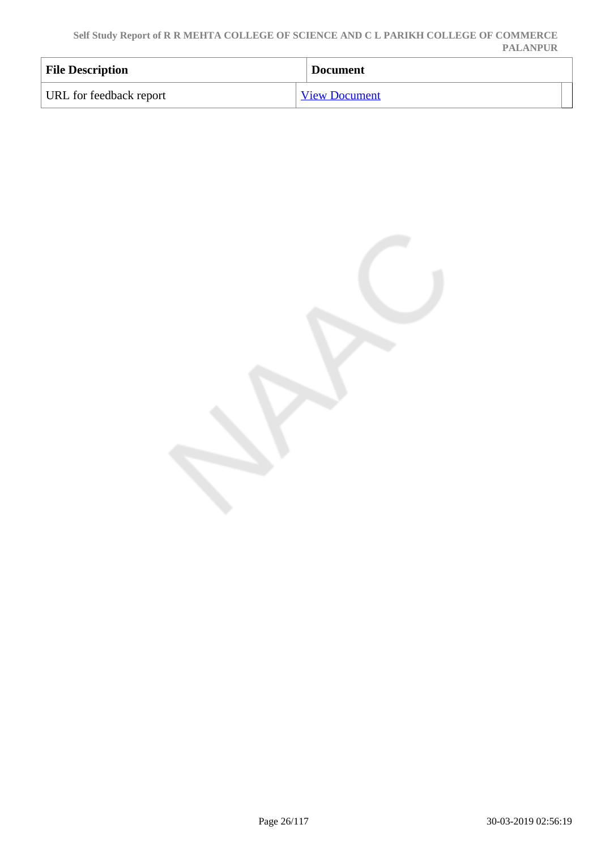**Self Study Report of R R MEHTA COLLEGE OF SCIENCE AND C L PARIKH COLLEGE OF COMMERCE PALANPUR**

| <b>File Description</b> | <b>Document</b>      |
|-------------------------|----------------------|
| URL for feedback report | <b>View Document</b> |

Page 26/117 30-03-2019 02:56:19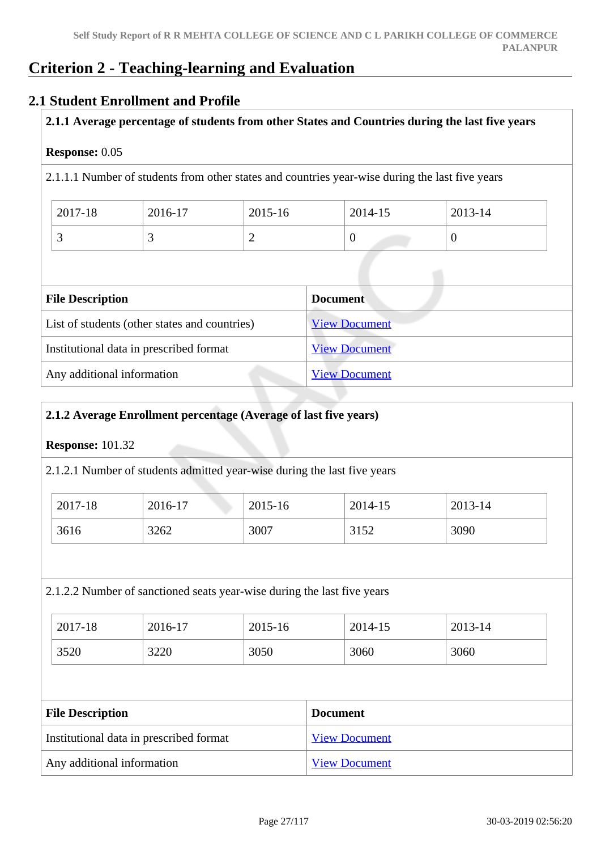# **Criterion 2 - Teaching-learning and Evaluation**

### **2.1 Student Enrollment and Profile**

#### **2.1.1 Average percentage of students from other States and Countries during the last five years**

#### **Response:** 0.05

2.1.1.1 Number of students from other states and countries year-wise during the last five years

| 2017-18  | 2016-17 | 2015-16 | 2014-15 | 2013-14 |
|----------|---------|---------|---------|---------|
| <u>ب</u> |         | ∽       | ◡       | ν       |

| <b>File Description</b>                       | <b>Document</b>      |
|-----------------------------------------------|----------------------|
| List of students (other states and countries) | <b>View Document</b> |
| Institutional data in prescribed format       | <b>View Document</b> |
| Any additional information                    | <b>View Document</b> |

#### **2.1.2 Average Enrollment percentage (Average of last five years)**

#### **Response:** 101.32

2.1.2.1 Number of students admitted year-wise during the last five years

| 2017-18 | 2016-17 | 2015-16 | 2014-15 | 2013-14 |
|---------|---------|---------|---------|---------|
| 3616    | 3262    | 3007    | 3152    | 3090    |

#### 2.1.2.2 Number of sanctioned seats year-wise during the last five years

| 2017-18 | 2016-17 | 2015-16 | 2014-15 | 2013-14 |
|---------|---------|---------|---------|---------|
| 3520    | 3220    | 3050    | 3060    | 3060    |

| <b>File Description</b>                 | <b>Document</b>      |
|-----------------------------------------|----------------------|
| Institutional data in prescribed format | <b>View Document</b> |
| Any additional information              | <b>View Document</b> |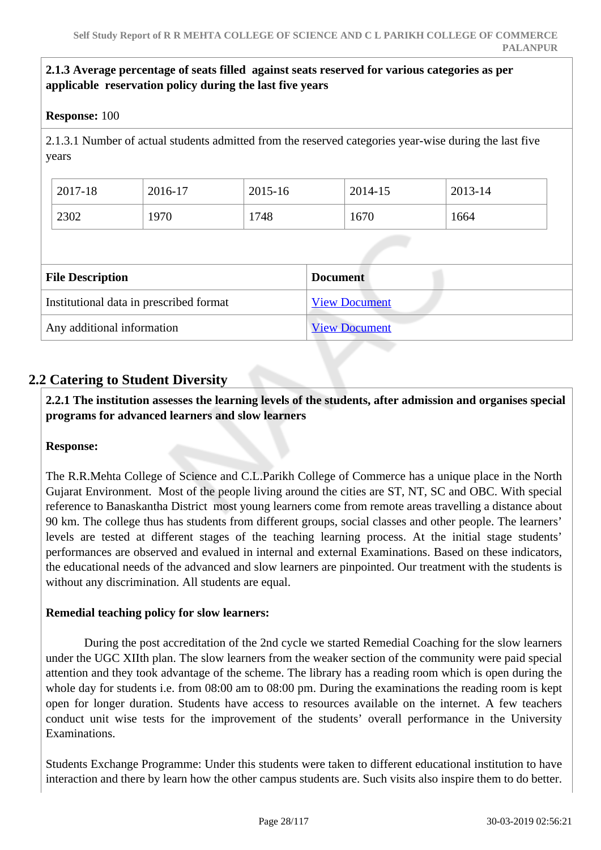#### **2.1.3 Average percentage of seats filled against seats reserved for various categories as per applicable reservation policy during the last five years**

#### **Response:** 100

2.1.3.1 Number of actual students admitted from the reserved categories year-wise during the last five years

| 2017-18 | 2016-17 | 2015-16 | 2014-15 | 2013-14 |
|---------|---------|---------|---------|---------|
| 2302    | 1970    | 1748    | 1670    | 1664    |

| <b>File Description</b>                 | <b>Document</b>      |
|-----------------------------------------|----------------------|
| Institutional data in prescribed format | <b>View Document</b> |
| Any additional information              | <b>View Document</b> |

### **2.2 Catering to Student Diversity**

 **2.2.1 The institution assesses the learning levels of the students, after admission and organises special programs for advanced learners and slow learners**

#### **Response:**

The R.R.Mehta College of Science and C.L.Parikh College of Commerce has a unique place in the North Gujarat Environment. Most of the people living around the cities are ST, NT, SC and OBC. With special reference to Banaskantha District most young learners come from remote areas travelling a distance about 90 km. The college thus has students from different groups, social classes and other people. The learners' levels are tested at different stages of the teaching learning process. At the initial stage students' performances are observed and evalued in internal and external Examinations. Based on these indicators, the educational needs of the advanced and slow learners are pinpointed. Our treatment with the students is without any discrimination. All students are equal.

#### **Remedial teaching policy for slow learners:**

 During the post accreditation of the 2nd cycle we started Remedial Coaching for the slow learners under the UGC XIIth plan. The slow learners from the weaker section of the community were paid special attention and they took advantage of the scheme. The library has a reading room which is open during the whole day for students i.e. from 08:00 am to 08:00 pm. During the examinations the reading room is kept open for longer duration. Students have access to resources available on the internet. A few teachers conduct unit wise tests for the improvement of the students' overall performance in the University Examinations.

Students Exchange Programme: Under this students were taken to different educational institution to have interaction and there by learn how the other campus students are. Such visits also inspire them to do better.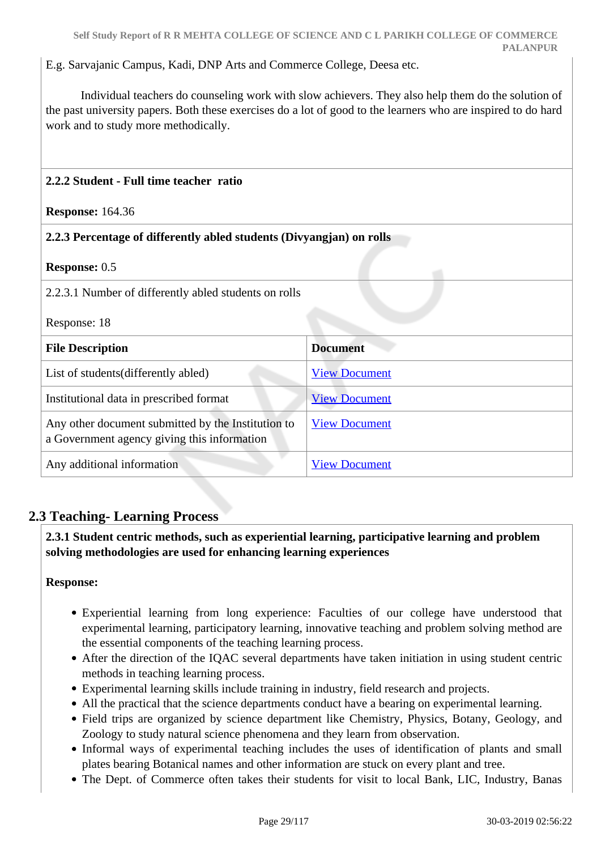E.g. Sarvajanic Campus, Kadi, DNP Arts and Commerce College, Deesa etc.

 Individual teachers do counseling work with slow achievers. They also help them do the solution of the past university papers. Both these exercises do a lot of good to the learners who are inspired to do hard work and to study more methodically.

| 2.2.2 Student - Full time teacher ratio                                                           |                      |  |  |
|---------------------------------------------------------------------------------------------------|----------------------|--|--|
| <b>Response: 164.36</b>                                                                           |                      |  |  |
| 2.2.3 Percentage of differently abled students (Divyangjan) on rolls                              |                      |  |  |
| <b>Response: 0.5</b>                                                                              |                      |  |  |
| 2.2.3.1 Number of differently abled students on rolls                                             |                      |  |  |
| Response: 18                                                                                      |                      |  |  |
| <b>File Description</b>                                                                           | <b>Document</b>      |  |  |
| List of students (differently abled)                                                              | <b>View Document</b> |  |  |
| Institutional data in prescribed format                                                           | <b>View Document</b> |  |  |
| Any other document submitted by the Institution to<br>a Government agency giving this information | <b>View Document</b> |  |  |
| Any additional information                                                                        | <b>View Document</b> |  |  |

### **2.3 Teaching- Learning Process**

 **2.3.1 Student centric methods, such as experiential learning, participative learning and problem solving methodologies are used for enhancing learning experiences**

- Experiential learning from long experience: Faculties of our college have understood that experimental learning, participatory learning, innovative teaching and problem solving method are the essential components of the teaching learning process.
- After the direction of the IQAC several departments have taken initiation in using student centric methods in teaching learning process.
- Experimental learning skills include training in industry, field research and projects.
- All the practical that the science departments conduct have a bearing on experimental learning.
- Field trips are organized by science department like Chemistry, Physics, Botany, Geology, and Zoology to study natural science phenomena and they learn from observation.
- Informal ways of experimental teaching includes the uses of identification of plants and small plates bearing Botanical names and other information are stuck on every plant and tree.
- The Dept. of Commerce often takes their students for visit to local Bank, LIC, Industry, Banas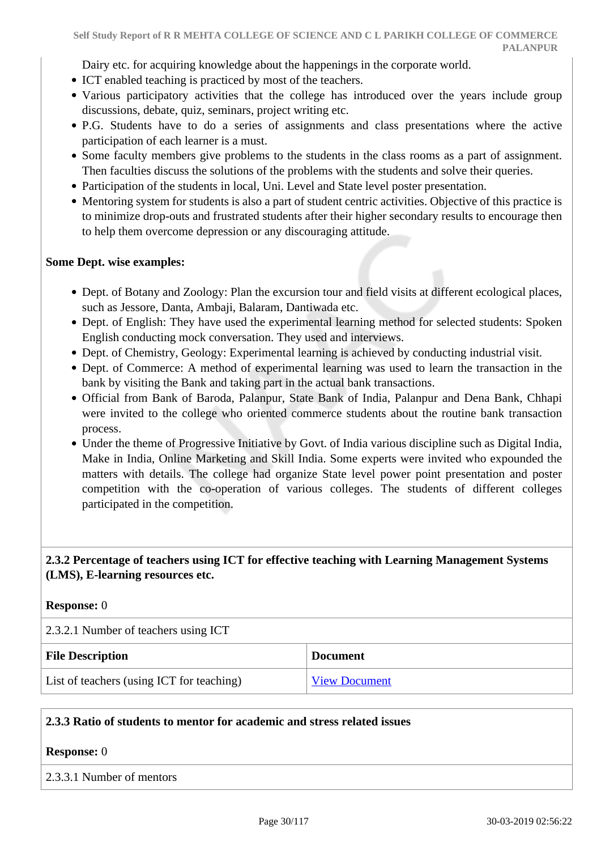Dairy etc. for acquiring knowledge about the happenings in the corporate world.

- ICT enabled teaching is practiced by most of the teachers.
- Various participatory activities that the college has introduced over the years include group discussions, debate, quiz, seminars, project writing etc.
- P.G. Students have to do a series of assignments and class presentations where the active participation of each learner is a must.
- Some faculty members give problems to the students in the class rooms as a part of assignment. Then faculties discuss the solutions of the problems with the students and solve their queries.
- Participation of the students in local, Uni. Level and State level poster presentation.
- Mentoring system for students is also a part of student centric activities. Objective of this practice is to minimize drop-outs and frustrated students after their higher secondary results to encourage then to help them overcome depression or any discouraging attitude.

#### **Some Dept. wise examples:**

- Dept. of Botany and Zoology: Plan the excursion tour and field visits at different ecological places, such as Jessore, Danta, Ambaji, Balaram, Dantiwada etc.
- Dept. of English: They have used the experimental learning method for selected students: Spoken English conducting mock conversation. They used and interviews.
- Dept. of Chemistry, Geology: Experimental learning is achieved by conducting industrial visit.
- Dept. of Commerce: A method of experimental learning was used to learn the transaction in the bank by visiting the Bank and taking part in the actual bank transactions.
- Official from Bank of Baroda, Palanpur, State Bank of India, Palanpur and Dena Bank, Chhapi were invited to the college who oriented commerce students about the routine bank transaction process.
- Under the theme of Progressive Initiative by Govt. of India various discipline such as Digital India, Make in India, Online Marketing and Skill India. Some experts were invited who expounded the matters with details. The college had organize State level power point presentation and poster competition with the co-operation of various colleges. The students of different colleges participated in the competition.

#### **2.3.2 Percentage of teachers using ICT for effective teaching with Learning Management Systems (LMS), E-learning resources etc.**

#### **Response:** 0

2.3.2.1 Number of teachers using ICT **File Description Document** List of teachers (using ICT for teaching) [View Document](https://assessmentonline.naac.gov.in/storage/app/hei/SSR/102652/2.3.2_1549617520_2708.xlsx)

#### **2.3.3 Ratio of students to mentor for academic and stress related issues**

#### **Response:** 0

#### 2.3.3.1 Number of mentors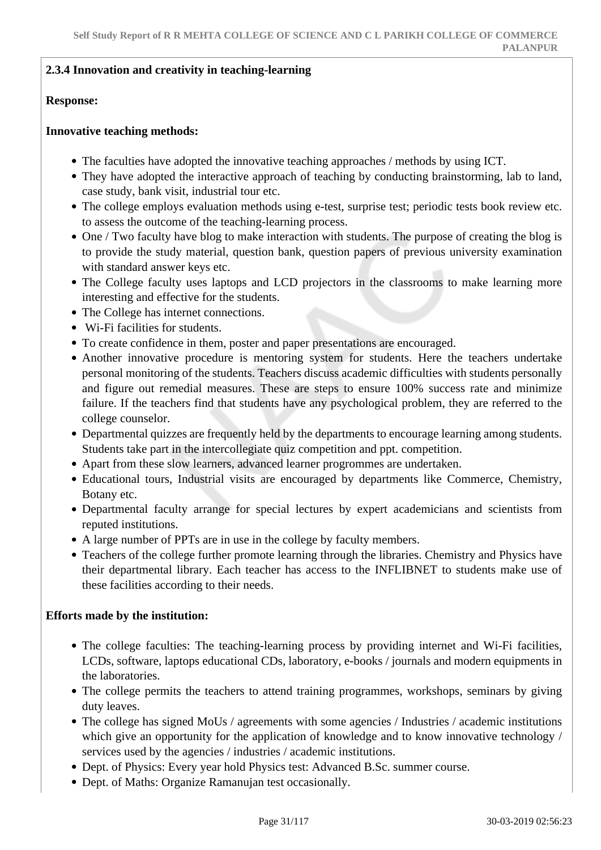#### **2.3.4 Innovation and creativity in teaching-learning**

#### **Response:**

#### **Innovative teaching methods:**

- The faculties have adopted the innovative teaching approaches / methods by using ICT.
- They have adopted the interactive approach of teaching by conducting brainstorming, lab to land, case study, bank visit, industrial tour etc.
- The college employs evaluation methods using e-test, surprise test; periodic tests book review etc. to assess the outcome of the teaching-learning process.
- One / Two faculty have blog to make interaction with students. The purpose of creating the blog is to provide the study material, question bank, question papers of previous university examination with standard answer keys etc.
- The College faculty uses laptops and LCD projectors in the classrooms to make learning more interesting and effective for the students.
- The College has internet connections.
- Wi-Fi facilities for students.
- To create confidence in them, poster and paper presentations are encouraged.
- Another innovative procedure is mentoring system for students. Here the teachers undertake personal monitoring of the students. Teachers discuss academic difficulties with students personally and figure out remedial measures. These are steps to ensure 100% success rate and minimize failure. If the teachers find that students have any psychological problem, they are referred to the college counselor.
- Departmental quizzes are frequently held by the departments to encourage learning among students. Students take part in the intercollegiate quiz competition and ppt. competition.
- Apart from these slow learners, advanced learner progrommes are undertaken.
- Educational tours, Industrial visits are encouraged by departments like Commerce, Chemistry, Botany etc.
- Departmental faculty arrange for special lectures by expert academicians and scientists from reputed institutions.
- A large number of PPTs are in use in the college by faculty members.
- Teachers of the college further promote learning through the libraries. Chemistry and Physics have their departmental library. Each teacher has access to the INFLIBNET to students make use of these facilities according to their needs.

#### **Efforts made by the institution:**

- The college faculties: The teaching-learning process by providing internet and Wi-Fi facilities, LCDs, software, laptops educational CDs, laboratory, e-books / journals and modern equipments in the laboratories.
- The college permits the teachers to attend training programmes, workshops, seminars by giving duty leaves.
- The college has signed MoUs / agreements with some agencies / Industries / academic institutions which give an opportunity for the application of knowledge and to know innovative technology / services used by the agencies / industries / academic institutions.
- Dept. of Physics: Every year hold Physics test: Advanced B.Sc. summer course.
- Dept. of Maths: Organize Ramanujan test occasionally.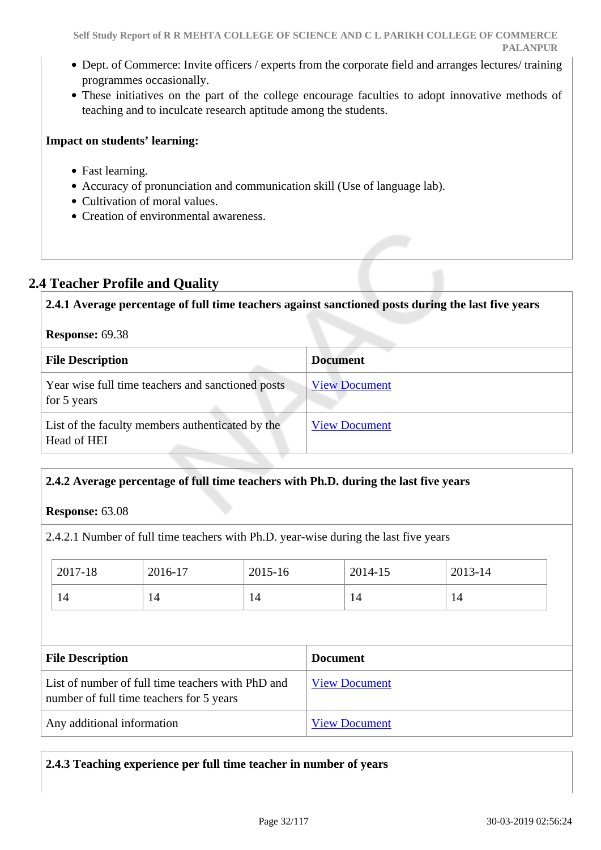- Dept. of Commerce: Invite officers / experts from the corporate field and arranges lectures/ training programmes occasionally.
- These initiatives on the part of the college encourage faculties to adopt innovative methods of teaching and to inculcate research aptitude among the students.

#### **Impact on students' learning:**

- Fast learning.
- Accuracy of pronunciation and communication skill (Use of language lab).
- Cultivation of moral values.
- Creation of environmental awareness.

### **2.4 Teacher Profile and Quality**

**2.4.1 Average percentage of full time teachers against sanctioned posts during the last five years**

### **Response:** 69.38

| <b>File Description</b>                                          | <b>Document</b>      |
|------------------------------------------------------------------|----------------------|
| Year wise full time teachers and sanctioned posts<br>for 5 years | <b>View Document</b> |
| List of the faculty members authenticated by the<br>Head of HEI  | <b>View Document</b> |

#### **2.4.2 Average percentage of full time teachers with Ph.D. during the last five years**

**Response:** 63.08

2.4.2.1 Number of full time teachers with Ph.D. year-wise during the last five years

| 2017-18 | 2016-17 | 2015-16 | 2014-15 | 2013-14 |
|---------|---------|---------|---------|---------|
| 14      | 14      | 14      | 14      | 14      |

| <b>File Description</b>                                                                       | <b>Document</b>      |
|-----------------------------------------------------------------------------------------------|----------------------|
| List of number of full time teachers with PhD and<br>number of full time teachers for 5 years | <b>View Document</b> |
| Any additional information                                                                    | <b>View Document</b> |

**2.4.3 Teaching experience per full time teacher in number of years**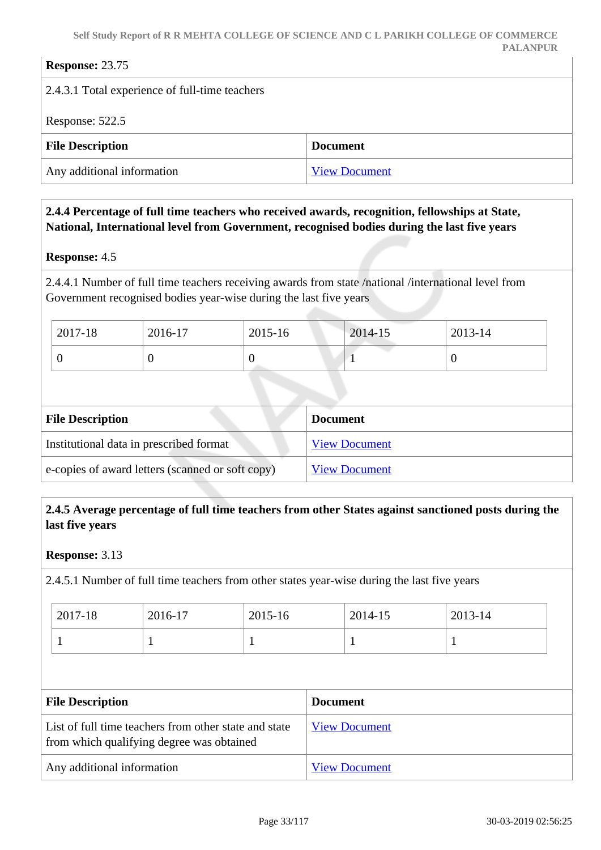| <b>Response: 23.75</b>                         |                      |  |
|------------------------------------------------|----------------------|--|
| 2.4.3.1 Total experience of full-time teachers |                      |  |
| Response: 522.5                                |                      |  |
| <b>File Description</b>                        | <b>Document</b>      |  |
| Any additional information                     | <b>View Document</b> |  |

#### **2.4.4 Percentage of full time teachers who received awards, recognition, fellowships at State, National, International level from Government, recognised bodies during the last five years**

#### **Response:** 4.5

2.4.4.1 Number of full time teachers receiving awards from state /national /international level from Government recognised bodies year-wise during the last five years

| 2017-18 | 2016-17 | 2015-16 | <b>Contract Contract</b><br>2014-15 | 2013-14 |
|---------|---------|---------|-------------------------------------|---------|
|         |         |         |                                     |         |

| <b>File Description</b>                          | <b>Document</b>      |
|--------------------------------------------------|----------------------|
| Institutional data in prescribed format          | <b>View Document</b> |
| e-copies of award letters (scanned or soft copy) | <b>View Document</b> |

#### **2.4.5 Average percentage of full time teachers from other States against sanctioned posts during the last five years**

#### **Response:** 3.13

2.4.5.1 Number of full time teachers from other states year-wise during the last five years

| $2017 - 18$ | 2016-17 | 2015-16 | 2014-15 | 2013-14 |
|-------------|---------|---------|---------|---------|
|             |         |         |         |         |

| <b>File Description</b>                                                                            | <b>Document</b>      |
|----------------------------------------------------------------------------------------------------|----------------------|
| List of full time teachers from other state and state<br>from which qualifying degree was obtained | <b>View Document</b> |
| Any additional information                                                                         | <b>View Document</b> |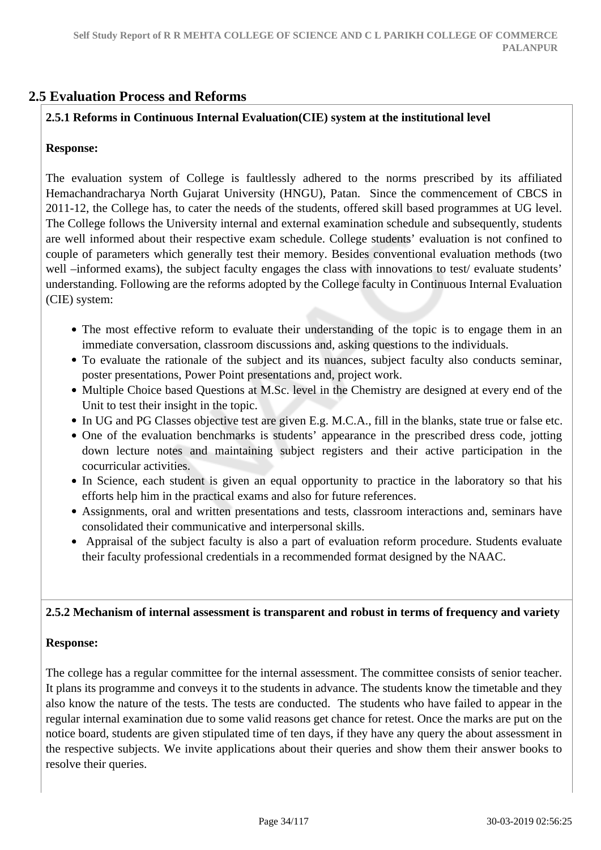### **2.5 Evaluation Process and Reforms**

#### **2.5.1 Reforms in Continuous Internal Evaluation(CIE) system at the institutional level**

#### **Response:**

The evaluation system of College is faultlessly adhered to the norms prescribed by its affiliated Hemachandracharya North Gujarat University (HNGU), Patan. Since the commencement of CBCS in 2011-12, the College has, to cater the needs of the students, offered skill based programmes at UG level. The College follows the University internal and external examination schedule and subsequently, students are well informed about their respective exam schedule. College students' evaluation is not confined to couple of parameters which generally test their memory. Besides conventional evaluation methods (two well –informed exams), the subject faculty engages the class with innovations to test/ evaluate students' understanding. Following are the reforms adopted by the College faculty in Continuous Internal Evaluation (CIE) system:

- The most effective reform to evaluate their understanding of the topic is to engage them in an immediate conversation, classroom discussions and, asking questions to the individuals.
- To evaluate the rationale of the subject and its nuances, subject faculty also conducts seminar, poster presentations, Power Point presentations and, project work.
- Multiple Choice based Questions at M.Sc. level in the Chemistry are designed at every end of the Unit to test their insight in the topic.
- In UG and PG Classes objective test are given E.g. M.C.A., fill in the blanks, state true or false etc.
- One of the evaluation benchmarks is students' appearance in the prescribed dress code, jotting down lecture notes and maintaining subject registers and their active participation in the cocurricular activities.
- In Science, each student is given an equal opportunity to practice in the laboratory so that his efforts help him in the practical exams and also for future references.
- Assignments, oral and written presentations and tests, classroom interactions and, seminars have consolidated their communicative and interpersonal skills.
- Appraisal of the subject faculty is also a part of evaluation reform procedure. Students evaluate their faculty professional credentials in a recommended format designed by the NAAC.

#### **2.5.2 Mechanism of internal assessment is transparent and robust in terms of frequency and variety**

#### **Response:**

The college has a regular committee for the internal assessment. The committee consists of senior teacher. It plans its programme and conveys it to the students in advance. The students know the timetable and they also know the nature of the tests. The tests are conducted. The students who have failed to appear in the regular internal examination due to some valid reasons get chance for retest. Once the marks are put on the notice board, students are given stipulated time of ten days, if they have any query the about assessment in the respective subjects. We invite applications about their queries and show them their answer books to resolve their queries.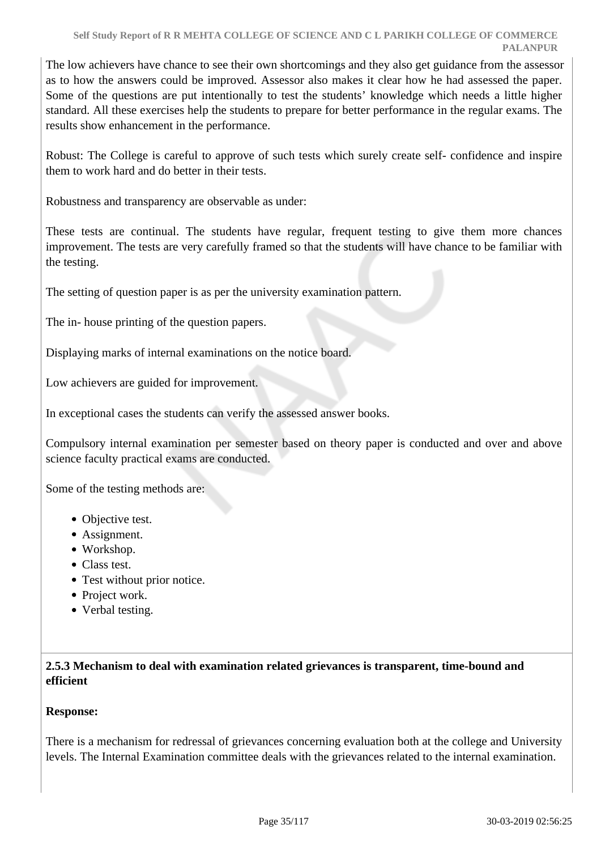The low achievers have chance to see their own shortcomings and they also get guidance from the assessor as to how the answers could be improved. Assessor also makes it clear how he had assessed the paper. Some of the questions are put intentionally to test the students' knowledge which needs a little higher standard. All these exercises help the students to prepare for better performance in the regular exams. The results show enhancement in the performance.

Robust: The College is careful to approve of such tests which surely create self- confidence and inspire them to work hard and do better in their tests.

Robustness and transparency are observable as under:

These tests are continual. The students have regular, frequent testing to give them more chances improvement. The tests are very carefully framed so that the students will have chance to be familiar with the testing.

The setting of question paper is as per the university examination pattern.

The in- house printing of the question papers.

Displaying marks of internal examinations on the notice board.

Low achievers are guided for improvement.

In exceptional cases the students can verify the assessed answer books.

Compulsory internal examination per semester based on theory paper is conducted and over and above science faculty practical exams are conducted.

Some of the testing methods are:

- Objective test.
- Assignment.
- Workshop.
- Class test.
- Test without prior notice.
- Project work.
- Verbal testing.

#### **2.5.3 Mechanism to deal with examination related grievances is transparent, time-bound and efficient**

#### **Response:**

There is a mechanism for redressal of grievances concerning evaluation both at the college and University levels. The Internal Examination committee deals with the grievances related to the internal examination.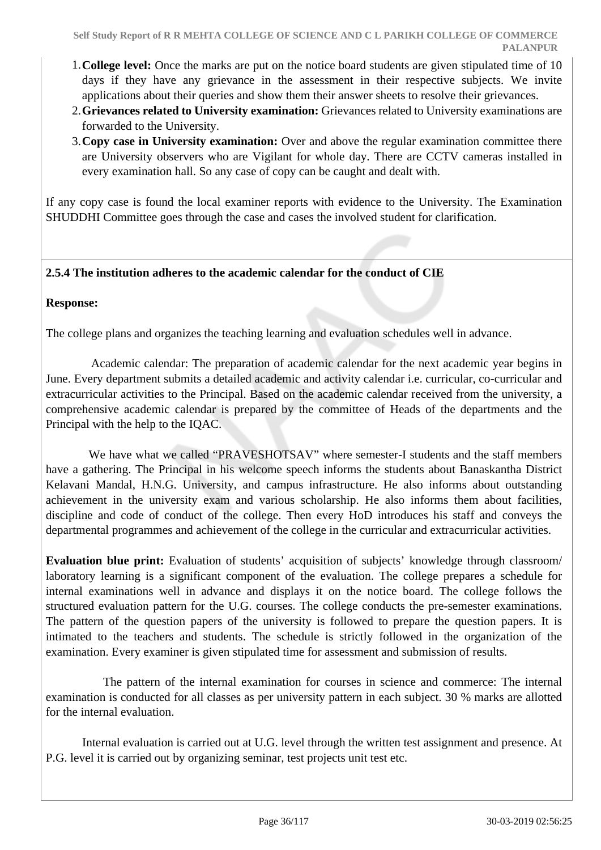- 1.**College level:** Once the marks are put on the notice board students are given stipulated time of 10 days if they have any grievance in the assessment in their respective subjects. We invite applications about their queries and show them their answer sheets to resolve their grievances.
- 2.**Grievances related to University examination:** Grievances related to University examinations are forwarded to the University.
- 3.**Copy case in University examination:** Over and above the regular examination committee there are University observers who are Vigilant for whole day. There are CCTV cameras installed in every examination hall. So any case of copy can be caught and dealt with.

If any copy case is found the local examiner reports with evidence to the University. The Examination SHUDDHI Committee goes through the case and cases the involved student for clarification.

#### **2.5.4 The institution adheres to the academic calendar for the conduct of CIE**

#### **Response:**

The college plans and organizes the teaching learning and evaluation schedules well in advance.

 Academic calendar: The preparation of academic calendar for the next academic year begins in June. Every department submits a detailed academic and activity calendar i.e. curricular, co-curricular and extracurricular activities to the Principal. Based on the academic calendar received from the university, a comprehensive academic calendar is prepared by the committee of Heads of the departments and the Principal with the help to the IQAC.

We have what we called "PRAVESHOTSAV" where semester-I students and the staff members have a gathering. The Principal in his welcome speech informs the students about Banaskantha District Kelavani Mandal, H.N.G. University, and campus infrastructure. He also informs about outstanding achievement in the university exam and various scholarship. He also informs them about facilities, discipline and code of conduct of the college. Then every HoD introduces his staff and conveys the departmental programmes and achievement of the college in the curricular and extracurricular activities.

**Evaluation blue print:** Evaluation of students' acquisition of subjects' knowledge through classroom/ laboratory learning is a significant component of the evaluation. The college prepares a schedule for internal examinations well in advance and displays it on the notice board. The college follows the structured evaluation pattern for the U.G. courses. The college conducts the pre-semester examinations. The pattern of the question papers of the university is followed to prepare the question papers. It is intimated to the teachers and students. The schedule is strictly followed in the organization of the examination. Every examiner is given stipulated time for assessment and submission of results.

 The pattern of the internal examination for courses in science and commerce: The internal examination is conducted for all classes as per university pattern in each subject. 30 % marks are allotted for the internal evaluation.

 Internal evaluation is carried out at U.G. level through the written test assignment and presence. At P.G. level it is carried out by organizing seminar, test projects unit test etc.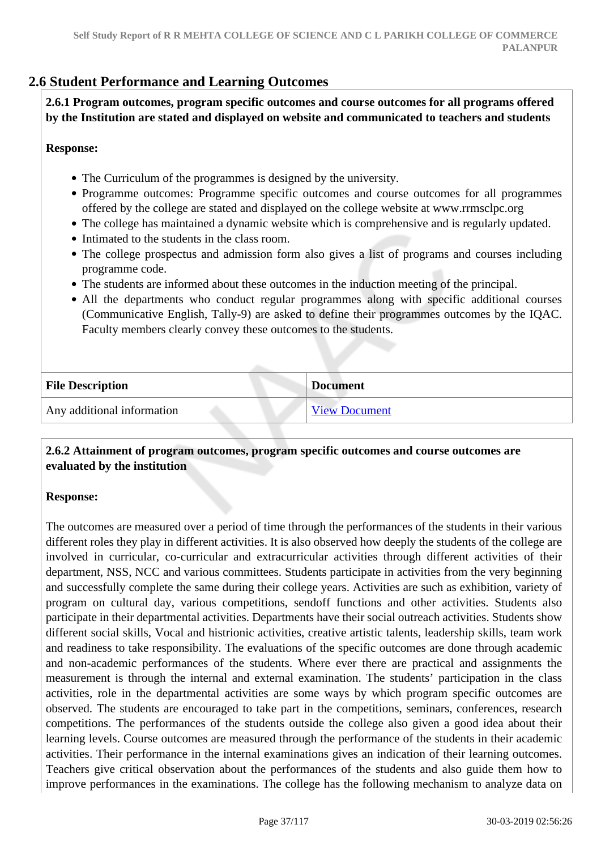# **2.6 Student Performance and Learning Outcomes**

 **2.6.1 Program outcomes, program specific outcomes and course outcomes for all programs offered by the Institution are stated and displayed on website and communicated to teachers and students**

#### **Response:**

- The Curriculum of the programmes is designed by the university.
- Programme outcomes: Programme specific outcomes and course outcomes for all programmes offered by the college are stated and displayed on the college website at www.rrmsclpc.org
- The college has maintained a dynamic website which is comprehensive and is regularly updated.
- Intimated to the students in the class room.
- The college prospectus and admission form also gives a list of programs and courses including programme code.
- The students are informed about these outcomes in the induction meeting of the principal.
- All the departments who conduct regular programmes along with specific additional courses (Communicative English, Tally-9) are asked to define their programmes outcomes by the IQAC. Faculty members clearly convey these outcomes to the students.

| <b>File Description</b>    | <b>Document</b>      |
|----------------------------|----------------------|
| Any additional information | <b>View Document</b> |

#### **2.6.2 Attainment of program outcomes, program specific outcomes and course outcomes are evaluated by the institution**

#### **Response:**

The outcomes are measured over a period of time through the performances of the students in their various different roles they play in different activities. It is also observed how deeply the students of the college are involved in curricular, co-curricular and extracurricular activities through different activities of their department, NSS, NCC and various committees. Students participate in activities from the very beginning and successfully complete the same during their college years. Activities are such as exhibition, variety of program on cultural day, various competitions, sendoff functions and other activities. Students also participate in their departmental activities. Departments have their social outreach activities. Students show different social skills, Vocal and histrionic activities, creative artistic talents, leadership skills, team work and readiness to take responsibility. The evaluations of the specific outcomes are done through academic and non-academic performances of the students. Where ever there are practical and assignments the measurement is through the internal and external examination. The students' participation in the class activities, role in the departmental activities are some ways by which program specific outcomes are observed. The students are encouraged to take part in the competitions, seminars, conferences, research competitions. The performances of the students outside the college also given a good idea about their learning levels. Course outcomes are measured through the performance of the students in their academic activities. Their performance in the internal examinations gives an indication of their learning outcomes. Teachers give critical observation about the performances of the students and also guide them how to improve performances in the examinations. The college has the following mechanism to analyze data on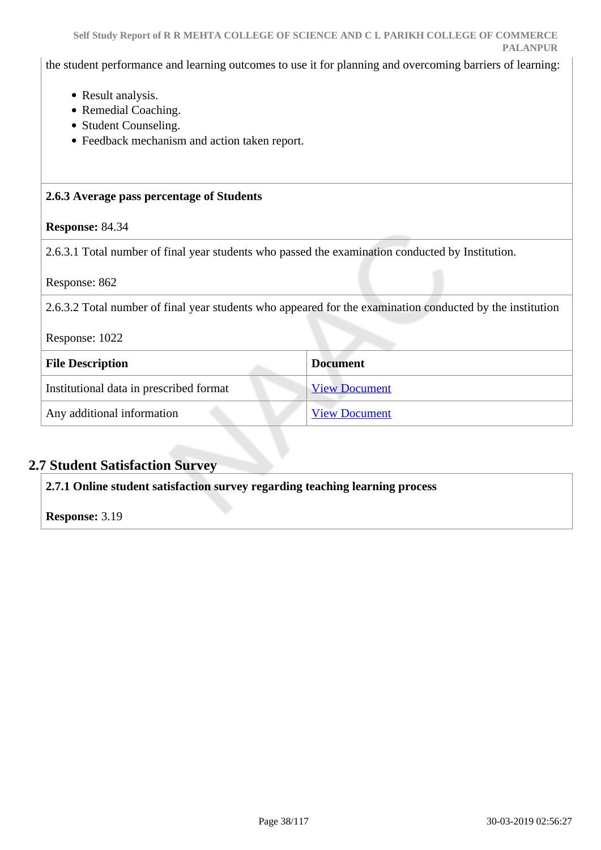the student performance and learning outcomes to use it for planning and overcoming barriers of learning:

- Result analysis.
- Remedial Coaching.
- Student Counseling.
- Feedback mechanism and action taken report.

#### **2.6.3 Average pass percentage of Students**

### **Response:** 84.34

2.6.3.1 Total number of final year students who passed the examination conducted by Institution.

Response: 862

2.6.3.2 Total number of final year students who appeared for the examination conducted by the institution

| Response: 1022 |  |
|----------------|--|
|----------------|--|

| <b>File Description</b>                 | <b>Document</b>      |
|-----------------------------------------|----------------------|
| Institutional data in prescribed format | <b>View Document</b> |
| Any additional information              | <b>View Document</b> |

# **2.7 Student Satisfaction Survey**

**2.7.1 Online student satisfaction survey regarding teaching learning process**

**Response:** 3.19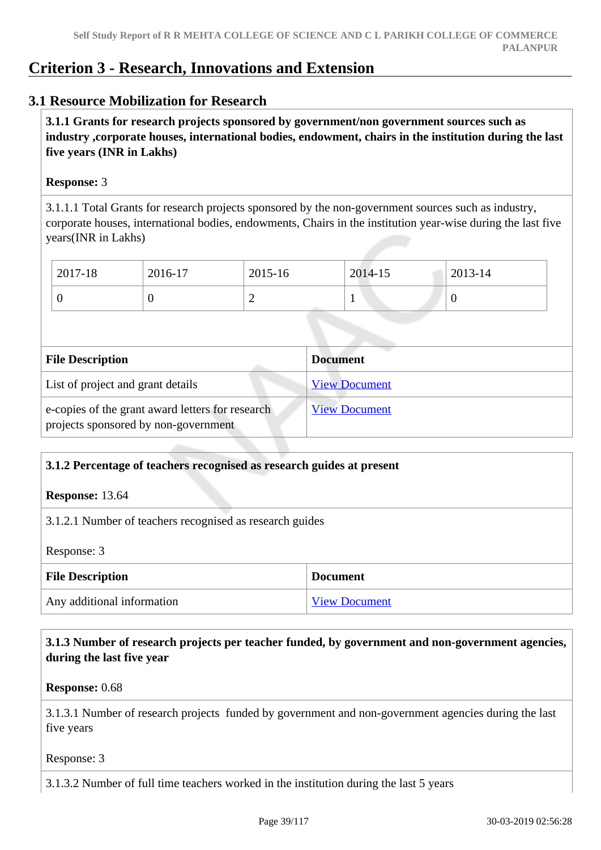# **Criterion 3 - Research, Innovations and Extension**

## **3.1 Resource Mobilization for Research**

 **3.1.1 Grants for research projects sponsored by government/non government sources such as industry ,corporate houses, international bodies, endowment, chairs in the institution during the last five years (INR in Lakhs)** 

#### **Response:** 3

3.1.1.1 Total Grants for research projects sponsored by the non-government sources such as industry, corporate houses, international bodies, endowments, Chairs in the institution year-wise during the last five years(INR in Lakhs)

| 2017-18 | 2016-17 | 2015-16 | 2014-15 | 2013-14 |
|---------|---------|---------|---------|---------|
|         | ◡       | ∼       |         | ν       |

| <b>File Description</b>                                                                  | <b>Document</b>      |
|------------------------------------------------------------------------------------------|----------------------|
| List of project and grant details                                                        | <b>View Document</b> |
| e-copies of the grant award letters for research<br>projects sponsored by non-government | <b>View Document</b> |

#### **3.1.2 Percentage of teachers recognised as research guides at present**

**Response:** 13.64

3.1.2.1 Number of teachers recognised as research guides

Response: 3

| <b>File Description</b>    | <b>Document</b>      |
|----------------------------|----------------------|
| Any additional information | <b>View Document</b> |

 **3.1.3 Number of research projects per teacher funded, by government and non-government agencies, during the last five year**

**Response:** 0.68

3.1.3.1 Number of research projects funded by government and non-government agencies during the last five years

Response: 3

3.1.3.2 Number of full time teachers worked in the institution during the last 5 years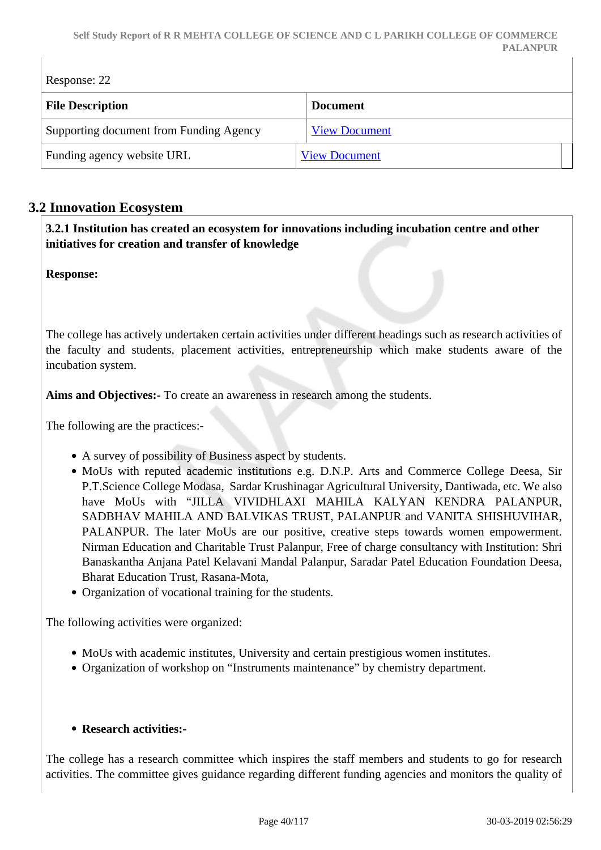| Response: 22                            |                      |  |
|-----------------------------------------|----------------------|--|
| <b>File Description</b>                 | <b>Document</b>      |  |
| Supporting document from Funding Agency | <b>View Document</b> |  |
| Funding agency website URL              | <b>View Document</b> |  |

# **3.2 Innovation Ecosystem**

 **3.2.1 Institution has created an ecosystem for innovations including incubation centre and other initiatives for creation and transfer of knowledge**

**Response:** 

The college has actively undertaken certain activities under different headings such as research activities of the faculty and students, placement activities, entrepreneurship which make students aware of the incubation system.

**Aims and Objectives:-** To create an awareness in research among the students.

The following are the practices:-

- A survey of possibility of Business aspect by students.
- MoUs with reputed academic institutions e.g. D.N.P. Arts and Commerce College Deesa, Sir P.T.Science College Modasa, Sardar Krushinagar Agricultural University, Dantiwada, etc. We also have MoUs with "JILLA VIVIDHLAXI MAHILA KALYAN KENDRA PALANPUR, SADBHAV MAHILA AND BALVIKAS TRUST, PALANPUR and VANITA SHISHUVIHAR, PALANPUR. The later MoUs are our positive, creative steps towards women empowerment. Nirman Education and Charitable Trust Palanpur, Free of charge consultancy with Institution: Shri Banaskantha Anjana Patel Kelavani Mandal Palanpur, Saradar Patel Education Foundation Deesa, Bharat Education Trust, Rasana-Mota,
- Organization of vocational training for the students.

The following activities were organized:

- MoUs with academic institutes, University and certain prestigious women institutes.
- Organization of workshop on "Instruments maintenance" by chemistry department.

#### **Research activities:-**

The college has a research committee which inspires the staff members and students to go for research activities. The committee gives guidance regarding different funding agencies and monitors the quality of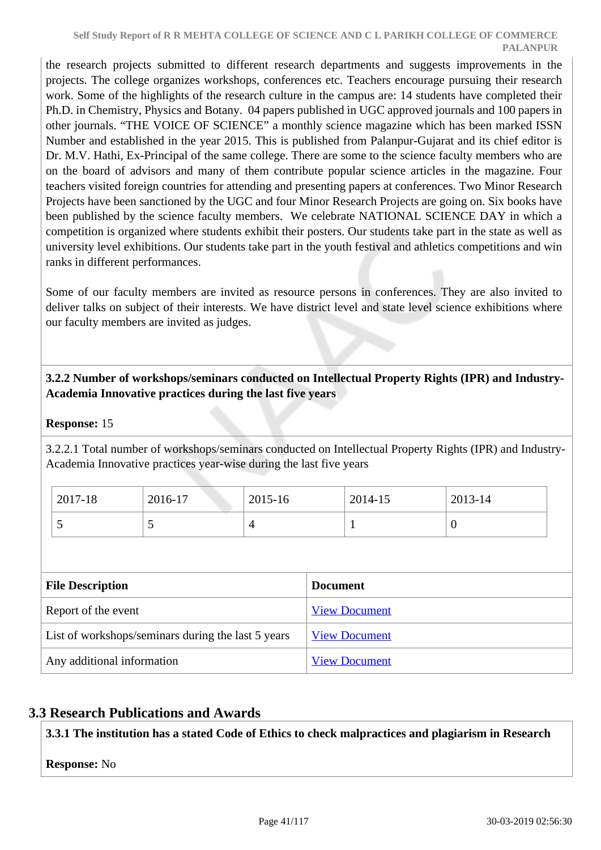the research projects submitted to different research departments and suggests improvements in the projects. The college organizes workshops, conferences etc. Teachers encourage pursuing their research work. Some of the highlights of the research culture in the campus are: 14 students have completed their Ph.D. in Chemistry, Physics and Botany. 04 papers published in UGC approved journals and 100 papers in other journals. "THE VOICE OF SCIENCE" a monthly science magazine which has been marked ISSN Number and established in the year 2015. This is published from Palanpur-Gujarat and its chief editor is Dr. M.V. Hathi, Ex-Principal of the same college. There are some to the science faculty members who are on the board of advisors and many of them contribute popular science articles in the magazine. Four teachers visited foreign countries for attending and presenting papers at conferences. Two Minor Research Projects have been sanctioned by the UGC and four Minor Research Projects are going on. Six books have been published by the science faculty members. We celebrate NATIONAL SCIENCE DAY in which a competition is organized where students exhibit their posters. Our students take part in the state as well as university level exhibitions. Our students take part in the youth festival and athletics competitions and win ranks in different performances.

Some of our faculty members are invited as resource persons in conferences. They are also invited to deliver talks on subject of their interests. We have district level and state level science exhibitions where our faculty members are invited as judges.

## **3.2.2 Number of workshops/seminars conducted on Intellectual Property Rights (IPR) and Industry-Academia Innovative practices during the last five years**

## **Response:** 15

3.2.2.1 Total number of workshops/seminars conducted on Intellectual Property Rights (IPR) and Industry-Academia Innovative practices year-wise during the last five years

| 2017-18  | 2016-17                  | 2015-16 | 2014-15 | 2013-14 |
|----------|--------------------------|---------|---------|---------|
| <b>پ</b> | $\overline{\phantom{0}}$ |         | . .     | ິ       |

| <b>File Description</b>                            | <b>Document</b>      |
|----------------------------------------------------|----------------------|
| Report of the event                                | <b>View Document</b> |
| List of workshops/seminars during the last 5 years | <b>View Document</b> |
| Any additional information                         | <b>View Document</b> |

# **3.3 Research Publications and Awards**

**3.3.1 The institution has a stated Code of Ethics to check malpractices and plagiarism in Research**

## **Response:** No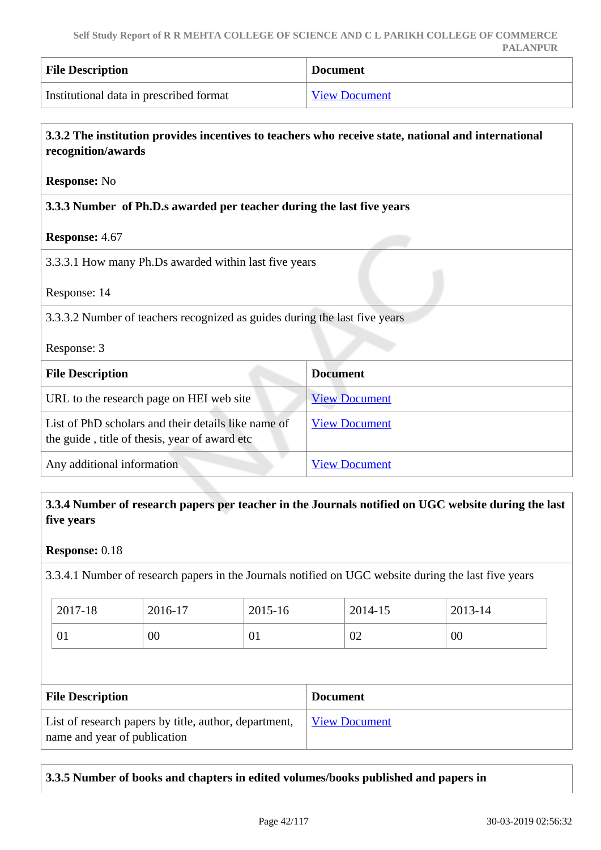| <b>File Description</b>                 | <b>Document</b>      |
|-----------------------------------------|----------------------|
| Institutional data in prescribed format | <b>View Document</b> |

| 3.3.2 The institution provides incentives to teachers who receive state, national and international<br>recognition/awards |                      |  |
|---------------------------------------------------------------------------------------------------------------------------|----------------------|--|
| <b>Response: No</b>                                                                                                       |                      |  |
| 3.3.3 Number of Ph.D.s awarded per teacher during the last five years                                                     |                      |  |
| Response: 4.67                                                                                                            |                      |  |
| 3.3.3.1 How many Ph.Ds awarded within last five years                                                                     |                      |  |
| Response: 14                                                                                                              |                      |  |
| 3.3.3.2 Number of teachers recognized as guides during the last five years                                                |                      |  |
| Response: 3                                                                                                               |                      |  |
| <b>Document</b><br><b>File Description</b>                                                                                |                      |  |
| URL to the research page on HEI web site                                                                                  | <b>View Document</b> |  |
| List of PhD scholars and their details like name of<br>the guide, title of thesis, year of award etc                      | <b>View Document</b> |  |
| Any additional information                                                                                                | <b>View Document</b> |  |

## **3.3.4 Number of research papers per teacher in the Journals notified on UGC website during the last five years**

#### **Response:** 0.18

3.3.4.1 Number of research papers in the Journals notified on UGC website during the last five years

| 2017-18 | 2016-17 | 2015-16 | 2014-15 | 2013-14 |
|---------|---------|---------|---------|---------|
| υı.     | 00      | 01      | 02      | 00      |

| <b>File Description</b>                                                               | <b>Document</b>      |
|---------------------------------------------------------------------------------------|----------------------|
| List of research papers by title, author, department,<br>name and year of publication | <b>View Document</b> |

## **3.3.5 Number of books and chapters in edited volumes/books published and papers in**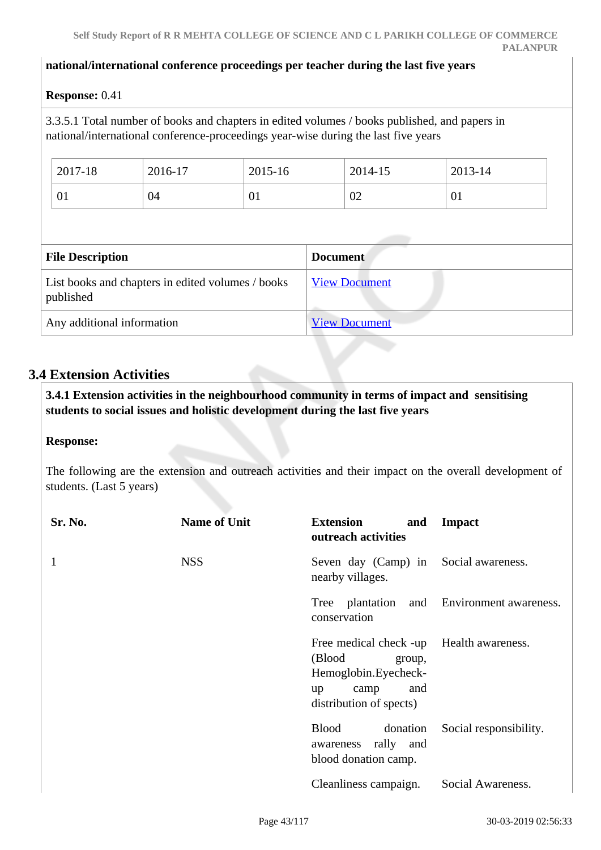#### **national/international conference proceedings per teacher during the last five years**

#### **Response:** 0.41

3.3.5.1 Total number of books and chapters in edited volumes / books published, and papers in national/international conference-proceedings year-wise during the last five years

| 2017-18 | 2016-17 | 2015-16 | 2014-15 | 2013-14 |
|---------|---------|---------|---------|---------|
| 01      | 04      | 01      | 02      | V1      |

| <b>File Description</b>                                        | <b>Document</b>      |
|----------------------------------------------------------------|----------------------|
| List books and chapters in edited volumes / books<br>published | <b>View Document</b> |
| Any additional information                                     | <b>View Document</b> |

# **3.4 Extension Activities**

 **3.4.1 Extension activities in the neighbourhood community in terms of impact and sensitising students to social issues and holistic development during the last five years**

#### **Response:**

The following are the extension and outreach activities and their impact on the overall development of students. (Last 5 years)

| Sr. No. | <b>Name of Unit</b> | <b>Extension</b><br>and<br>outreach activities                                                                                       | <b>Impact</b>          |
|---------|---------------------|--------------------------------------------------------------------------------------------------------------------------------------|------------------------|
|         | <b>NSS</b>          | Seven day (Camp) in<br>nearby villages.                                                                                              | Social awareness.      |
|         |                     | Tree plantation<br>and<br>conservation                                                                                               | Environment awareness. |
|         |                     | Free medical check -up Health awareness.<br>(Blood<br>group,<br>Hemoglobin.Eyecheck-<br>and<br>camp<br>up<br>distribution of spects) |                        |
|         |                     | <b>Blood</b><br>donation<br>awareness rally and<br>blood donation camp.                                                              | Social responsibility. |
|         |                     | Cleanliness campaign.                                                                                                                | Social Awareness.      |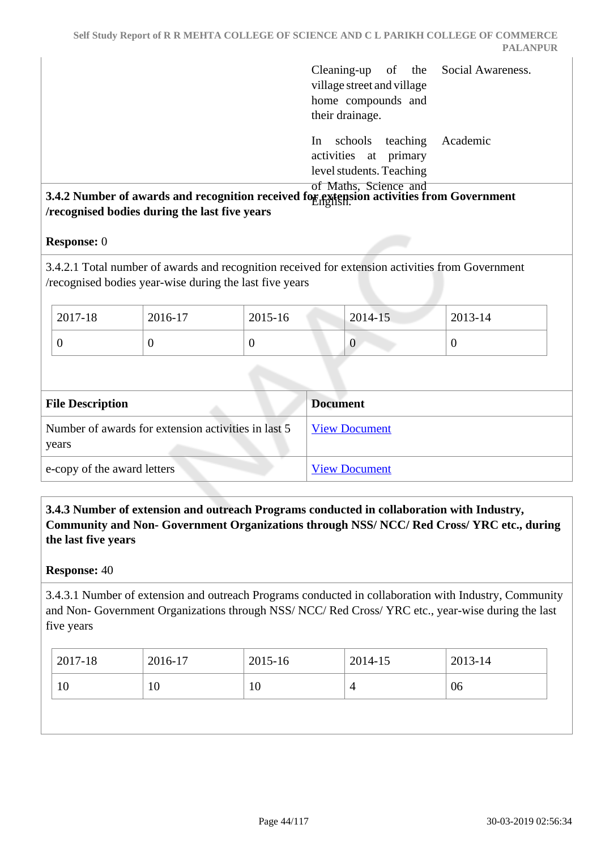|                                                                    | Cleaning-up of the Social Awareness.<br>village street and village<br>home compounds and<br>their drainage.       |
|--------------------------------------------------------------------|-------------------------------------------------------------------------------------------------------------------|
|                                                                    | In schools teaching<br>Academic<br>activities at primary<br>level students. Teaching                              |
| recognised bodies during the last five years<br><b>Response:</b> 0 | of Maths, Science and<br>3.4.2 Number of awards and recognition received for extension activities from Government |
| /recognised bodies year-wise during the last five years            | 3.4.2.1 Total number of awards and recognition received for extension activities from Government                  |

| $2017 - 18$ | 2016-17 | $12015 - 16$ | $2014 - 15$ | $2013 - 14$ |
|-------------|---------|--------------|-------------|-------------|
|             |         |              |             |             |

| <b>File Description</b>                                      | <b>Document</b>      |
|--------------------------------------------------------------|----------------------|
| Number of awards for extension activities in last 5<br>years | <b>View Document</b> |
| e-copy of the award letters                                  | <b>View Document</b> |

## **3.4.3 Number of extension and outreach Programs conducted in collaboration with Industry, Community and Non- Government Organizations through NSS/ NCC/ Red Cross/ YRC etc., during the last five years**

#### **Response:** 40

3.4.3.1 Number of extension and outreach Programs conducted in collaboration with Industry, Community and Non- Government Organizations through NSS/ NCC/ Red Cross/ YRC etc., year-wise during the last five years

| 2017-18 | 2016-17 | 2015-16 | 2014-15 | 2013-14 |
|---------|---------|---------|---------|---------|
| 10      | 10      | 10      |         | 06      |
|         |         |         |         |         |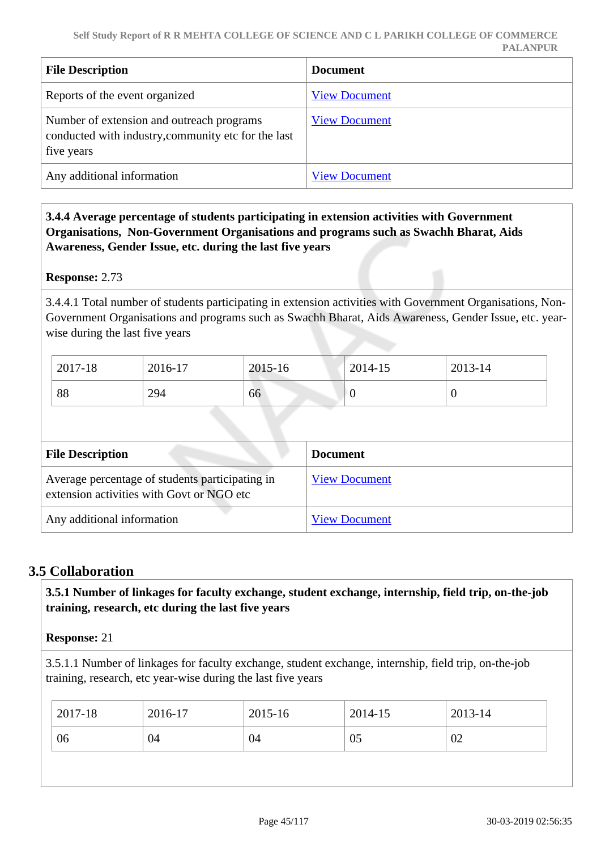| <b>File Description</b>                                                                                        | <b>Document</b>      |
|----------------------------------------------------------------------------------------------------------------|----------------------|
| Reports of the event organized                                                                                 | <b>View Document</b> |
| Number of extension and outreach programs<br>conducted with industry, community etc for the last<br>five years | <b>View Document</b> |
| Any additional information                                                                                     | <b>View Document</b> |

## **3.4.4 Average percentage of students participating in extension activities with Government Organisations, Non-Government Organisations and programs such as Swachh Bharat, Aids Awareness, Gender Issue, etc. during the last five years**

**Response:** 2.73

3.4.4.1 Total number of students participating in extension activities with Government Organisations, Non-Government Organisations and programs such as Swachh Bharat, Aids Awareness, Gender Issue, etc. yearwise during the last five years

| 2017-18 | 2016-17 | 2015-16 | 2014-15 | 2013-14 |
|---------|---------|---------|---------|---------|
| 88      | 294     | 66      | ν       | U       |

| <b>File Description</b>                                                                      | <b>Document</b>      |
|----------------------------------------------------------------------------------------------|----------------------|
| Average percentage of students participating in<br>extension activities with Govt or NGO etc | <b>View Document</b> |
| Any additional information                                                                   | <b>View Document</b> |

# **3.5 Collaboration**

 **3.5.1 Number of linkages for faculty exchange, student exchange, internship, field trip, on-the-job training, research, etc during the last five years**

## **Response:** 21

3.5.1.1 Number of linkages for faculty exchange, student exchange, internship, field trip, on-the-job training, research, etc year-wise during the last five years

| $12017 - 18$ | 2016-17 | 2015-16 | 2014-15 | 2013-14 |
|--------------|---------|---------|---------|---------|
| 06<br>04     |         | 04      | 05      | 02      |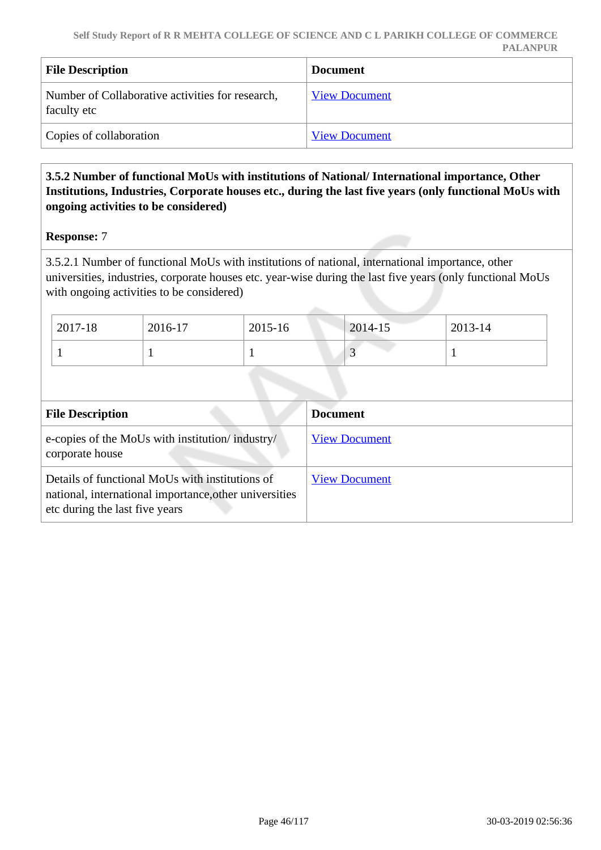| <b>File Description</b>                                         | <b>Document</b>      |
|-----------------------------------------------------------------|----------------------|
| Number of Collaborative activities for research,<br>faculty etc | <b>View Document</b> |
| Copies of collaboration                                         | <b>View Document</b> |

## **3.5.2 Number of functional MoUs with institutions of National/ International importance, Other Institutions, Industries, Corporate houses etc., during the last five years (only functional MoUs with ongoing activities to be considered)**

#### **Response:** 7

3.5.2.1 Number of functional MoUs with institutions of national, international importance, other universities, industries, corporate houses etc. year-wise during the last five years (only functional MoUs with ongoing activities to be considered)

| 2017-18 | 2016-17 | 2015-16 | 2014-15 | 2013-14 |
|---------|---------|---------|---------|---------|
|         |         |         |         |         |

| <b>File Description</b>                                                                                                                     | <b>Document</b>      |
|---------------------------------------------------------------------------------------------------------------------------------------------|----------------------|
| e-copies of the MoUs with institution/industry/<br>corporate house                                                                          | <b>View Document</b> |
| Details of functional MoUs with institutions of<br>national, international importance, other universities<br>etc during the last five years | <b>View Document</b> |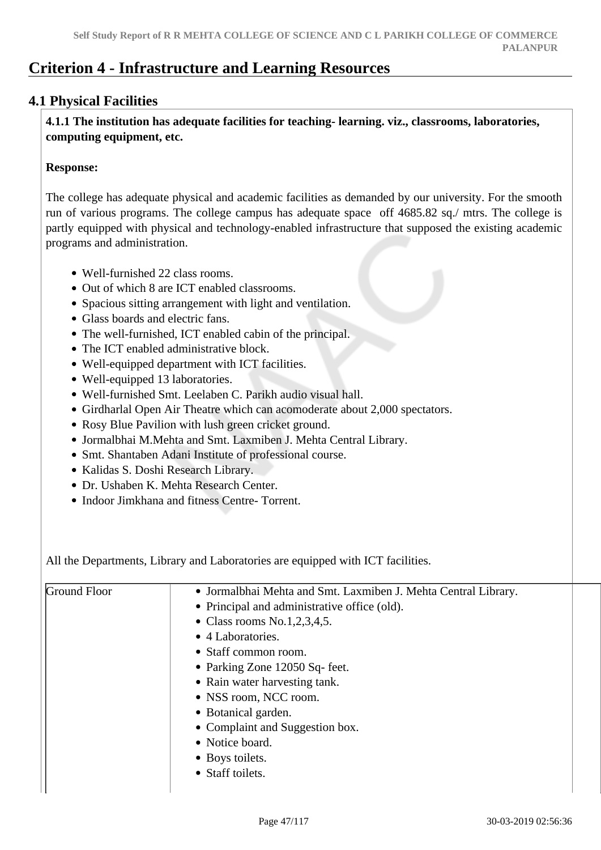# **Criterion 4 - Infrastructure and Learning Resources**

# **4.1 Physical Facilities**

 **4.1.1 The institution has adequate facilities for teaching- learning. viz., classrooms, laboratories, computing equipment, etc.**

#### **Response:**

The college has adequate physical and academic facilities as demanded by our university. For the smooth run of various programs. The college campus has adequate space off 4685.82 sq./ mtrs. The college is partly equipped with physical and technology-enabled infrastructure that supposed the existing academic programs and administration.

- Well-furnished 22 class rooms.
- Out of which 8 are ICT enabled classrooms.
- Spacious sitting arrangement with light and ventilation.
- Glass boards and electric fans.
- The well-furnished, ICT enabled cabin of the principal.
- The ICT enabled administrative block.
- Well-equipped department with ICT facilities.
- Well-equipped 13 laboratories.
- Well-furnished Smt. Leelaben C. Parikh audio visual hall.
- Girdharlal Open Air Theatre which can acomoderate about 2,000 spectators.
- Rosy Blue Pavilion with lush green cricket ground.
- Jormalbhai M.Mehta and Smt. Laxmiben J. Mehta Central Library.
- Smt. Shantaben Adani Institute of professional course.
- Kalidas S. Doshi Research Library.
- Dr. Ushaben K. Mehta Research Center.
- Indoor Jimkhana and fitness Centre- Torrent.

All the Departments, Library and Laboratories are equipped with ICT facilities.

| Ground Floor | • Jormalbhai Mehta and Smt. Laxmiben J. Mehta Central Library. |
|--------------|----------------------------------------------------------------|
|              | • Principal and administrative office (old).                   |
|              | • Class rooms $No.1, 2, 3, 4, 5$ .                             |
|              | • 4 Laboratories.                                              |
|              | • Staff common room.                                           |
|              | • Parking Zone 12050 Sq- feet.                                 |
|              | • Rain water harvesting tank.                                  |
|              | • NSS room, NCC room.                                          |
|              | • Botanical garden.                                            |
|              | • Complaint and Suggestion box.                                |
|              | • Notice board.                                                |
|              | • Boys toilets.                                                |
|              | • Staff toilets.                                               |
|              |                                                                |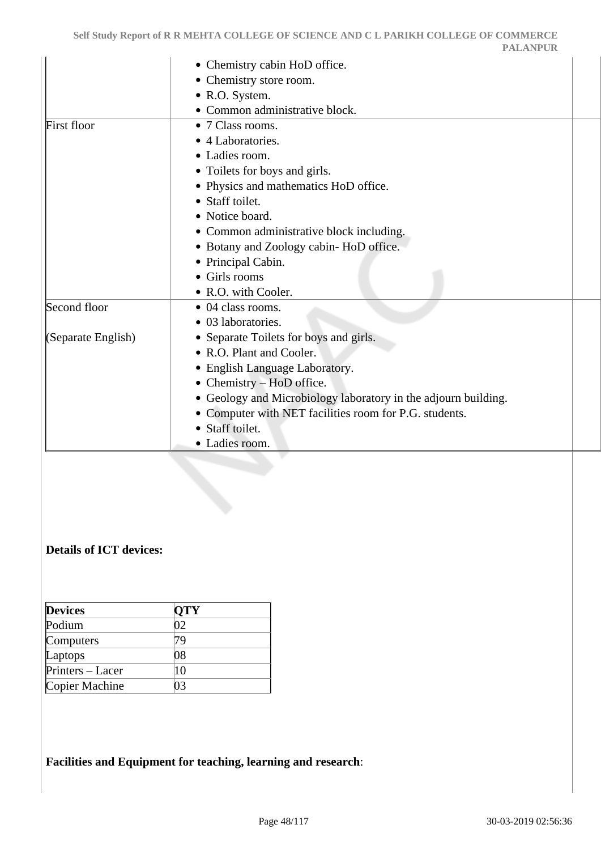|                    | • Chemistry cabin HoD office.                                  |  |
|--------------------|----------------------------------------------------------------|--|
|                    | • Chemistry store room.                                        |  |
|                    | • R.O. System.                                                 |  |
|                    | · Common administrative block.                                 |  |
| First floor        | • 7 Class rooms.                                               |  |
|                    | • 4 Laboratories.                                              |  |
|                    | • Ladies room.                                                 |  |
|                    | • Toilets for boys and girls.                                  |  |
|                    | • Physics and mathematics HoD office.                          |  |
|                    | • Staff toilet.                                                |  |
|                    | • Notice board.                                                |  |
|                    | • Common administrative block including.                       |  |
|                    | • Botany and Zoology cabin-HoD office.                         |  |
|                    | • Principal Cabin.                                             |  |
|                    | • Girls rooms                                                  |  |
|                    | • R.O. with Cooler.                                            |  |
| Second floor       | • 04 class rooms.                                              |  |
|                    | • 03 laboratories.                                             |  |
| (Separate English) | • Separate Toilets for boys and girls.                         |  |
|                    | • R.O. Plant and Cooler.                                       |  |
|                    | • English Language Laboratory.                                 |  |
|                    | • Chemistry – HoD office.                                      |  |
|                    | • Geology and Microbiology laboratory in the adjourn building. |  |
|                    | • Computer with NET facilities room for P.G. students.         |  |
|                    | • Staff toilet.                                                |  |
|                    | • Ladies room.                                                 |  |
|                    |                                                                |  |
|                    |                                                                |  |
|                    |                                                                |  |
|                    |                                                                |  |
|                    |                                                                |  |
|                    |                                                                |  |

# **Details of ICT devices:**

| <b>Devices</b>   | <b>QTY</b> |  |
|------------------|------------|--|
| Podium           | 02         |  |
| Computers        | 79         |  |
| Laptops          | 08         |  |
| Printers – Lacer | 10         |  |
| Copier Machine   | ገ3         |  |

**Facilities and Equipment for teaching, learning and research**: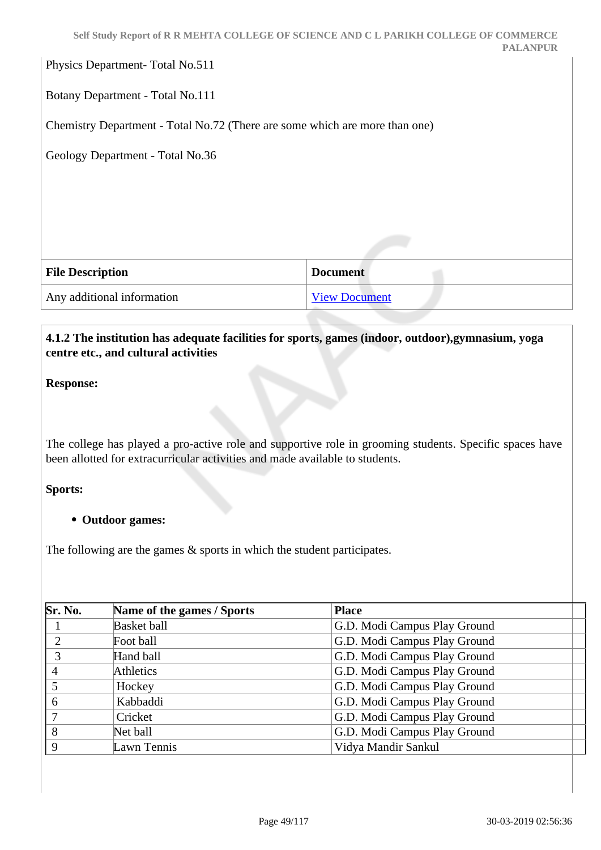|                                                                             | Self Study Report of R R MEHTA COLLEGE OF SCIENCE AND C L PARIKH COLLEGE OF COMMERCE<br><b>PALANPUR</b> |
|-----------------------------------------------------------------------------|---------------------------------------------------------------------------------------------------------|
| Physics Department-Total No.511                                             |                                                                                                         |
| Botany Department - Total No.111                                            |                                                                                                         |
| Chemistry Department - Total No.72 (There are some which are more than one) |                                                                                                         |
| Geology Department - Total No.36                                            |                                                                                                         |
|                                                                             |                                                                                                         |
|                                                                             |                                                                                                         |
|                                                                             |                                                                                                         |
| <b>File Description</b>                                                     | <b>Document</b>                                                                                         |
| Any additional information                                                  | <b>View Document</b>                                                                                    |

## **4.1.2 The institution has adequate facilities for sports, games (indoor, outdoor),gymnasium, yoga centre etc., and cultural activities**

**Response:** 

The college has played a pro-active role and supportive role in grooming students. Specific spaces have been allotted for extracurricular activities and made available to students.

#### **Sports:**

#### **Outdoor games:**

The following are the games  $\&$  sports in which the student participates.

| Sr. No. | Name of the games / Sports | <b>Place</b>                 |
|---------|----------------------------|------------------------------|
|         | <b>Basket ball</b>         | G.D. Modi Campus Play Ground |
|         | Foot ball                  | G.D. Modi Campus Play Ground |
|         | Hand ball                  | G.D. Modi Campus Play Ground |
| 4       | Athletics                  | G.D. Modi Campus Play Ground |
|         | Hockey                     | G.D. Modi Campus Play Ground |
| 6       | Kabbaddi                   | G.D. Modi Campus Play Ground |
|         | Cricket                    | G.D. Modi Campus Play Ground |
| 8       | Net ball                   | G.D. Modi Campus Play Ground |
| Q       | Lawn Tennis                | Vidya Mandir Sankul          |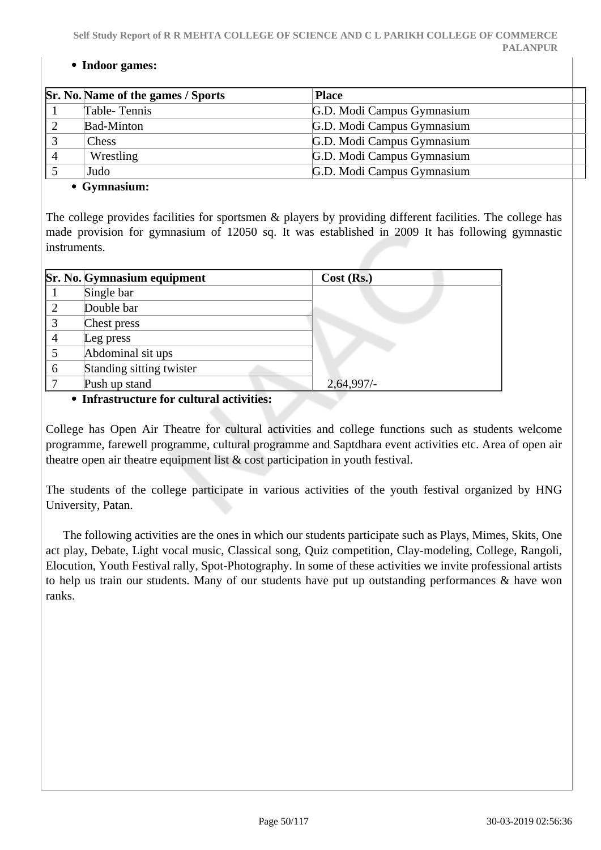#### **Indoor games:**

| Sr. No. Name of the games / Sports | <b>Place</b>               |
|------------------------------------|----------------------------|
| Table-Tennis                       | G.D. Modi Campus Gymnasium |
| <b>Bad-Minton</b>                  | G.D. Modi Campus Gymnasium |
| <b>Chess</b>                       | G.D. Modi Campus Gymnasium |
| Wrestling                          | G.D. Modi Campus Gymnasium |
| Judo                               | G.D. Modi Campus Gymnasium |
| $\bullet$ Cymnocium $\cdot$        |                            |

#### **Gymnasium:**

The college provides facilities for sportsmen & players by providing different facilities. The college has made provision for gymnasium of 12050 sq. It was established in 2009 It has following gymnastic instruments.

|   | Sr. No. Gymnasium equipment | $Cost$ (Rs.) |
|---|-----------------------------|--------------|
|   | Single bar                  |              |
|   | Double bar                  |              |
| 3 | Chest press                 |              |
| 4 | Leg press                   |              |
|   | Abdominal sit ups           |              |
| 6 | Standing sitting twister    |              |
|   | Push up stand               | 2,64,997/-   |

#### **Infrastructure for cultural activities:**

College has Open Air Theatre for cultural activities and college functions such as students welcome programme, farewell programme, cultural programme and Saptdhara event activities etc. Area of open air theatre open air theatre equipment list & cost participation in youth festival.

The students of the college participate in various activities of the youth festival organized by HNG University, Patan.

 The following activities are the ones in which our students participate such as Plays, Mimes, Skits, One act play, Debate, Light vocal music, Classical song, Quiz competition, Clay-modeling, College, Rangoli, Elocution, Youth Festival rally, Spot-Photography. In some of these activities we invite professional artists to help us train our students. Many of our students have put up outstanding performances & have won ranks.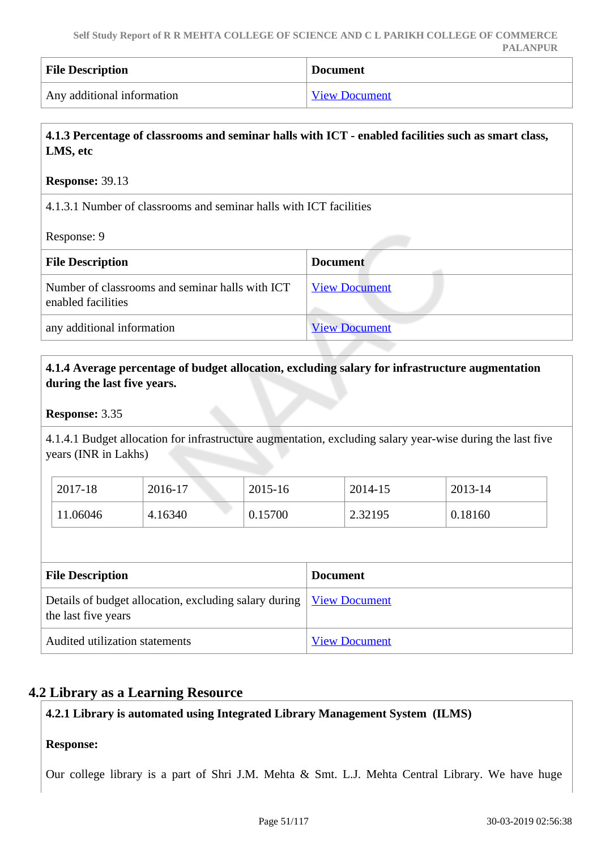| <b>File Description</b>    | <b>Document</b> |
|----------------------------|-----------------|
| Any additional information | View Document   |

# **4.1.3 Percentage of classrooms and seminar halls with ICT - enabled facilities such as smart class, LMS, etc**

#### **Response:** 39.13

4.1.3.1 Number of classrooms and seminar halls with ICT facilities

#### Response: 9

| <b>File Description</b>                                               | <b>Document</b>      |
|-----------------------------------------------------------------------|----------------------|
| Number of classrooms and seminar halls with ICT<br>enabled facilities | <b>View Document</b> |
| any additional information                                            | <b>View Document</b> |

## **4.1.4 Average percentage of budget allocation, excluding salary for infrastructure augmentation during the last five years.**

#### **Response:** 3.35

4.1.4.1 Budget allocation for infrastructure augmentation, excluding salary year-wise during the last five years (INR in Lakhs)

| 2017-18  | 2016-17 | $2015 - 16$ | 2014-15 | 2013-14 |
|----------|---------|-------------|---------|---------|
| 11.06046 | 4.16340 | 0.15700     | 2.32195 | 0.18160 |

| <b>File Description</b>                                                                             | <b>Document</b>      |
|-----------------------------------------------------------------------------------------------------|----------------------|
| Details of budget allocation, excluding salary during   <u>View Document</u><br>the last five years |                      |
| Audited utilization statements                                                                      | <b>View Document</b> |

# **4.2 Library as a Learning Resource**

## **4.2.1 Library is automated using Integrated Library Management System (ILMS)**

#### **Response:**

Our college library is a part of Shri J.M. Mehta & Smt. L.J. Mehta Central Library. We have huge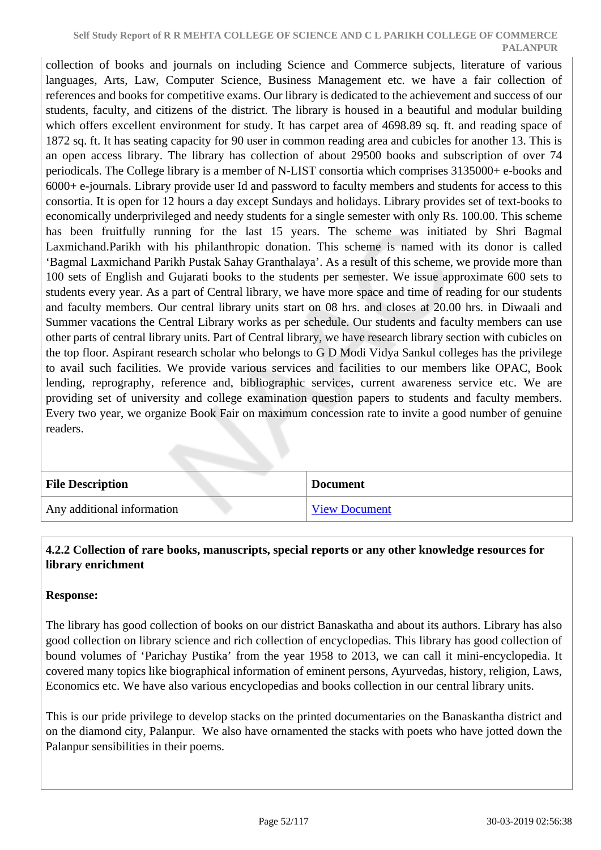collection of books and journals on including Science and Commerce subjects, literature of various languages, Arts, Law, Computer Science, Business Management etc. we have a fair collection of references and books for competitive exams. Our library is dedicated to the achievement and success of our students, faculty, and citizens of the district. The library is housed in a beautiful and modular building which offers excellent environment for study. It has carpet area of 4698.89 sq. ft. and reading space of 1872 sq. ft. It has seating capacity for 90 user in common reading area and cubicles for another 13. This is an open access library. The library has collection of about 29500 books and subscription of over 74 periodicals. The College library is a member of N-LIST consortia which comprises 3135000+ e-books and 6000+ e-journals. Library provide user Id and password to faculty members and students for access to this consortia. It is open for 12 hours a day except Sundays and holidays. Library provides set of text-books to economically underprivileged and needy students for a single semester with only Rs. 100.00. This scheme has been fruitfully running for the last 15 years. The scheme was initiated by Shri Bagmal Laxmichand.Parikh with his philanthropic donation. This scheme is named with its donor is called 'Bagmal Laxmichand Parikh Pustak Sahay Granthalaya'. As a result of this scheme, we provide more than 100 sets of English and Gujarati books to the students per semester. We issue approximate 600 sets to students every year. As a part of Central library, we have more space and time of reading for our students and faculty members. Our central library units start on 08 hrs. and closes at 20.00 hrs. in Diwaali and Summer vacations the Central Library works as per schedule. Our students and faculty members can use other parts of central library units. Part of Central library, we have research library section with cubicles on the top floor. Aspirant research scholar who belongs to G D Modi Vidya Sankul colleges has the privilege to avail such facilities. We provide various services and facilities to our members like OPAC, Book lending, reprography, reference and, bibliographic services, current awareness service etc. We are providing set of university and college examination question papers to students and faculty members. Every two year, we organize Book Fair on maximum concession rate to invite a good number of genuine readers.

| <b>File Description</b>    | <b>Document</b>      |
|----------------------------|----------------------|
| Any additional information | <b>View Document</b> |

### **4.2.2 Collection of rare books, manuscripts, special reports or any other knowledge resources for library enrichment**

## **Response:**

The library has good collection of books on our district Banaskatha and about its authors. Library has also good collection on library science and rich collection of encyclopedias. This library has good collection of bound volumes of 'Parichay Pustika' from the year 1958 to 2013, we can call it mini-encyclopedia. It covered many topics like biographical information of eminent persons, Ayurvedas, history, religion, Laws, Economics etc. We have also various encyclopedias and books collection in our central library units.

This is our pride privilege to develop stacks on the printed documentaries on the Banaskantha district and on the diamond city, Palanpur. We also have ornamented the stacks with poets who have jotted down the Palanpur sensibilities in their poems.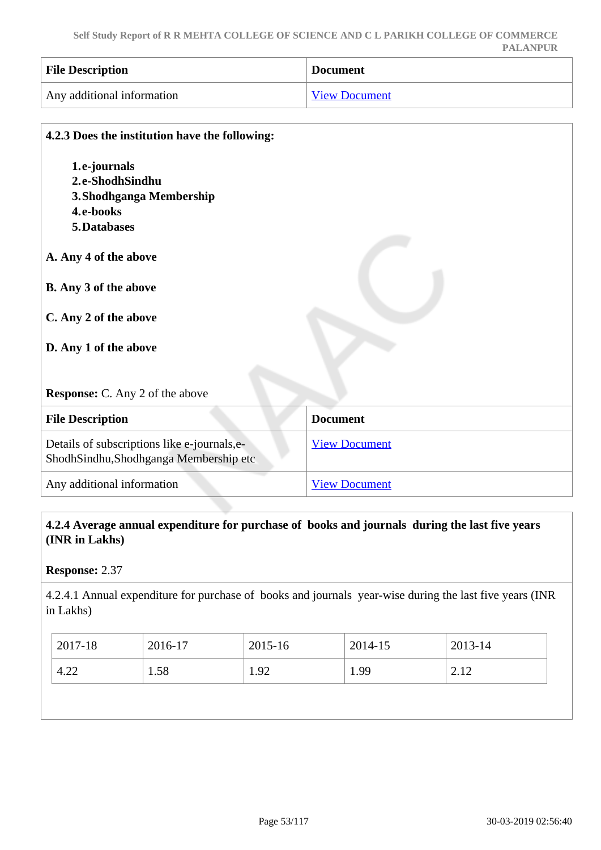| <b>File Description</b>    | <b>Document</b>      |
|----------------------------|----------------------|
| Any additional information | <b>View Document</b> |

| 4.2.3 Does the institution have the following:                                        |                      |
|---------------------------------------------------------------------------------------|----------------------|
| 1.e-journals                                                                          |                      |
| 2.e-ShodhSindhu                                                                       |                      |
| 3. Shodhganga Membership                                                              |                      |
| 4.e-books                                                                             |                      |
| 5. Databases                                                                          |                      |
| A. Any 4 of the above                                                                 |                      |
| <b>B.</b> Any 3 of the above                                                          |                      |
| C. Any 2 of the above                                                                 |                      |
| D. Any 1 of the above                                                                 |                      |
| <b>Response:</b> C. Any 2 of the above                                                |                      |
| <b>File Description</b>                                                               | <b>Document</b>      |
| Details of subscriptions like e-journals, e-<br>ShodhSindhu,Shodhganga Membership etc | <b>View Document</b> |
| Any additional information                                                            | <b>View Document</b> |

# **4.2.4 Average annual expenditure for purchase of books and journals during the last five years (INR in Lakhs)**

# **Response:** 2.37

4.2.4.1 Annual expenditure for purchase of books and journals year-wise during the last five years (INR in Lakhs)

| 2017-18 | 2016-17 | 2015-16 | 2014-15 | 2013-14     |
|---------|---------|---------|---------|-------------|
| 4.22    | 1.58    | 1.92    | 1.99    | 212<br>4.14 |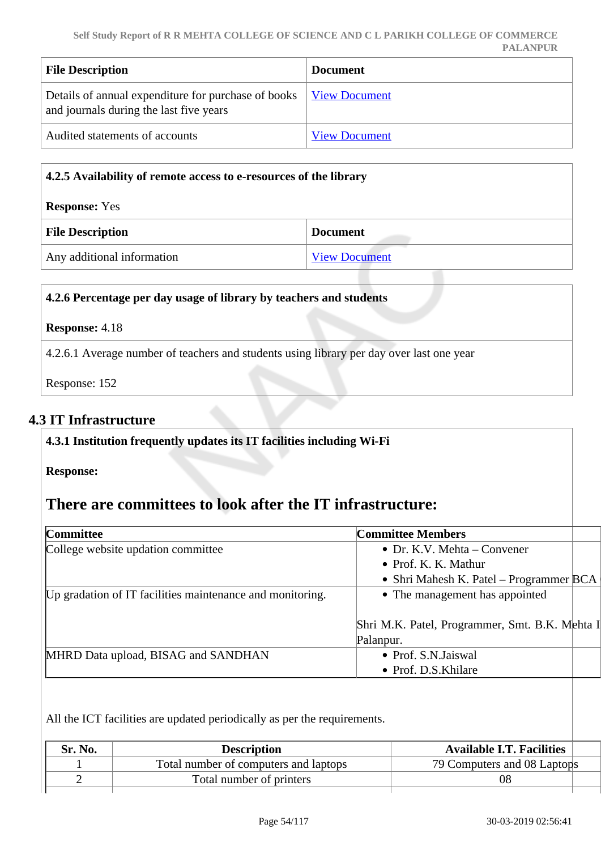| <b>File Description</b>                                                                                               | <b>Document</b>      |
|-----------------------------------------------------------------------------------------------------------------------|----------------------|
| Details of annual expenditure for purchase of books   <u>View Document</u><br>and journals during the last five years |                      |
| Audited statements of accounts                                                                                        | <b>View Document</b> |

| 4.2.5 Availability of remote access to e-resources of the library |                      |  |
|-------------------------------------------------------------------|----------------------|--|
| <b>Response:</b> Yes                                              |                      |  |
| <b>File Description</b><br><b>Document</b>                        |                      |  |
| Any additional information                                        | <b>View Document</b> |  |

|                       | 4.2.6 Percentage per day usage of library by teachers and students                       |
|-----------------------|------------------------------------------------------------------------------------------|
| <b>Response:</b> 4.18 |                                                                                          |
|                       | 4.2.6.1 Average number of teachers and students using library per day over last one year |
| Response: 152         |                                                                                          |

# **4.3 IT Infrastructure**

| 4.3.1 Institution frequently updates its IT facilities including Wi-Fi |                                                |  |
|------------------------------------------------------------------------|------------------------------------------------|--|
| <b>Response:</b>                                                       |                                                |  |
| There are committees to look after the IT infrastructure:              |                                                |  |
| Committee                                                              | <b>Committee Members</b>                       |  |
| College website updation committee                                     | • Dr. K.V. Mehta – Convener                    |  |
|                                                                        | • Prof. K. K. Mathur                           |  |
|                                                                        | • Shri Mahesh K. Patel – Programmer BCA        |  |
| Up gradation of IT facilities maintenance and monitoring.              | • The management has appointed                 |  |
|                                                                        | Shri M.K. Patel, Programmer, Smt. B.K. Mehta I |  |
|                                                                        | Palanpur.                                      |  |
| MHRD Data upload, BISAG and SANDHAN                                    | • Prof. S.N. Jaiswal                           |  |
|                                                                        | • Prof. D.S.Khilare                            |  |

All the ICT facilities are updated periodically as per the requirements.

| Sr. No. | <b>Description</b>                    | <b>Available I.T. Facilities</b> |
|---------|---------------------------------------|----------------------------------|
|         | Total number of computers and laptops | 79 Computers and 08 Laptops      |
|         | Total number of printers              | -08                              |
|         |                                       |                                  |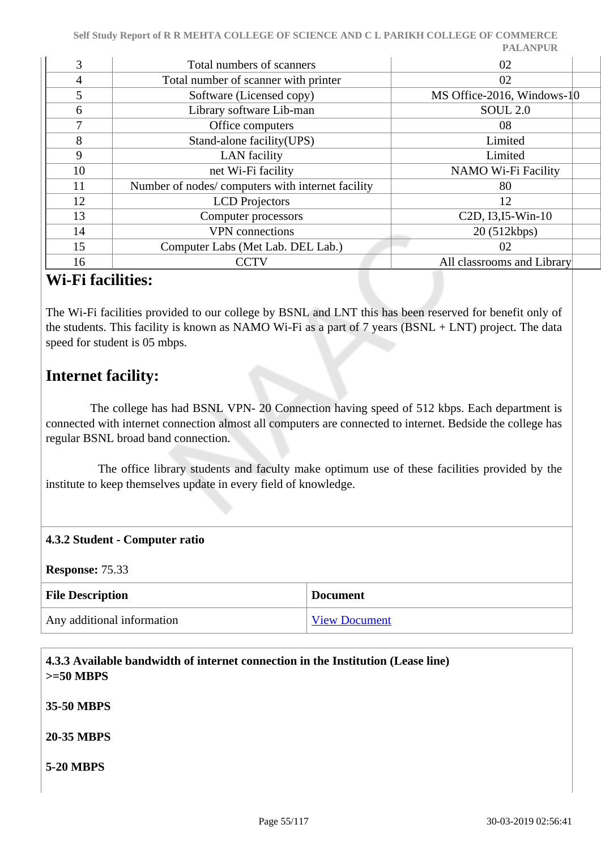| 3              | Total numbers of scanners                        | 02                                                        |
|----------------|--------------------------------------------------|-----------------------------------------------------------|
| $\overline{4}$ | Total number of scanner with printer             | 02                                                        |
| 5              | Software (Licensed copy)                         | MS Office-2016, Windows-10                                |
| 6              | Library software Lib-man                         | SOUL <sub>2.0</sub>                                       |
| 7              | Office computers                                 | 08                                                        |
| 8              | Stand-alone facility (UPS)                       | Limited                                                   |
| 9              | <b>LAN</b> facility                              | Limited                                                   |
| 10             | net Wi-Fi facility                               | NAMO Wi-Fi Facility                                       |
| 11             | Number of nodes/computers with internet facility | 80                                                        |
| 12             | <b>LCD</b> Projectors                            | 12                                                        |
| 13             | Computer processors                              | C <sub>2</sub> D, I <sub>3</sub> , I <sub>5</sub> -Win-10 |
| 14             | <b>VPN</b> connections                           | 20 (512kbps)                                              |
| 15             | Computer Labs (Met Lab. DEL Lab.)                | 02                                                        |
| 16             | <b>CCTV</b>                                      | All classrooms and Library                                |

# **Wi-Fi facilities:**

The Wi-Fi facilities provided to our college by BSNL and LNT this has been reserved for benefit only of the students. This facility is known as NAMO Wi-Fi as a part of 7 years (BSNL + LNT) project. The data speed for student is 05 mbps.

# **Internet facility:**

 The college has had BSNL VPN- 20 Connection having speed of 512 kbps. Each department is connected with internet connection almost all computers are connected to internet. Bedside the college has regular BSNL broad band connection.

 The office library students and faculty make optimum use of these facilities provided by the institute to keep themselves update in every field of knowledge.

## **4.3.2 Student - Computer ratio**

**Response:** 75.33

| <b>File Description</b>    | <b>Document</b>      |
|----------------------------|----------------------|
| Any additional information | <b>View Document</b> |

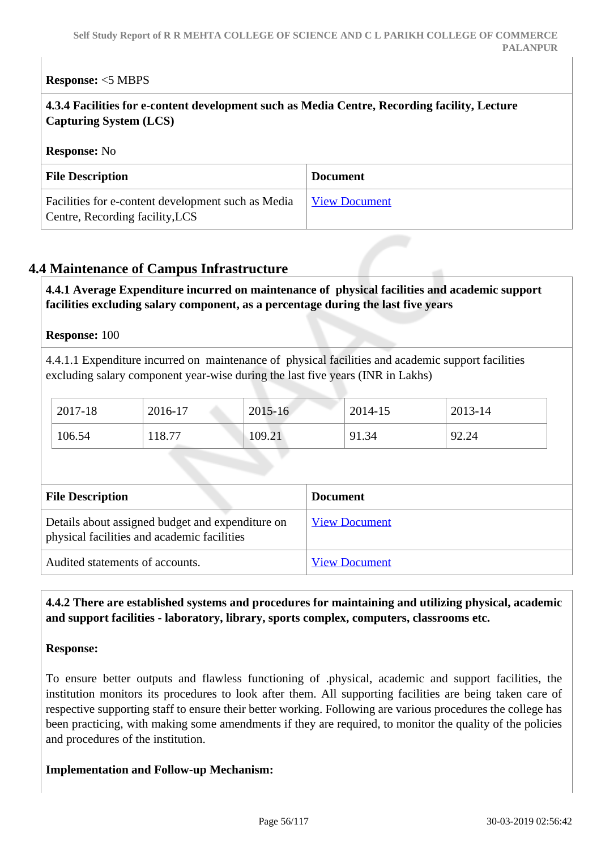## **Response:** <5 MBPS

| 4.3.4 Facilities for e-content development such as Media Centre, Recording facility, Lecture |
|----------------------------------------------------------------------------------------------|
| $\vert$ Capturing System (LCS)                                                               |

#### **Response:** No

| <b>File Description</b>                                                               | <b>Document</b>      |
|---------------------------------------------------------------------------------------|----------------------|
| Facilities for e-content development such as Media<br>Centre, Recording facility, LCS | <b>View Document</b> |

## **4.4 Maintenance of Campus Infrastructure**

 **4.4.1 Average Expenditure incurred on maintenance of physical facilities and academic support facilities excluding salary component, as a percentage during the last five years**

#### **Response:** 100

4.4.1.1 Expenditure incurred on maintenance of physical facilities and academic support facilities excluding salary component year-wise during the last five years (INR in Lakhs)

| 2017-18 | 2016-17 | 2015-16 | 2014-15 | 2013-14 |
|---------|---------|---------|---------|---------|
| 106.54  | 118.77  | 109.21  | 91.34   | 92.24   |

| <b>File Description</b>                                                                         | <b>Document</b>      |
|-------------------------------------------------------------------------------------------------|----------------------|
| Details about assigned budget and expenditure on<br>physical facilities and academic facilities | <b>View Document</b> |
| Audited statements of accounts.                                                                 | <b>View Document</b> |

### **4.4.2 There are established systems and procedures for maintaining and utilizing physical, academic and support facilities - laboratory, library, sports complex, computers, classrooms etc.**

#### **Response:**

To ensure better outputs and flawless functioning of .physical, academic and support facilities, the institution monitors its procedures to look after them. All supporting facilities are being taken care of respective supporting staff to ensure their better working. Following are various procedures the college has been practicing, with making some amendments if they are required, to monitor the quality of the policies and procedures of the institution.

#### **Implementation and Follow-up Mechanism:**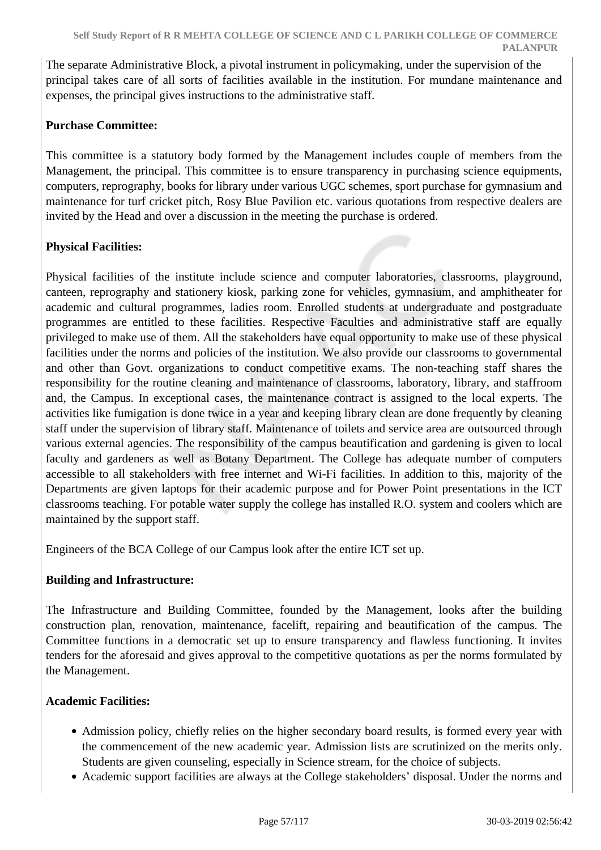The separate Administrative Block, a pivotal instrument in policymaking, under the supervision of the principal takes care of all sorts of facilities available in the institution. For mundane maintenance and expenses, the principal gives instructions to the administrative staff.

## **Purchase Committee:**

This committee is a statutory body formed by the Management includes couple of members from the Management, the principal. This committee is to ensure transparency in purchasing science equipments, computers, reprography, books for library under various UGC schemes, sport purchase for gymnasium and maintenance for turf cricket pitch, Rosy Blue Pavilion etc. various quotations from respective dealers are invited by the Head and over a discussion in the meeting the purchase is ordered.

## **Physical Facilities:**

Physical facilities of the institute include science and computer laboratories, classrooms, playground, canteen, reprography and stationery kiosk, parking zone for vehicles, gymnasium, and amphitheater for academic and cultural programmes, ladies room. Enrolled students at undergraduate and postgraduate programmes are entitled to these facilities. Respective Faculties and administrative staff are equally privileged to make use of them. All the stakeholders have equal opportunity to make use of these physical facilities under the norms and policies of the institution. We also provide our classrooms to governmental and other than Govt. organizations to conduct competitive exams. The non-teaching staff shares the responsibility for the routine cleaning and maintenance of classrooms, laboratory, library, and staffroom and, the Campus. In exceptional cases, the maintenance contract is assigned to the local experts. The activities like fumigation is done twice in a year and keeping library clean are done frequently by cleaning staff under the supervision of library staff. Maintenance of toilets and service area are outsourced through various external agencies. The responsibility of the campus beautification and gardening is given to local faculty and gardeners as well as Botany Department. The College has adequate number of computers accessible to all stakeholders with free internet and Wi-Fi facilities. In addition to this, majority of the Departments are given laptops for their academic purpose and for Power Point presentations in the ICT classrooms teaching. For potable water supply the college has installed R.O. system and coolers which are maintained by the support staff.

Engineers of the BCA College of our Campus look after the entire ICT set up.

## **Building and Infrastructure:**

The Infrastructure and Building Committee, founded by the Management, looks after the building construction plan, renovation, maintenance, facelift, repairing and beautification of the campus. The Committee functions in a democratic set up to ensure transparency and flawless functioning. It invites tenders for the aforesaid and gives approval to the competitive quotations as per the norms formulated by the Management.

## **Academic Facilities:**

- Admission policy, chiefly relies on the higher secondary board results, is formed every year with the commencement of the new academic year. Admission lists are scrutinized on the merits only. Students are given counseling, especially in Science stream, for the choice of subjects.
- Academic support facilities are always at the College stakeholders' disposal. Under the norms and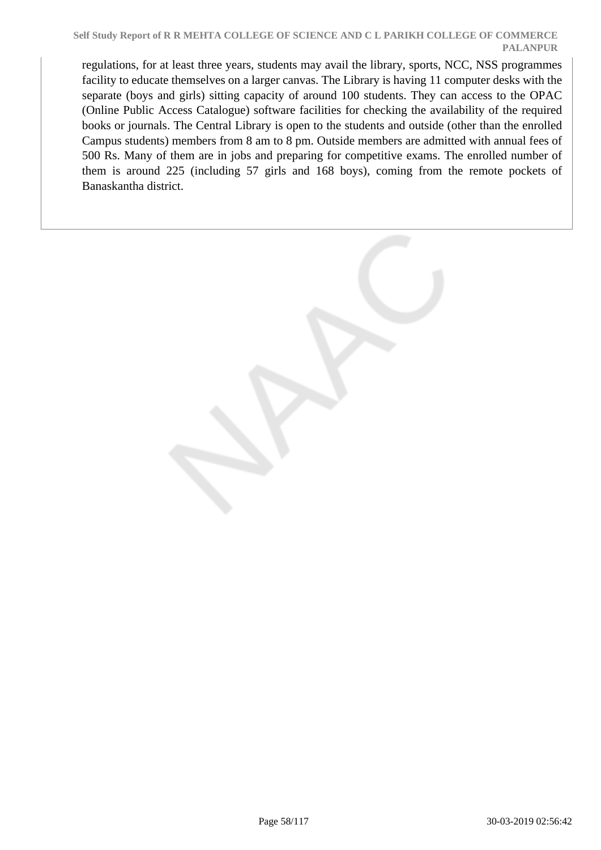regulations, for at least three years, students may avail the library, sports, NCC, NSS programmes facility to educate themselves on a larger canvas. The Library is having 11 computer desks with the separate (boys and girls) sitting capacity of around 100 students. They can access to the OPAC (Online Public Access Catalogue) software facilities for checking the availability of the required books or journals. The Central Library is open to the students and outside (other than the enrolled Campus students) members from 8 am to 8 pm. Outside members are admitted with annual fees of 500 Rs. Many of them are in jobs and preparing for competitive exams. The enrolled number of them is around 225 (including 57 girls and 168 boys), coming from the remote pockets of Banaskantha district.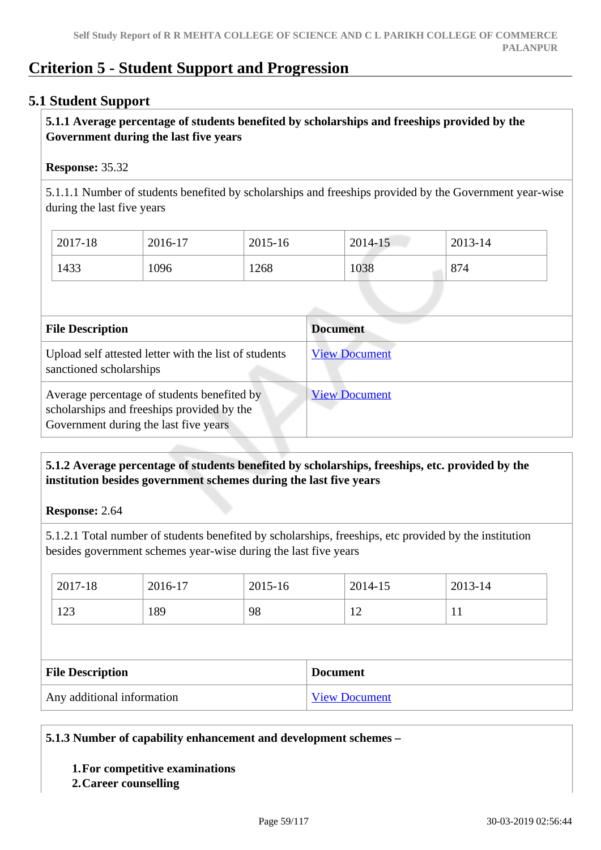# **Criterion 5 - Student Support and Progression**

## **5.1 Student Support**

## **5.1.1 Average percentage of students benefited by scholarships and freeships provided by the Government during the last five years**

#### **Response:** 35.32

5.1.1.1 Number of students benefited by scholarships and freeships provided by the Government year-wise during the last five years

| 2017-18 | 2016-17 | 2015-16 | 2014-15 | 2013-14 |
|---------|---------|---------|---------|---------|
| 1433    | 1096    | 1268    | 1038    | 874     |

| <b>File Description</b>                                                                                                            | <b>Document</b>      |
|------------------------------------------------------------------------------------------------------------------------------------|----------------------|
| Upload self attested letter with the list of students<br>sanctioned scholarships                                                   | <b>View Document</b> |
| Average percentage of students benefited by<br>scholarships and freeships provided by the<br>Government during the last five years | <b>View Document</b> |

## **5.1.2 Average percentage of students benefited by scholarships, freeships, etc. provided by the institution besides government schemes during the last five years**

**Response:** 2.64

5.1.2.1 Total number of students benefited by scholarships, freeships, etc provided by the institution besides government schemes year-wise during the last five years

| 2017-18                 | 2016-17 | 2015-16 |                 | 2014-15 | 2013-14 |  |  |
|-------------------------|---------|---------|-----------------|---------|---------|--|--|
| 123                     | 189     | 98      |                 | 12      | 11      |  |  |
|                         |         |         |                 |         |         |  |  |
|                         |         |         |                 |         |         |  |  |
| <b>File Description</b> |         |         | <b>Document</b> |         |         |  |  |

#### **5.1.3 Number of capability enhancement and development schemes –**

#### **1.For competitive examinations**

**2.Career counselling**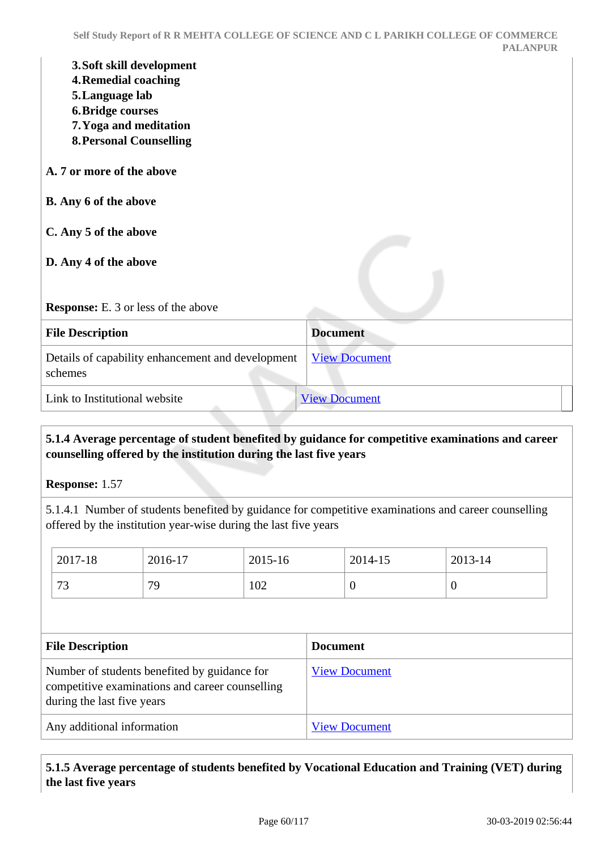|                                                                             | Self Study Report of R R MEHTA COLLEGE OF SCIENCE AND C L PARIKH COLLEGE OF COMMERCE<br><b>PALANPUR</b> |
|-----------------------------------------------------------------------------|---------------------------------------------------------------------------------------------------------|
| 3. Soft skill development<br><b>4. Remedial coaching</b><br>5. Language lab |                                                                                                         |
| <b>6. Bridge courses</b>                                                    |                                                                                                         |
| 7. Yoga and meditation<br><b>8. Personal Counselling</b>                    |                                                                                                         |
| A. 7 or more of the above                                                   |                                                                                                         |
| <b>B.</b> Any 6 of the above                                                |                                                                                                         |
| C. Any 5 of the above                                                       |                                                                                                         |
| D. Any 4 of the above                                                       |                                                                                                         |
| <b>Response:</b> E. 3 or less of the above                                  |                                                                                                         |
| <b>File Description</b>                                                     | <b>Document</b>                                                                                         |
| Details of capability enhancement and development<br>schemes                | <b>View Document</b>                                                                                    |
| Link to Institutional website                                               | <b>View Document</b>                                                                                    |
|                                                                             |                                                                                                         |

## **5.1.4 Average percentage of student benefited by guidance for competitive examinations and career counselling offered by the institution during the last five years**

**Response:** 1.57

5.1.4.1 Number of students benefited by guidance for competitive examinations and career counselling offered by the institution year-wise during the last five years

| 2017-18                                                                                                                       | 2016-17 | 2015-16 |  | 2014-15              | 2013-14        |  |  |
|-------------------------------------------------------------------------------------------------------------------------------|---------|---------|--|----------------------|----------------|--|--|
| 73                                                                                                                            | 79      | 102     |  | $\Omega$             | $\overline{0}$ |  |  |
|                                                                                                                               |         |         |  |                      |                |  |  |
| <b>File Description</b><br><b>Document</b>                                                                                    |         |         |  |                      |                |  |  |
| Number of students benefited by guidance for<br>competitive examinations and career counselling<br>during the last five years |         |         |  | <b>View Document</b> |                |  |  |
| Any additional information                                                                                                    |         |         |  |                      |                |  |  |

## **5.1.5 Average percentage of students benefited by Vocational Education and Training (VET) during the last five years**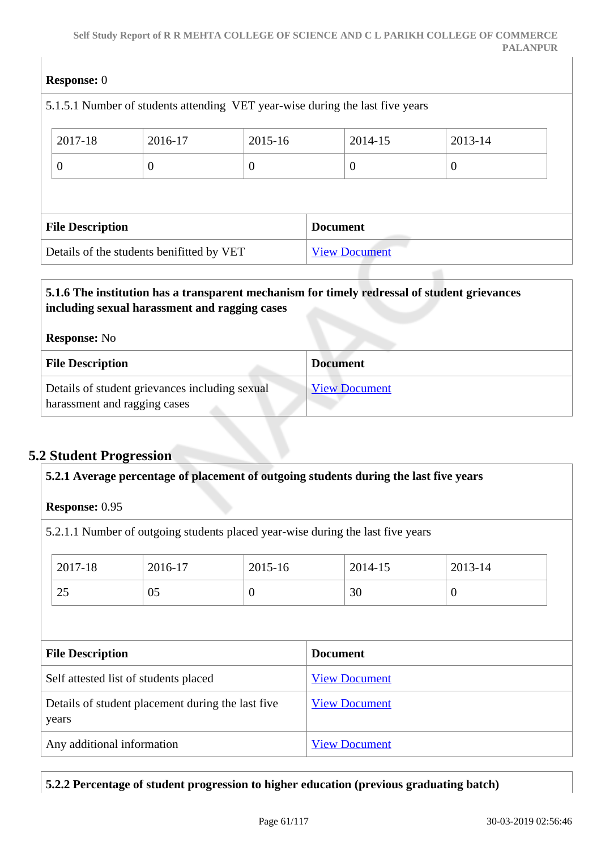| <b>Response:</b> 0      |                                                                               |                |                 |                      |          |  |
|-------------------------|-------------------------------------------------------------------------------|----------------|-----------------|----------------------|----------|--|
|                         | 5.1.5.1 Number of students attending VET year-wise during the last five years |                |                 |                      |          |  |
| 2017-18                 | 2016-17                                                                       | 2015-16        |                 | 2014-15              | 2013-14  |  |
| $\overline{0}$          | $\theta$                                                                      | $\overline{0}$ |                 | $\overline{0}$       | $\theta$ |  |
|                         |                                                                               |                |                 |                      |          |  |
| <b>File Description</b> |                                                                               |                | <b>Document</b> |                      |          |  |
|                         | Details of the students benifitted by VET                                     |                |                 | <b>View Document</b> |          |  |

# **5.1.6 The institution has a transparent mechanism for timely redressal of student grievances including sexual harassment and ragging cases Response:** No **File Description Document** Details of student grievances including sexual harassment and ragging cases [View Document](https://assessmentonline.naac.gov.in/storage/app/hei/SSR/102652/5.1.6_1550129711_2708.xlsx)

# **5.2 Student Progression**

| 5.2.1 Average percentage of placement of outgoing students during the last five years |                                       |                |                      |                |  |  |  |  |
|---------------------------------------------------------------------------------------|---------------------------------------|----------------|----------------------|----------------|--|--|--|--|
| <b>Response: 0.95</b>                                                                 |                                       |                |                      |                |  |  |  |  |
| 5.2.1.1 Number of outgoing students placed year-wise during the last five years       |                                       |                |                      |                |  |  |  |  |
| 2017-18                                                                               | 2016-17                               | $2015 - 16$    | 2014-15              | 2013-14        |  |  |  |  |
| 25                                                                                    | 05                                    | $\overline{0}$ | 30                   | $\overline{0}$ |  |  |  |  |
|                                                                                       |                                       |                |                      |                |  |  |  |  |
| <b>File Description</b>                                                               |                                       |                | <b>Document</b>      |                |  |  |  |  |
|                                                                                       |                                       |                |                      |                |  |  |  |  |
|                                                                                       | Self attested list of students placed |                | <b>View Document</b> |                |  |  |  |  |
| Details of student placement during the last five<br>years                            |                                       |                | <b>View Document</b> |                |  |  |  |  |
| Any additional information                                                            |                                       |                | <b>View Document</b> |                |  |  |  |  |

## **5.2.2 Percentage of student progression to higher education (previous graduating batch)**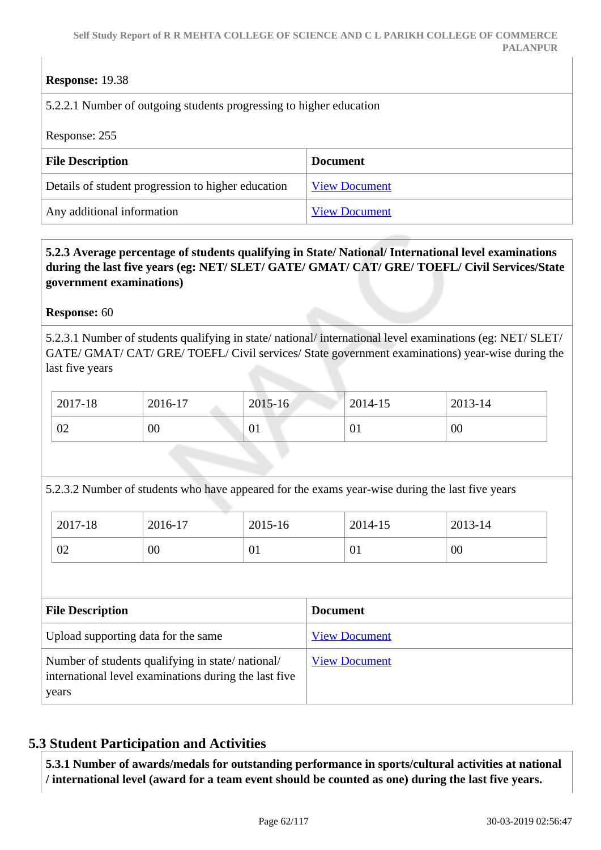## **Response:** 19.38

5.2.2.1 Number of outgoing students progressing to higher education

Response: 255

| <b>File Description</b>                            | <b>Document</b>      |
|----------------------------------------------------|----------------------|
| Details of student progression to higher education | <b>View Document</b> |
| Any additional information                         | <b>View Document</b> |

## **5.2.3 Average percentage of students qualifying in State/ National/ International level examinations during the last five years (eg: NET/ SLET/ GATE/ GMAT/ CAT/ GRE/ TOEFL/ Civil Services/State government examinations)**

**Response:** 60

5.2.3.1 Number of students qualifying in state/ national/ international level examinations (eg: NET/ SLET/ GATE/ GMAT/ CAT/ GRE/ TOEFL/ Civil services/ State government examinations) year-wise during the last five years

| 2017-18 | 2016-17 | 2015-16 | 2014-15 | 2013-14 |
|---------|---------|---------|---------|---------|
| 02      | $00\,$  | 01      | 01      | 00      |

5.2.3.2 Number of students who have appeared for the exams year-wise during the last five years

| 2017-18        | 2016-17 | 2015-16 | 2014-15 | 2013-14 |
|----------------|---------|---------|---------|---------|
| $\Omega$<br>∪∠ | 00      | 01      | 01      | 00      |

| <b>File Description</b>                                                                                            | <b>Document</b>      |
|--------------------------------------------------------------------------------------------------------------------|----------------------|
| Upload supporting data for the same                                                                                | <b>View Document</b> |
| Number of students qualifying in state/national/<br>international level examinations during the last five<br>years | <b>View Document</b> |

# **5.3 Student Participation and Activities**

 **5.3.1 Number of awards/medals for outstanding performance in sports/cultural activities at national / international level (award for a team event should be counted as one) during the last five years.**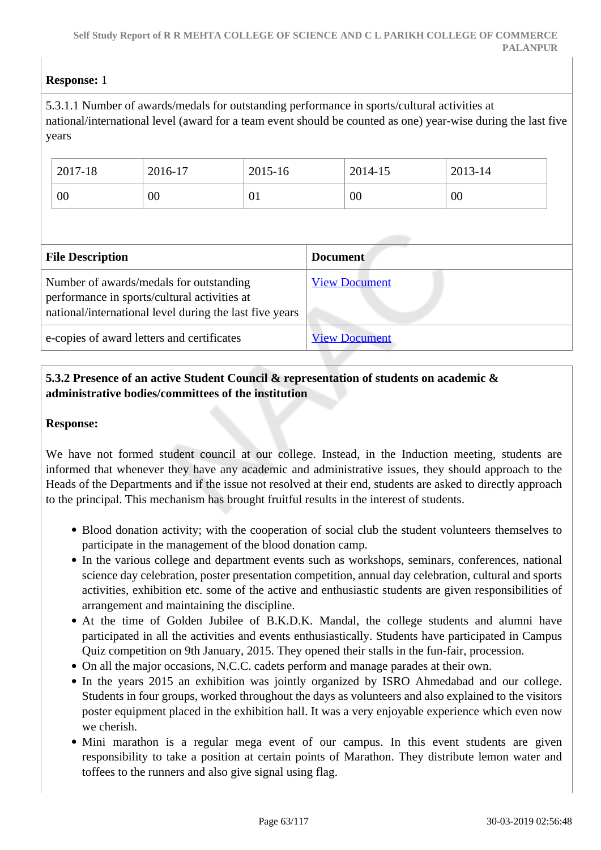## **Response:** 1

5.3.1.1 Number of awards/medals for outstanding performance in sports/cultural activities at national/international level (award for a team event should be counted as one) year-wise during the last five years

| 2017-18 | 2016-17 | 2015-16 | 2014-15 | 2013-14 |
|---------|---------|---------|---------|---------|
| 00      | $00\,$  | 01      | 00      | 00      |

| <b>File Description</b>                                                                                                                            | <b>Document</b>      |  |
|----------------------------------------------------------------------------------------------------------------------------------------------------|----------------------|--|
| Number of awards/medals for outstanding<br>performance in sports/cultural activities at<br>national/international level during the last five years | <b>View Document</b> |  |
| e-copies of award letters and certificates                                                                                                         | <b>View Document</b> |  |

## **5.3.2 Presence of an active Student Council & representation of students on academic & administrative bodies/committees of the institution**

#### **Response:**

We have not formed student council at our college. Instead, in the Induction meeting, students are informed that whenever they have any academic and administrative issues, they should approach to the Heads of the Departments and if the issue not resolved at their end, students are asked to directly approach to the principal. This mechanism has brought fruitful results in the interest of students.

- Blood donation activity; with the cooperation of social club the student volunteers themselves to participate in the management of the blood donation camp.
- In the various college and department events such as workshops, seminars, conferences, national science day celebration, poster presentation competition, annual day celebration, cultural and sports activities, exhibition etc. some of the active and enthusiastic students are given responsibilities of arrangement and maintaining the discipline.
- At the time of Golden Jubilee of B.K.D.K. Mandal, the college students and alumni have participated in all the activities and events enthusiastically. Students have participated in Campus Quiz competition on 9th January, 2015. They opened their stalls in the fun-fair, procession.
- On all the major occasions, N.C.C. cadets perform and manage parades at their own.
- In the years 2015 an exhibition was jointly organized by ISRO Ahmedabad and our college. Students in four groups, worked throughout the days as volunteers and also explained to the visitors poster equipment placed in the exhibition hall. It was a very enjoyable experience which even now we cherish.
- Mini marathon is a regular mega event of our campus. In this event students are given responsibility to take a position at certain points of Marathon. They distribute lemon water and toffees to the runners and also give signal using flag.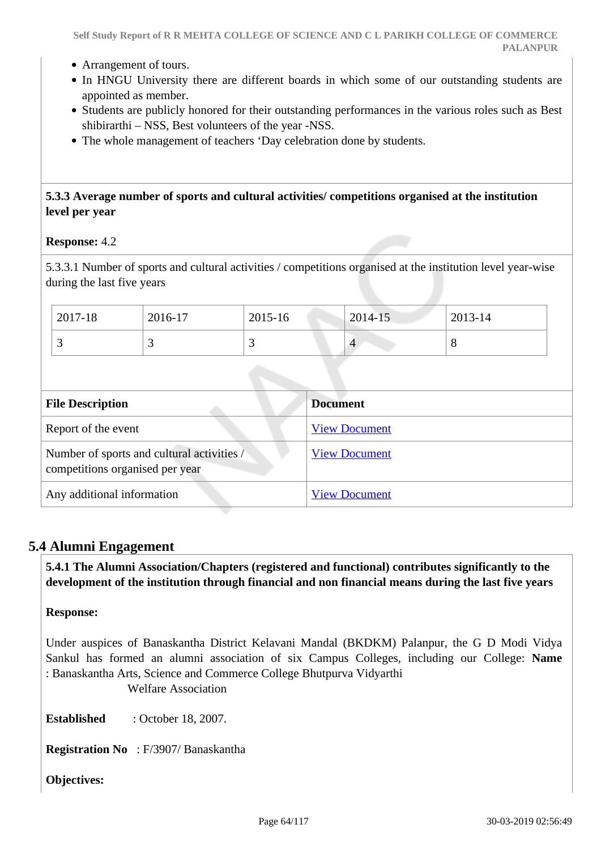- Arrangement of tours.
- In HNGU University there are different boards in which some of our outstanding students are appointed as member.
- Students are publicly honored for their outstanding performances in the various roles such as Best shibirarthi – NSS, Best volunteers of the year -NSS.
- The whole management of teachers 'Day celebration done by students.

### **5.3.3 Average number of sports and cultural activities/ competitions organised at the institution level per year**

**Response:** 4.2

5.3.3.1 Number of sports and cultural activities / competitions organised at the institution level year-wise during the last five years

| 2017-18 | 2016-17 | 2015-16  | $2014 - 15$ | 2013-14 |
|---------|---------|----------|-------------|---------|
|         |         | <u>ب</u> |             | О       |

| <b>File Description</b>                                                       | <b>Document</b>      |
|-------------------------------------------------------------------------------|----------------------|
| Report of the event                                                           | <b>View Document</b> |
| Number of sports and cultural activities /<br>competitions organised per year | <b>View Document</b> |
| Any additional information                                                    | <b>View Document</b> |

## **5.4 Alumni Engagement**

 **5.4.1 The Alumni Association/Chapters (registered and functional) contributes significantly to the development of the institution through financial and non financial means during the last five years**

#### **Response:**

Under auspices of Banaskantha District Kelavani Mandal (BKDKM) Palanpur, the G D Modi Vidya Sankul has formed an alumni association of six Campus Colleges, including our College: **Name** : Banaskantha Arts, Science and Commerce College Bhutpurva Vidyarthi

Welfare Association

**Established** : October 18, 2007.

**Registration No** : F/3907/ Banaskantha

**Objectives:**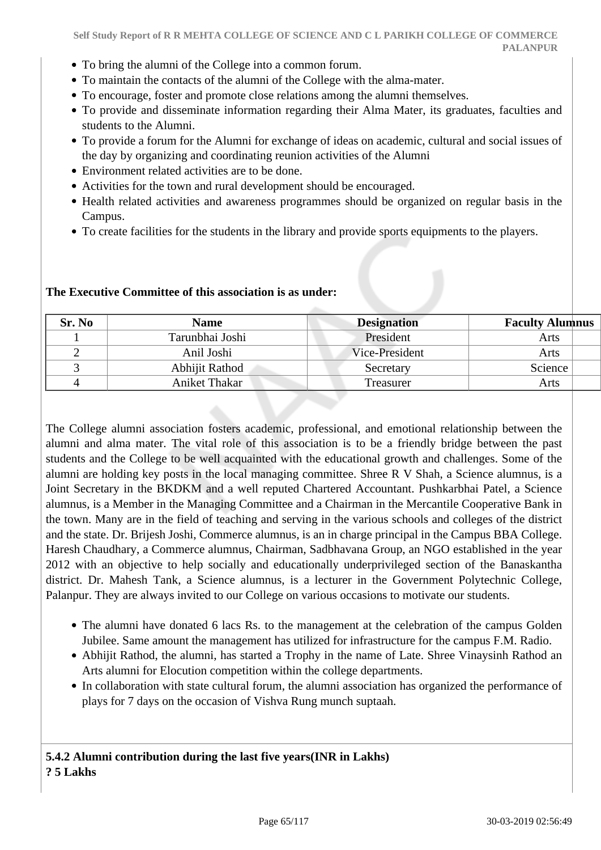- To bring the alumni of the College into a common forum.
- To maintain the contacts of the alumni of the College with the alma-mater.
- To encourage, foster and promote close relations among the alumni themselves.
- To provide and disseminate information regarding their Alma Mater, its graduates, faculties and students to the Alumni.
- To provide a forum for the Alumni for exchange of ideas on academic, cultural and social issues of the day by organizing and coordinating reunion activities of the Alumni
- Environment related activities are to be done.
- Activities for the town and rural development should be encouraged.
- Health related activities and awareness programmes should be organized on regular basis in the Campus.
- To create facilities for the students in the library and provide sports equipments to the players.

| The Executive Committee of this association is as under: |
|----------------------------------------------------------|
|                                                          |

| Sr. No | <b>Name</b>     | <b>Designation</b> | <b>Faculty Alumnus</b> |
|--------|-----------------|--------------------|------------------------|
|        | Tarunbhai Joshi | President          | Arts                   |
|        | Anil Joshi      | Vice-President     | Arts                   |
|        | Abhijit Rathod  | Secretary          | Science                |
|        | Aniket Thakar   | Treasurer          | Arts                   |

The College alumni association fosters academic, professional, and emotional relationship between the alumni and alma mater. The vital role of this association is to be a friendly bridge between the past students and the College to be well acquainted with the educational growth and challenges. Some of the alumni are holding key posts in the local managing committee. Shree R V Shah, a Science alumnus, is a Joint Secretary in the BKDKM and a well reputed Chartered Accountant. Pushkarbhai Patel, a Science alumnus, is a Member in the Managing Committee and a Chairman in the Mercantile Cooperative Bank in the town. Many are in the field of teaching and serving in the various schools and colleges of the district and the state. Dr. Brijesh Joshi, Commerce alumnus, is an in charge principal in the Campus BBA College. Haresh Chaudhary, a Commerce alumnus, Chairman, Sadbhavana Group, an NGO established in the year 2012 with an objective to help socially and educationally underprivileged section of the Banaskantha district. Dr. Mahesh Tank, a Science alumnus, is a lecturer in the Government Polytechnic College, Palanpur. They are always invited to our College on various occasions to motivate our students.

- The alumni have donated 6 lacs Rs. to the management at the celebration of the campus Golden Jubilee. Same amount the management has utilized for infrastructure for the campus F.M. Radio.
- Abhijit Rathod, the alumni, has started a Trophy in the name of Late. Shree Vinaysinh Rathod an Arts alumni for Elocution competition within the college departments.
- In collaboration with state cultural forum, the alumni association has organized the performance of plays for 7 days on the occasion of Vishva Rung munch suptaah.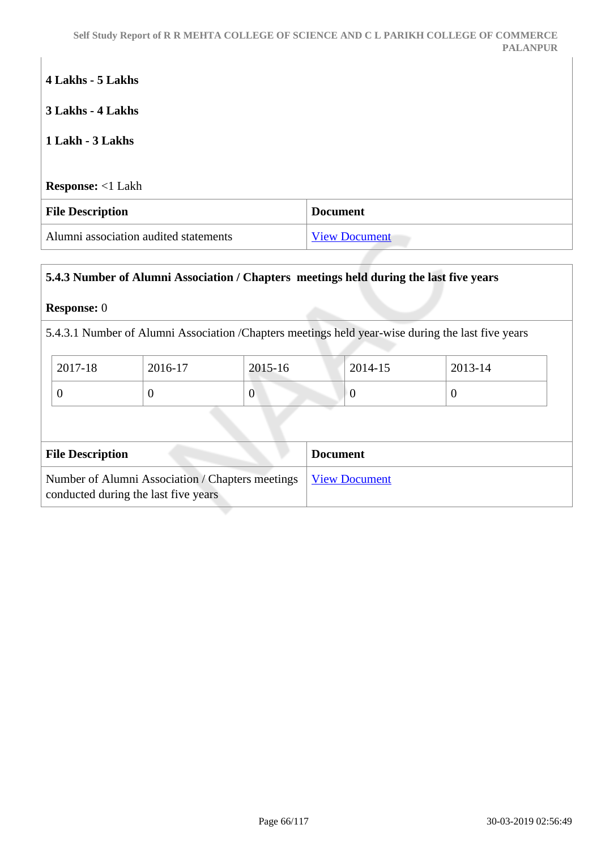# **4 Lakhs - 5 Lakhs**

**3 Lakhs - 4 Lakhs**

## **1 Lakh - 3 Lakhs**

**Response:** <1 Lakh

| <b>File Description</b>               | Document             |
|---------------------------------------|----------------------|
| Alumni association audited statements | <b>View Document</b> |

## **5.4.3 Number of Alumni Association / Chapters meetings held during the last five years**

#### **Response:** 0

5.4.3.1 Number of Alumni Association /Chapters meetings held year-wise during the last five years

| 2017-18 | 2016-17 | 2015-16 | 2014-15 | 2013-14 |
|---------|---------|---------|---------|---------|
|         | ◡       | v       |         |         |

| <b>File Description</b>                                                                                  | <b>Document</b> |
|----------------------------------------------------------------------------------------------------------|-----------------|
| Number of Alumni Association / Chapters meetings   View Document<br>conducted during the last five years |                 |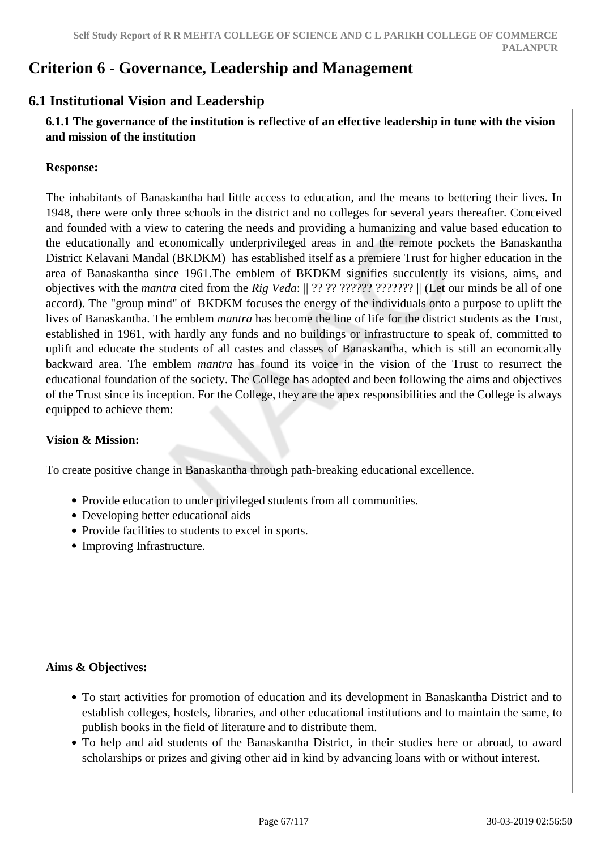# **Criterion 6 - Governance, Leadership and Management**

# **6.1 Institutional Vision and Leadership**

 **6.1.1 The governance of the institution is reflective of an effective leadership in tune with the vision and mission of the institution**

#### **Response:**

The inhabitants of Banaskantha had little access to education, and the means to bettering their lives. In 1948, there were only three schools in the district and no colleges for several years thereafter. Conceived and founded with a view to catering the needs and providing a humanizing and value based education to the educationally and economically underprivileged areas in and the remote pockets the Banaskantha District Kelavani Mandal (BKDKM) has established itself as a premiere Trust for higher education in the area of Banaskantha since 1961.The emblem of BKDKM signifies succulently its visions, aims, and objectives with the *mantra* cited from the *Rig Veda*: || ?? ?? ?????? ??????? || (Let our minds be all of one accord). The "group mind" of BKDKM focuses the energy of the individuals onto a purpose to uplift the lives of Banaskantha. The emblem *mantra* has become the line of life for the district students as the Trust, established in 1961, with hardly any funds and no buildings or infrastructure to speak of, committed to uplift and educate the students of all castes and classes of Banaskantha, which is still an economically backward area. The emblem *mantra* has found its voice in the vision of the Trust to resurrect the educational foundation of the society. The College has adopted and been following the aims and objectives of the Trust since its inception. For the College, they are the apex responsibilities and the College is always equipped to achieve them:

#### **Vision & Mission:**

To create positive change in Banaskantha through path-breaking educational excellence.

- Provide education to under privileged students from all communities.
- Developing better educational aids
- Provide facilities to students to excel in sports.
- Improving Infrastructure.

## **Aims & Objectives:**

- To start activities for promotion of education and its development in Banaskantha District and to establish colleges, hostels, libraries, and other educational institutions and to maintain the same, to publish books in the field of literature and to distribute them.
- To help and aid students of the Banaskantha District, in their studies here or abroad, to award scholarships or prizes and giving other aid in kind by advancing loans with or without interest.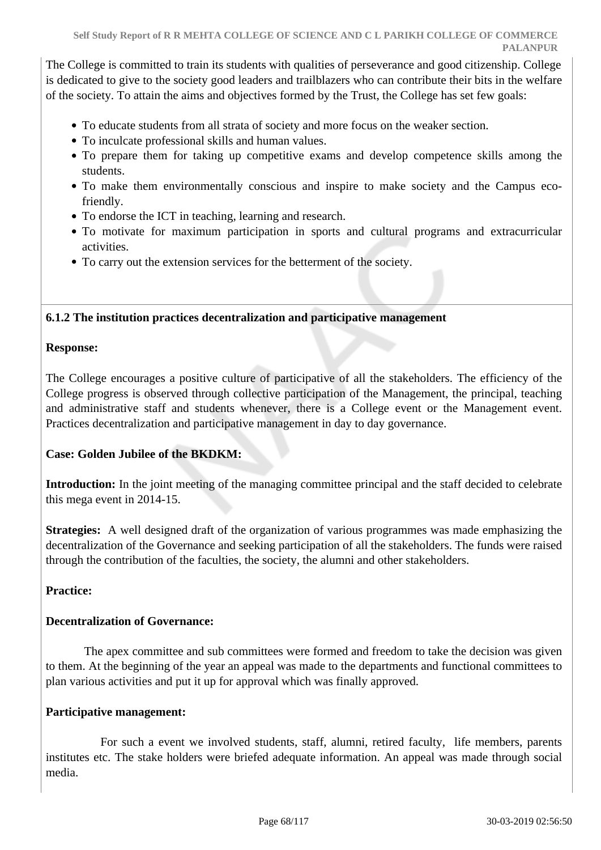The College is committed to train its students with qualities of perseverance and good citizenship. College is dedicated to give to the society good leaders and trailblazers who can contribute their bits in the welfare of the society. To attain the aims and objectives formed by the Trust, the College has set few goals:

- To educate students from all strata of society and more focus on the weaker section.
- To inculcate professional skills and human values.
- To prepare them for taking up competitive exams and develop competence skills among the students.
- To make them environmentally conscious and inspire to make society and the Campus ecofriendly.
- To endorse the ICT in teaching, learning and research.
- To motivate for maximum participation in sports and cultural programs and extracurricular activities.
- To carry out the extension services for the betterment of the society.

### **6.1.2 The institution practices decentralization and participative management**

#### **Response:**

The College encourages a positive culture of participative of all the stakeholders. The efficiency of the College progress is observed through collective participation of the Management, the principal, teaching and administrative staff and students whenever, there is a College event or the Management event. Practices decentralization and participative management in day to day governance.

## **Case: Golden Jubilee of the BKDKM:**

**Introduction:** In the joint meeting of the managing committee principal and the staff decided to celebrate this mega event in 2014-15.

**Strategies:** A well designed draft of the organization of various programmes was made emphasizing the decentralization of the Governance and seeking participation of all the stakeholders. The funds were raised through the contribution of the faculties, the society, the alumni and other stakeholders.

### **Practice:**

#### **Decentralization of Governance:**

 The apex committee and sub committees were formed and freedom to take the decision was given to them. At the beginning of the year an appeal was made to the departments and functional committees to plan various activities and put it up for approval which was finally approved.

#### **Participative management:**

 For such a event we involved students, staff, alumni, retired faculty, life members, parents institutes etc. The stake holders were briefed adequate information. An appeal was made through social media.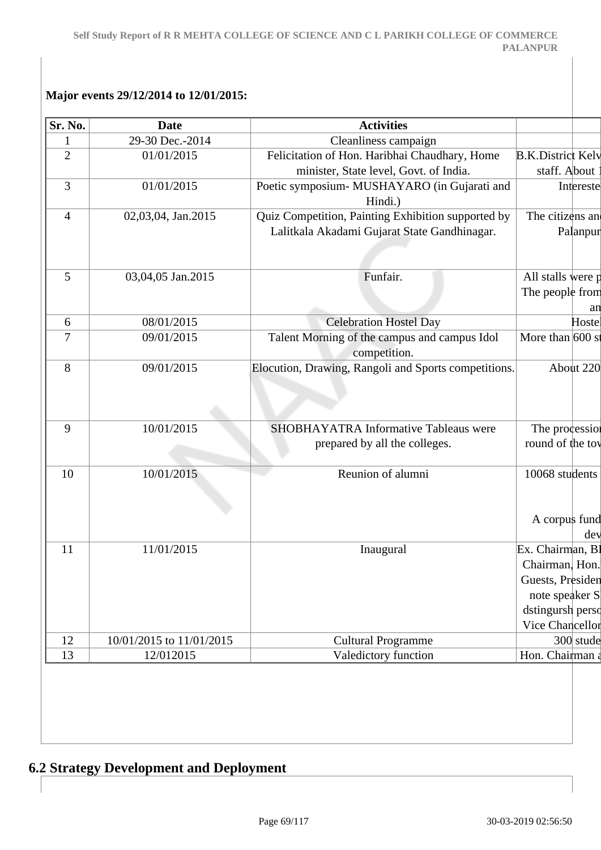## **Major events 29/12/2014 to 12/01/2015:**

| Sr. No.        | <b>Date</b>              | <b>Activities</b>                                    |                          |           |
|----------------|--------------------------|------------------------------------------------------|--------------------------|-----------|
| 1              | 29-30 Dec.-2014          | Cleanliness campaign                                 |                          |           |
| $\overline{2}$ | 01/01/2015               | Felicitation of Hon. Haribhai Chaudhary, Home        | <b>B.K.District Kelv</b> |           |
|                |                          | minister, State level, Govt. of India.               | staff. About             |           |
| 3              | 01/01/2015               | Poetic symposium- MUSHAYARO (in Gujarati and         |                          | Intereste |
|                |                          | Hindi.)                                              |                          |           |
| $\overline{4}$ | 02,03,04, Jan.2015       | Quiz Competition, Painting Exhibition supported by   | The citizens an          |           |
|                |                          | Lalitkala Akadami Gujarat State Gandhinagar.         |                          | Palanpur  |
|                |                          |                                                      |                          |           |
| 5              | 03,04,05 Jan.2015        | Funfair.                                             | All stalls were p        |           |
|                |                          |                                                      | The people from          |           |
|                |                          |                                                      |                          | an        |
| 6              | 08/01/2015               | <b>Celebration Hostel Day</b>                        |                          | Hostel    |
| 7              | 09/01/2015               | Talent Morning of the campus and campus Idol         | More than $600 s$        |           |
|                |                          | competition.                                         |                          |           |
| 8              | 09/01/2015               | Elocution, Drawing, Rangoli and Sports competitions. | About 220                |           |
|                |                          |                                                      |                          |           |
|                |                          |                                                      |                          |           |
| 9              | 10/01/2015               | <b>SHOBHAYATRA Informative Tableaus were</b>         | The procession           |           |
|                |                          | prepared by all the colleges.                        | round of the toy         |           |
|                |                          |                                                      |                          |           |
| 10             | 10/01/2015               | Reunion of alumni                                    | 10068 students           |           |
|                |                          |                                                      |                          |           |
|                |                          |                                                      |                          |           |
|                |                          |                                                      | A corpus fund            |           |
|                |                          |                                                      |                          | dev       |
| 11             | 11/01/2015               | Inaugural                                            | Ex. Chairman, B1         |           |
|                |                          |                                                      | Chairman, Hon.           |           |
|                |                          |                                                      | Guests, Presiden         |           |
|                |                          |                                                      | note speaker S           |           |
|                |                          |                                                      | dstingursh perso         |           |
|                |                          |                                                      | Vice Chancellor          |           |
| 12             | 10/01/2015 to 11/01/2015 | <b>Cultural Programme</b>                            | 300 stude                |           |
| 13             | 12/012015                | Valedictory function                                 | Hon. Chairman a          |           |

# **6.2 Strategy Development and Deployment**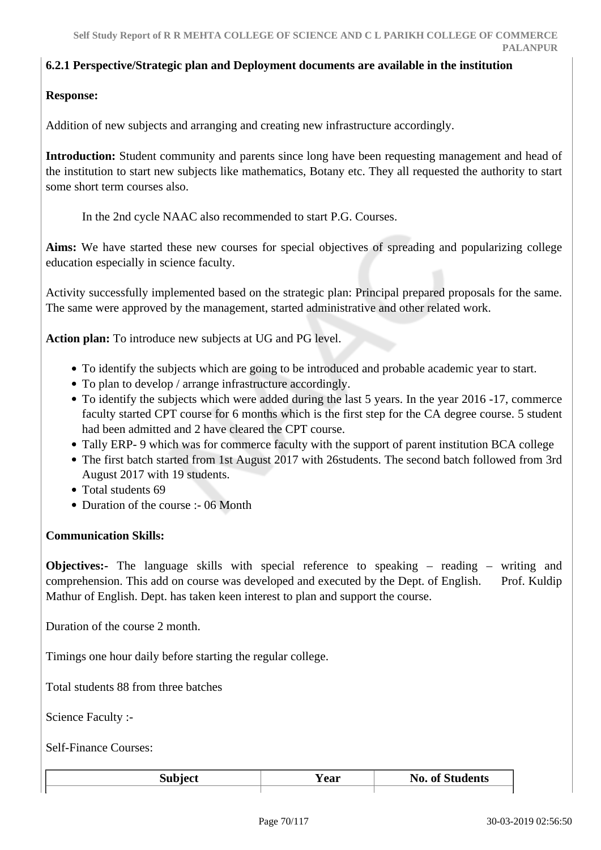#### **6.2.1 Perspective/Strategic plan and Deployment documents are available in the institution**

#### **Response:**

Addition of new subjects and arranging and creating new infrastructure accordingly.

Introduction: Student community and parents since long have been requesting management and head of the institution to start new subjects like mathematics, Botany etc. They all requested the authority to start some short term courses also.

In the 2nd cycle NAAC also recommended to start P.G. Courses.

**Aims:** We have started these new courses for special objectives of spreading and popularizing college education especially in science faculty.

Activity successfully implemented based on the strategic plan: Principal prepared proposals for the same. The same were approved by the management, started administrative and other related work.

**Action plan:** To introduce new subjects at UG and PG level.

- To identify the subjects which are going to be introduced and probable academic year to start.
- To plan to develop / arrange infrastructure accordingly.
- To identify the subjects which were added during the last 5 years. In the year 2016 -17, commerce faculty started CPT course for 6 months which is the first step for the CA degree course. 5 student had been admitted and 2 have cleared the CPT course.
- Tally ERP- 9 which was for commerce faculty with the support of parent institution BCA college
- The first batch started from 1st August 2017 with 26students. The second batch followed from 3rd August 2017 with 19 students.
- Total students 69
- Duration of the course :- 06 Month

#### **Communication Skills:**

**Objectives:-** The language skills with special reference to speaking – reading – writing and comprehension. This add on course was developed and executed by the Dept. of English. Prof. Kuldip Mathur of English. Dept. has taken keen interest to plan and support the course.

Duration of the course 2 month.

Timings one hour daily before starting the regular college.

Total students 88 from three batches

Science Faculty :-

Self-Finance Courses:

| $\mathbf{1} = \mathbf{1} \cdot \mathbf{1} = \mathbf{1} \cdot \mathbf{1}$ | ear | <b>No. of Students</b> |
|--------------------------------------------------------------------------|-----|------------------------|
|                                                                          |     |                        |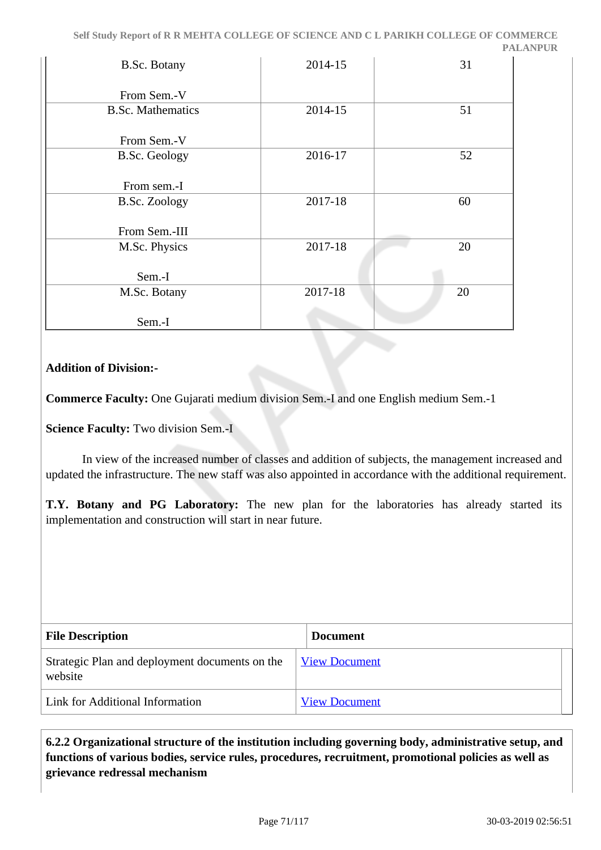| <b>B.Sc. Botany</b>      | 2014-15 | 31 |
|--------------------------|---------|----|
| From Sem.-V              |         |    |
| <b>B.Sc. Mathematics</b> | 2014-15 | 51 |
| From Sem.-V              |         |    |
| <b>B.Sc. Geology</b>     | 2016-17 | 52 |
| From sem.-I              |         |    |
| <b>B.Sc. Zoology</b>     | 2017-18 | 60 |
| From Sem.-III            |         |    |
| M.Sc. Physics            | 2017-18 | 20 |
| Sem.-I                   |         |    |
| M.Sc. Botany             | 2017-18 | 20 |
| Sem.-I                   |         |    |

## **Addition of Division:-**

**Commerce Faculty:** One Gujarati medium division Sem.-I and one English medium Sem.-1

**Science Faculty:** Two division Sem.-I

 In view of the increased number of classes and addition of subjects, the management increased and updated the infrastructure. The new staff was also appointed in accordance with the additional requirement.

**T.Y. Botany and PG Laboratory:** The new plan for the laboratories has already started its implementation and construction will start in near future.

| <b>File Description</b>                                   | <b>Document</b>      |
|-----------------------------------------------------------|----------------------|
| Strategic Plan and deployment documents on the<br>website | <b>View Document</b> |
| Link for Additional Information                           | <b>View Document</b> |

 **6.2.2 Organizational structure of the institution including governing body, administrative setup, and functions of various bodies, service rules, procedures, recruitment, promotional policies as well as grievance redressal mechanism**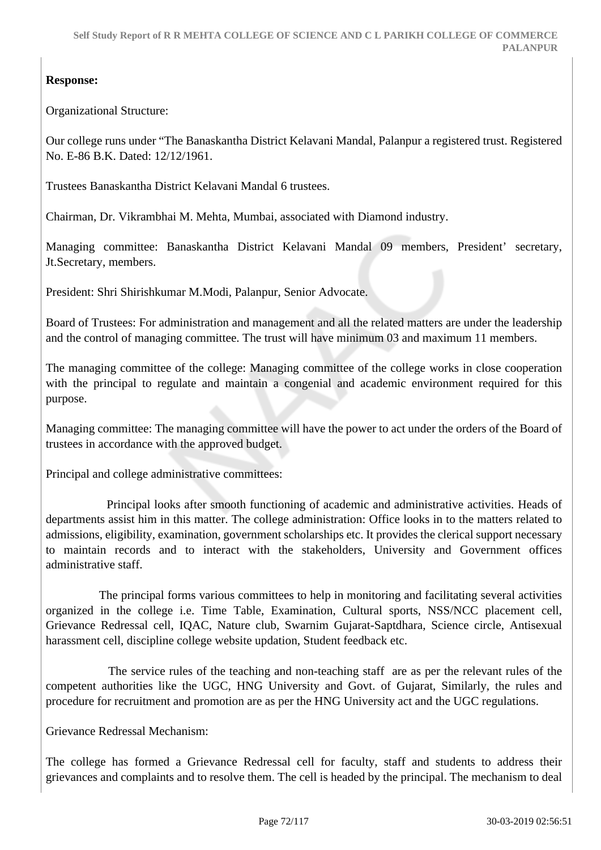# **Response:**

Organizational Structure:

Our college runs under "The Banaskantha District Kelavani Mandal, Palanpur a registered trust. Registered No. E-86 B.K. Dated: 12/12/1961.

Trustees Banaskantha District Kelavani Mandal 6 trustees.

Chairman, Dr. Vikrambhai M. Mehta, Mumbai, associated with Diamond industry.

Managing committee: Banaskantha District Kelavani Mandal 09 members, President' secretary, Jt.Secretary, members.

President: Shri Shirishkumar M.Modi, Palanpur, Senior Advocate.

Board of Trustees: For administration and management and all the related matters are under the leadership and the control of managing committee. The trust will have minimum 03 and maximum 11 members.

The managing committee of the college: Managing committee of the college works in close cooperation with the principal to regulate and maintain a congenial and academic environment required for this purpose.

Managing committee: The managing committee will have the power to act under the orders of the Board of trustees in accordance with the approved budget.

Principal and college administrative committees:

 Principal looks after smooth functioning of academic and administrative activities. Heads of departments assist him in this matter. The college administration: Office looks in to the matters related to admissions, eligibility, examination, government scholarships etc. It provides the clerical support necessary to maintain records and to interact with the stakeholders, University and Government offices administrative staff.

 The principal forms various committees to help in monitoring and facilitating several activities organized in the college i.e. Time Table, Examination, Cultural sports, NSS/NCC placement cell, Grievance Redressal cell, IQAC, Nature club, Swarnim Gujarat-Saptdhara, Science circle, Antisexual harassment cell, discipline college website updation, Student feedback etc.

 The service rules of the teaching and non-teaching staff are as per the relevant rules of the competent authorities like the UGC, HNG University and Govt. of Gujarat, Similarly, the rules and procedure for recruitment and promotion are as per the HNG University act and the UGC regulations.

Grievance Redressal Mechanism:

The college has formed a Grievance Redressal cell for faculty, staff and students to address their grievances and complaints and to resolve them. The cell is headed by the principal. The mechanism to deal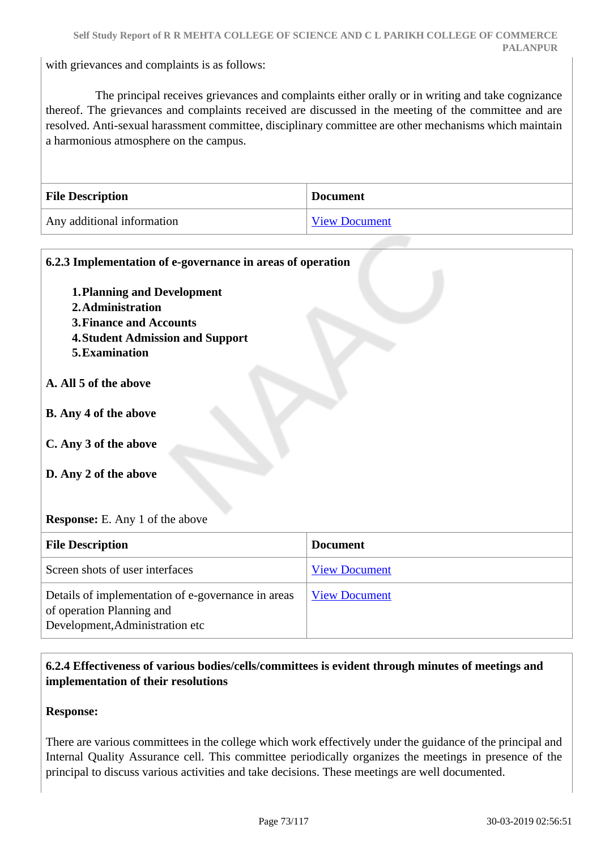with grievances and complaints is as follows:

 The principal receives grievances and complaints either orally or in writing and take cognizance thereof. The grievances and complaints received are discussed in the meeting of the committee and are resolved. Anti-sexual harassment committee, disciplinary committee are other mechanisms which maintain a harmonious atmosphere on the campus.

| <b>File Description</b>    | <b>Document</b>      |
|----------------------------|----------------------|
| Any additional information | <b>View Document</b> |

| 6.2.3 Implementation of e-governance in areas of operation<br><b>1. Planning and Development</b><br>2. Administration<br><b>3. Finance and Accounts</b><br><b>4. Student Admission and Support</b><br>5. Examination<br>A. All 5 of the above<br><b>B.</b> Any 4 of the above<br>C. Any 3 of the above<br>D. Any 2 of the above<br><b>Response:</b> E. Any 1 of the above |                      |
|---------------------------------------------------------------------------------------------------------------------------------------------------------------------------------------------------------------------------------------------------------------------------------------------------------------------------------------------------------------------------|----------------------|
| <b>File Description</b>                                                                                                                                                                                                                                                                                                                                                   | <b>Document</b>      |
| Screen shots of user interfaces                                                                                                                                                                                                                                                                                                                                           | <b>View Document</b> |
| Details of implementation of e-governance in areas<br>of operation Planning and<br>Development, Administration etc                                                                                                                                                                                                                                                        | <b>View Document</b> |

## **6.2.4 Effectiveness of various bodies/cells/committees is evident through minutes of meetings and implementation of their resolutions**

**Response:** 

There are various committees in the college which work effectively under the guidance of the principal and Internal Quality Assurance cell. This committee periodically organizes the meetings in presence of the principal to discuss various activities and take decisions. These meetings are well documented.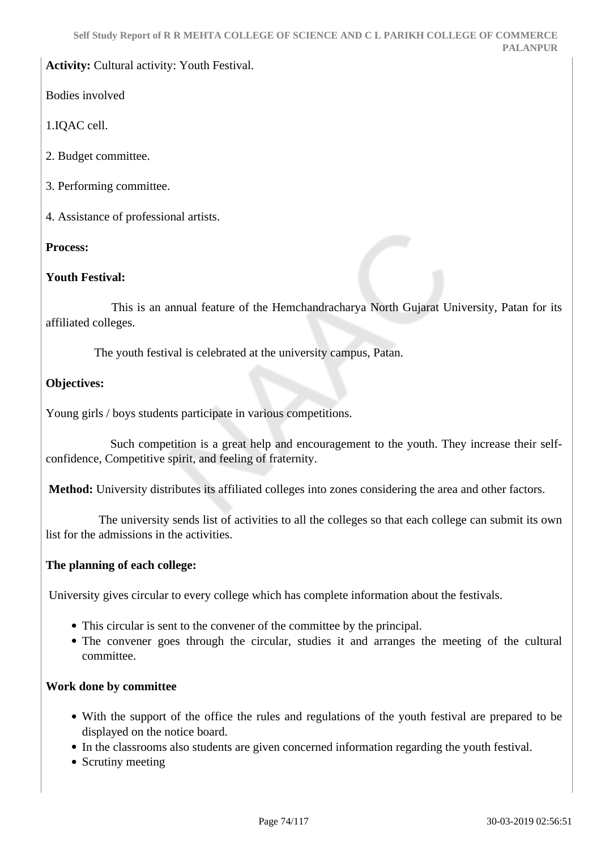## **Activity:** Cultural activity: Youth Festival.

Bodies involved

1.IQAC cell.

- 2. Budget committee.
- 3. Performing committee.
- 4. Assistance of professional artists.

## **Process:**

## **Youth Festival:**

 This is an annual feature of the Hemchandracharya North Gujarat University, Patan for its affiliated colleges.

The youth festival is celebrated at the university campus, Patan.

## **Objectives:**

Young girls / boys students participate in various competitions.

 Such competition is a great help and encouragement to the youth. They increase their selfconfidence, Competitive spirit, and feeling of fraternity.

**Method:** University distributes its affiliated colleges into zones considering the area and other factors.

 The university sends list of activities to all the colleges so that each college can submit its own list for the admissions in the activities.

## **The planning of each college:**

University gives circular to every college which has complete information about the festivals.

- This circular is sent to the convener of the committee by the principal.
- The convener goes through the circular, studies it and arranges the meeting of the cultural committee.

## **Work done by committee**

- With the support of the office the rules and regulations of the youth festival are prepared to be displayed on the notice board.
- In the classrooms also students are given concerned information regarding the youth festival.
- Scrutiny meeting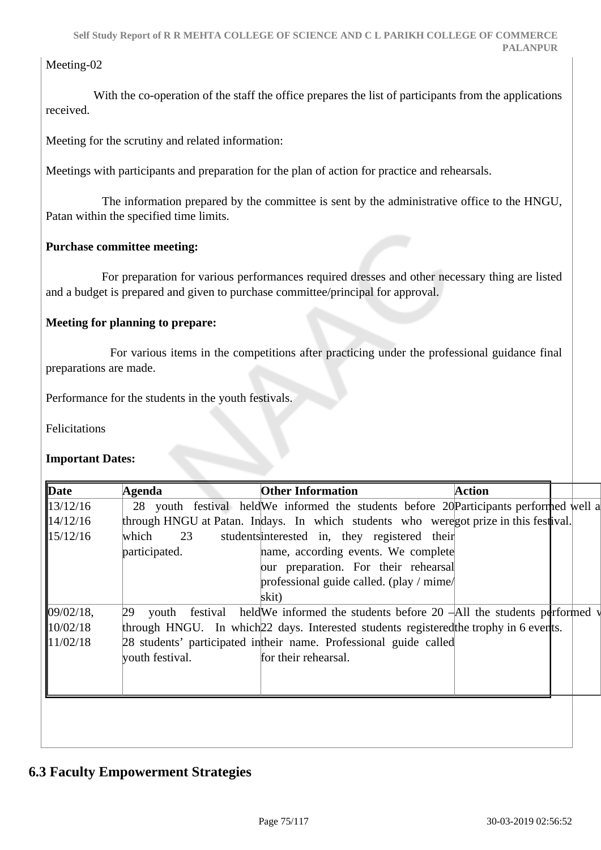## Meeting-02

With the co-operation of the staff the office prepares the list of participants from the applications received.

Meeting for the scrutiny and related information:

Meetings with participants and preparation for the plan of action for practice and rehearsals.

 The information prepared by the committee is sent by the administrative office to the HNGU, Patan within the specified time limits.

## **Purchase committee meeting:**

 For preparation for various performances required dresses and other necessary thing are listed and a budget is prepared and given to purchase committee/principal for approval.

## **Meeting for planning to prepare:**

 For various items in the competitions after practicing under the professional guidance final preparations are made.

Performance for the students in the youth festivals.

Felicitations

## **Important Dates:**

| $\mathbf{Date}$      | Agenda          | <b>Other Information</b>                                                                | <b>Action</b> |  |
|----------------------|-----------------|-----------------------------------------------------------------------------------------|---------------|--|
| 13/12/16             |                 | 28 youth festival held We informed the students before 20 Participants performed well a |               |  |
| 14/12/16             |                 | through HNGU at Patan. Indays. In which students who weregot prize in this festival.    |               |  |
| 15/12/16             | which<br>23     | students interested in, they registered their                                           |               |  |
|                      | participated.   | name, according events. We complete                                                     |               |  |
|                      |                 | our preparation. For their rehearsal                                                    |               |  |
|                      |                 | professional guide called. (play / mime/                                                |               |  |
|                      |                 | skit)                                                                                   |               |  |
| 09/02/18,            | 29              | youth festival held We informed the students before 20 $-$ All the students performed v |               |  |
| $\parallel 10/02/18$ |                 | through HNGU. In which 22 days. Interested students registered the trophy in 6 ever ts. |               |  |
| 11/02/18             |                 | 28 students' participated in their name. Professional guide called                      |               |  |
|                      | youth festival. | for their rehearsal.                                                                    |               |  |
|                      |                 |                                                                                         |               |  |
|                      |                 |                                                                                         |               |  |
|                      |                 |                                                                                         |               |  |
|                      |                 |                                                                                         |               |  |
|                      |                 |                                                                                         |               |  |

## **6.3 Faculty Empowerment Strategies**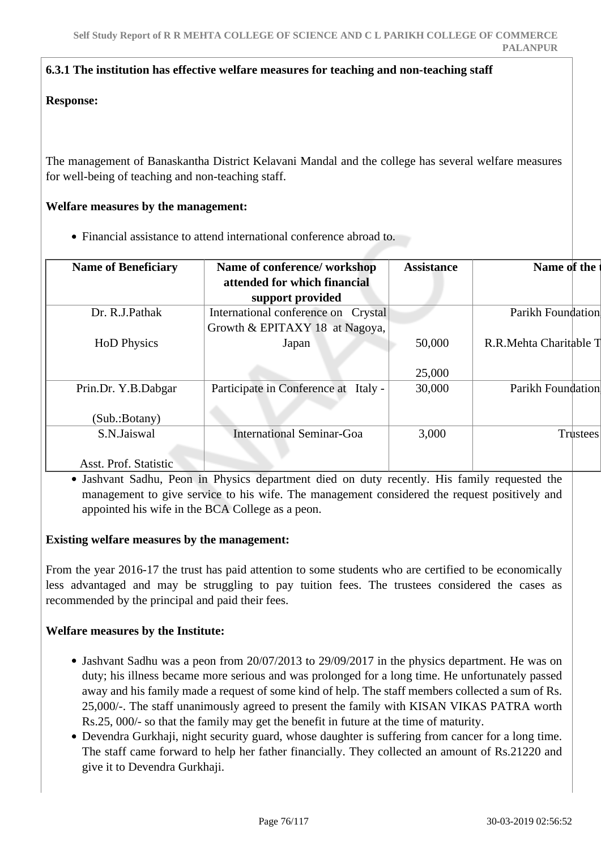#### **6.3.1 The institution has effective welfare measures for teaching and non-teaching staff**

#### **Response:**

The management of Banaskantha District Kelavani Mandal and the college has several welfare measures for well-being of teaching and non-teaching staff.

#### **Welfare measures by the management:**

Financial assistance to attend international conference abroad to.

| <b>Name of Beneficiary</b> | Name of conference/workshop             | <b>Assistance</b> | Name of the            |
|----------------------------|-----------------------------------------|-------------------|------------------------|
|                            | attended for which financial            |                   |                        |
|                            | support provided                        |                   |                        |
| Dr. R.J.Pathak             | International conference on Crystal     |                   | Parikh Foundation      |
|                            | Growth & EPITAXY 18 at Nagoya,          |                   |                        |
| <b>HoD</b> Physics         | Japan                                   | 50,000            | R.R.Mehta Charitable T |
|                            |                                         |                   |                        |
|                            |                                         | 25,000            |                        |
| Prin.Dr. Y.B.Dabgar        | Participate in Conference at<br>Italy - | 30,000            | Parikh Foundation      |
|                            |                                         |                   |                        |
| (Sub.:Botany)              |                                         |                   |                        |
| S.N.Jaiswal                | <b>International Seminar-Goa</b>        | 3,000             | Trustees               |
|                            |                                         |                   |                        |
| Asst. Prof. Statistic      |                                         |                   |                        |

Jashvant Sadhu, Peon in Physics department died on duty recently. His family requested the management to give service to his wife. The management considered the request positively and appointed his wife in the BCA College as a peon.

## **Existing welfare measures by the management:**

From the year 2016-17 the trust has paid attention to some students who are certified to be economically less advantaged and may be struggling to pay tuition fees. The trustees considered the cases as recommended by the principal and paid their fees.

## **Welfare measures by the Institute:**

- Jashvant Sadhu was a peon from 20/07/2013 to 29/09/2017 in the physics department. He was on duty; his illness became more serious and was prolonged for a long time. He unfortunately passed away and his family made a request of some kind of help. The staff members collected a sum of Rs. 25,000/-. The staff unanimously agreed to present the family with KISAN VIKAS PATRA worth Rs.25, 000/- so that the family may get the benefit in future at the time of maturity.
- Devendra Gurkhaji, night security guard, whose daughter is suffering from cancer for a long time. The staff came forward to help her father financially. They collected an amount of Rs.21220 and give it to Devendra Gurkhaji.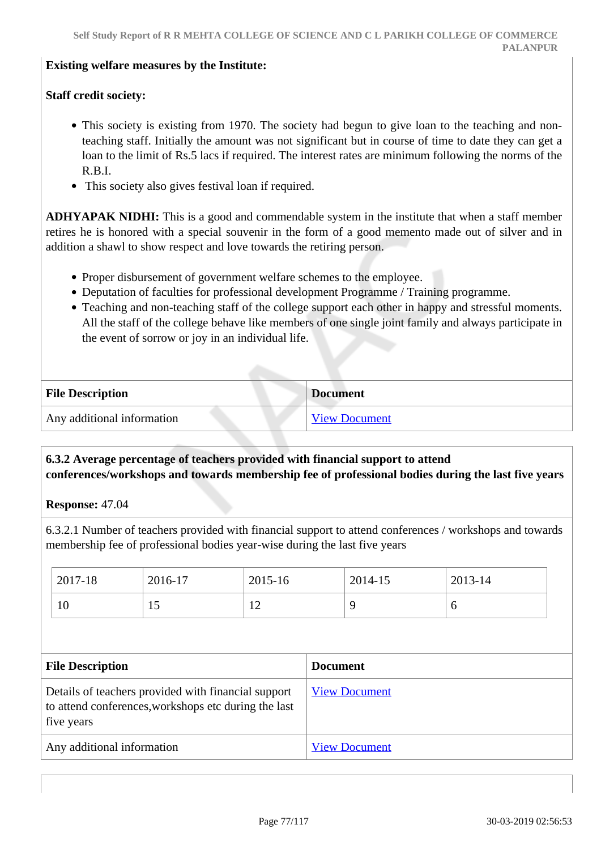#### **Existing welfare measures by the Institute:**

## **Staff credit society:**

- This society is existing from 1970. The society had begun to give loan to the teaching and nonteaching staff. Initially the amount was not significant but in course of time to date they can get a loan to the limit of Rs.5 lacs if required. The interest rates are minimum following the norms of the R.B.I.
- This society also gives festival loan if required.

**ADHYAPAK NIDHI:** This is a good and commendable system in the institute that when a staff member retires he is honored with a special souvenir in the form of a good memento made out of silver and in addition a shawl to show respect and love towards the retiring person.

- Proper disbursement of government welfare schemes to the employee.
- Deputation of faculties for professional development Programme / Training programme.
- Teaching and non-teaching staff of the college support each other in happy and stressful moments. All the staff of the college behave like members of one single joint family and always participate in the event of sorrow or joy in an individual life.

| <b>File Description</b>    | <b>Document</b>      |
|----------------------------|----------------------|
| Any additional information | <b>View Document</b> |

## **6.3.2 Average percentage of teachers provided with financial support to attend conferences/workshops and towards membership fee of professional bodies during the last five years**

**Response:** 47.04

6.3.2.1 Number of teachers provided with financial support to attend conferences / workshops and towards membership fee of professional bodies year-wise during the last five years

| 2017-18 | 2016-17 | 2015-16             | 2014-15 | 2013-14 |
|---------|---------|---------------------|---------|---------|
| 10      | ΠJ      | 1 <sub>0</sub><br>┸ |         | O       |

| <b>File Description</b>                                                                                                   | <b>Document</b>      |
|---------------------------------------------------------------------------------------------------------------------------|----------------------|
| Details of teachers provided with financial support<br>to attend conferences, workshops etc during the last<br>five years | <b>View Document</b> |
| Any additional information                                                                                                | <b>View Document</b> |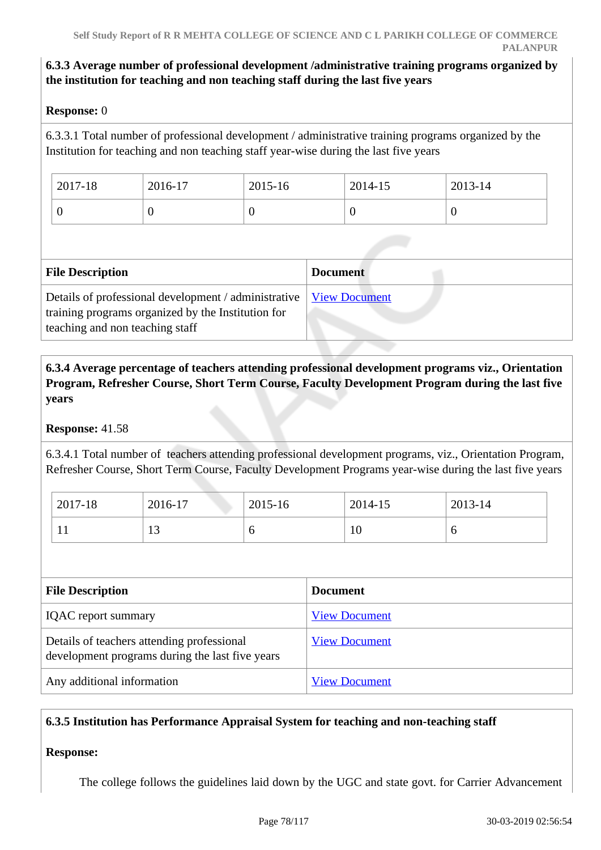## **6.3.3 Average number of professional development /administrative training programs organized by the institution for teaching and non teaching staff during the last five years**

## **Response:** 0

6.3.3.1 Total number of professional development / administrative training programs organized by the Institution for teaching and non teaching staff year-wise during the last five years

| 2017-18 | 2016-17 | 2015-16 | 2014-15 | 2013-14 |
|---------|---------|---------|---------|---------|
| ◡       | ν       |         |         |         |

| <b>File Description</b>                                                                                                                                       | <b>Document</b> |
|---------------------------------------------------------------------------------------------------------------------------------------------------------------|-----------------|
| Details of professional development / administrative   View Document<br>training programs organized by the Institution for<br>teaching and non teaching staff |                 |

## **6.3.4 Average percentage of teachers attending professional development programs viz., Orientation Program, Refresher Course, Short Term Course, Faculty Development Program during the last five years**

## **Response:** 41.58

6.3.4.1 Total number of teachers attending professional development programs, viz., Orientation Program, Refresher Course, Short Term Course, Faculty Development Programs year-wise during the last five years

| 2017-18      | 2016-17          | 2015-16 | 2014-15 | 2013-14 |
|--------------|------------------|---------|---------|---------|
| $\mathbf{r}$ | $\sqrt{2}$<br>⊥ັ | O       | ΙV      | ັ       |

| <b>File Description</b>                                                                       | <b>Document</b>      |
|-----------------------------------------------------------------------------------------------|----------------------|
| <b>IQAC</b> report summary                                                                    | <b>View Document</b> |
| Details of teachers attending professional<br>development programs during the last five years | <b>View Document</b> |
| Any additional information                                                                    | <b>View Document</b> |

## **6.3.5 Institution has Performance Appraisal System for teaching and non-teaching staff**

## **Response:**

The college follows the guidelines laid down by the UGC and state govt. for Carrier Advancement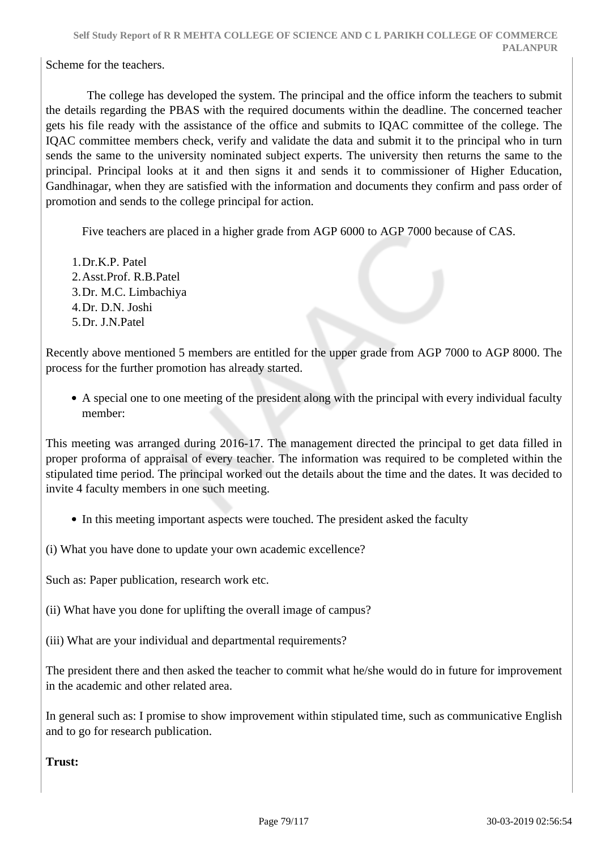Scheme for the teachers.

 The college has developed the system. The principal and the office inform the teachers to submit the details regarding the PBAS with the required documents within the deadline. The concerned teacher gets his file ready with the assistance of the office and submits to IQAC committee of the college. The IQAC committee members check, verify and validate the data and submit it to the principal who in turn sends the same to the university nominated subject experts. The university then returns the same to the principal. Principal looks at it and then signs it and sends it to commissioner of Higher Education, Gandhinagar, when they are satisfied with the information and documents they confirm and pass order of promotion and sends to the college principal for action.

Five teachers are placed in a higher grade from AGP 6000 to AGP 7000 because of CAS.

1.Dr.K.P. Patel 2.Asst.Prof. R.B.Patel 3.Dr. M.C. Limbachiya 4.Dr. D.N. Joshi 5.Dr. J.N.Patel

Recently above mentioned 5 members are entitled for the upper grade from AGP 7000 to AGP 8000. The process for the further promotion has already started.

A special one to one meeting of the president along with the principal with every individual faculty member:

This meeting was arranged during 2016-17. The management directed the principal to get data filled in proper proforma of appraisal of every teacher. The information was required to be completed within the stipulated time period. The principal worked out the details about the time and the dates. It was decided to invite 4 faculty members in one such meeting.

• In this meeting important aspects were touched. The president asked the faculty

(i) What you have done to update your own academic excellence?

Such as: Paper publication, research work etc.

(ii) What have you done for uplifting the overall image of campus?

(iii) What are your individual and departmental requirements?

The president there and then asked the teacher to commit what he/she would do in future for improvement in the academic and other related area.

In general such as: I promise to show improvement within stipulated time, such as communicative English and to go for research publication.

**Trust:**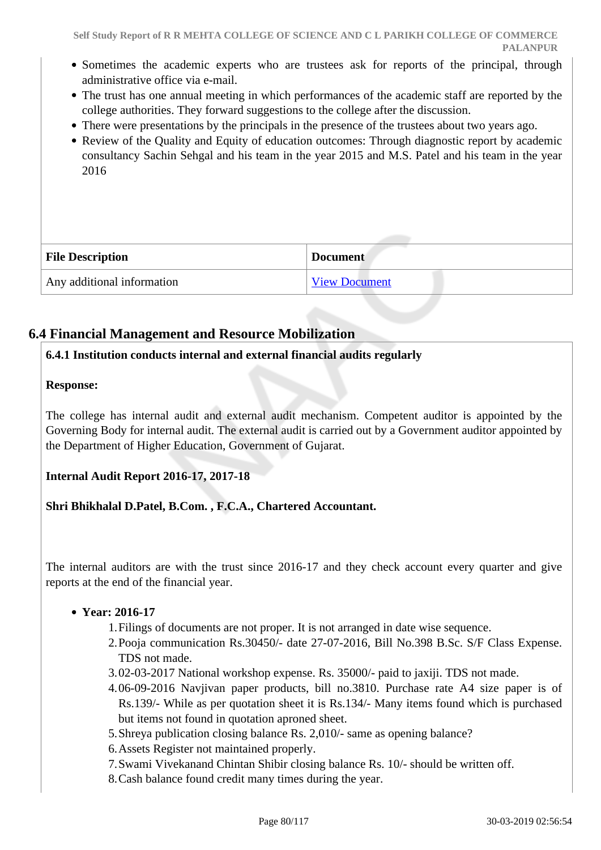- Sometimes the academic experts who are trustees ask for reports of the principal, through administrative office via e-mail.
- The trust has one annual meeting in which performances of the academic staff are reported by the college authorities. They forward suggestions to the college after the discussion.
- There were presentations by the principals in the presence of the trustees about two years ago.
- Review of the Quality and Equity of education outcomes: Through diagnostic report by academic consultancy Sachin Sehgal and his team in the year 2015 and M.S. Patel and his team in the year 2016

| <b>File Description</b>    | <b>Document</b>      |
|----------------------------|----------------------|
| Any additional information | <b>View Document</b> |

## **6.4 Financial Management and Resource Mobilization**

## **6.4.1 Institution conducts internal and external financial audits regularly**

#### **Response:**

The college has internal audit and external audit mechanism. Competent auditor is appointed by the Governing Body for internal audit. The external audit is carried out by a Government auditor appointed by the Department of Higher Education, Government of Gujarat.

## **Internal Audit Report 2016-17, 2017-18**

**Shri Bhikhalal D.Patel, B.Com. , F.C.A., Chartered Accountant.**

The internal auditors are with the trust since 2016-17 and they check account every quarter and give reports at the end of the financial year.

## **Year: 2016-17**

- 1.Filings of documents are not proper. It is not arranged in date wise sequence.
- 2.Pooja communication Rs.30450/- date 27-07-2016, Bill No.398 B.Sc. S/F Class Expense. TDS not made.
- 3.02-03-2017 National workshop expense. Rs. 35000/- paid to jaxiji. TDS not made.
- 4.06-09-2016 Navjivan paper products, bill no.3810. Purchase rate A4 size paper is of Rs.139/- While as per quotation sheet it is Rs.134/- Many items found which is purchased but items not found in quotation aproned sheet.
- 5.Shreya publication closing balance Rs. 2,010/- same as opening balance?
- 6.Assets Register not maintained properly.
- 7.Swami Vivekanand Chintan Shibir closing balance Rs. 10/- should be written off.
- 8.Cash balance found credit many times during the year.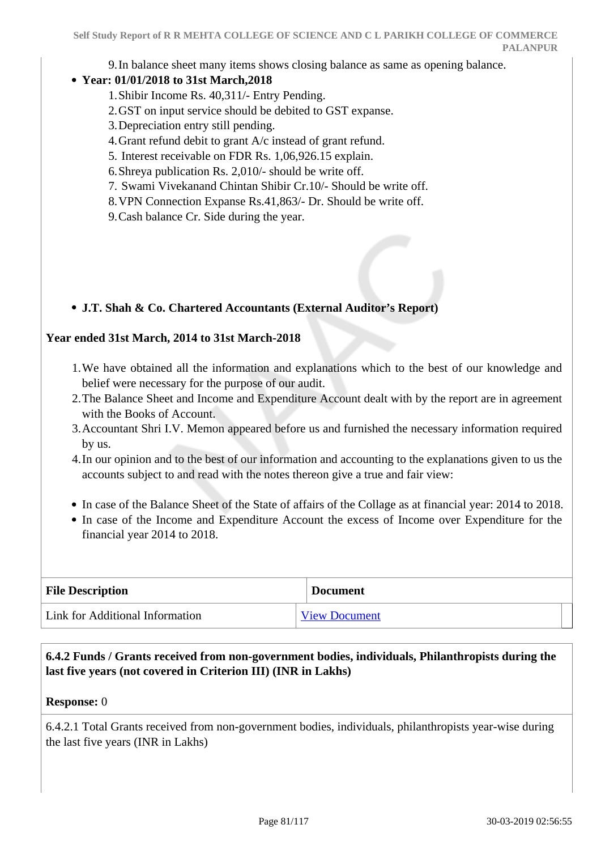9.In balance sheet many items shows closing balance as same as opening balance.

## **Year: 01/01/2018 to 31st March,2018**

- 1.Shibir Income Rs. 40,311/- Entry Pending.
- 2.GST on input service should be debited to GST expanse.
- 3.Depreciation entry still pending.
- 4.Grant refund debit to grant A/c instead of grant refund.
- 5. Interest receivable on FDR Rs. 1,06,926.15 explain.
- 6.Shreya publication Rs. 2,010/- should be write off.
- 7. Swami Vivekanand Chintan Shibir Cr.10/- Should be write off.
- 8.VPN Connection Expanse Rs.41,863/- Dr. Should be write off.

9.Cash balance Cr. Side during the year.

## **J.T. Shah & Co. Chartered Accountants (External Auditor's Report)**

## **Year ended 31st March, 2014 to 31st March-2018**

- 1.We have obtained all the information and explanations which to the best of our knowledge and belief were necessary for the purpose of our audit.
- 2.The Balance Sheet and Income and Expenditure Account dealt with by the report are in agreement with the Books of Account.
- 3.Accountant Shri I.V. Memon appeared before us and furnished the necessary information required by us.
- 4.In our opinion and to the best of our information and accounting to the explanations given to us the accounts subject to and read with the notes thereon give a true and fair view:
- In case of the Balance Sheet of the State of affairs of the Collage as at financial year: 2014 to 2018.
- In case of the Income and Expenditure Account the excess of Income over Expenditure for the financial year 2014 to 2018.

| <b>File Description</b>         | <b>Document</b>      |
|---------------------------------|----------------------|
| Link for Additional Information | <b>View Document</b> |

## **6.4.2 Funds / Grants received from non-government bodies, individuals, Philanthropists during the last five years (not covered in Criterion III) (INR in Lakhs)**

## **Response:** 0

6.4.2.1 Total Grants received from non-government bodies, individuals, philanthropists year-wise during the last five years (INR in Lakhs)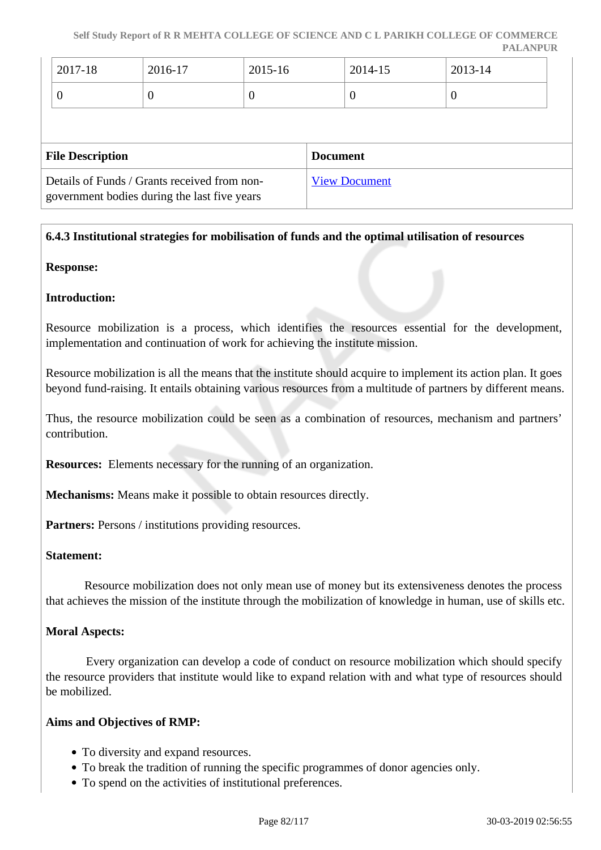**Self Study Report of R R MEHTA COLLEGE OF SCIENCE AND C L PARIKH COLLEGE OF COMMERCE PALANPUR**

| $12017 - 18$ | 2016-17 | 2015-16 | 2014-15 | $2013 - 14$ |
|--------------|---------|---------|---------|-------------|
|              |         |         | ◡       |             |

| <b>File Description</b>                                                                      | <b>Document</b>      |
|----------------------------------------------------------------------------------------------|----------------------|
| Details of Funds / Grants received from non-<br>government bodies during the last five years | <b>View Document</b> |

## **6.4.3 Institutional strategies for mobilisation of funds and the optimal utilisation of resources**

#### **Response:**

#### **Introduction:**

Resource mobilization is a process, which identifies the resources essential for the development, implementation and continuation of work for achieving the institute mission.

Resource mobilization is all the means that the institute should acquire to implement its action plan. It goes beyond fund-raising. It entails obtaining various resources from a multitude of partners by different means.

Thus, the resource mobilization could be seen as a combination of resources, mechanism and partners' contribution.

**Resources:** Elements necessary for the running of an organization.

**Mechanisms:** Means make it possible to obtain resources directly.

Partners: Persons / institutions providing resources.

#### **Statement:**

 Resource mobilization does not only mean use of money but its extensiveness denotes the process that achieves the mission of the institute through the mobilization of knowledge in human, use of skills etc.

#### **Moral Aspects:**

 Every organization can develop a code of conduct on resource mobilization which should specify the resource providers that institute would like to expand relation with and what type of resources should be mobilized.

#### **Aims and Objectives of RMP:**

- To diversity and expand resources.
- To break the tradition of running the specific programmes of donor agencies only.
- To spend on the activities of institutional preferences.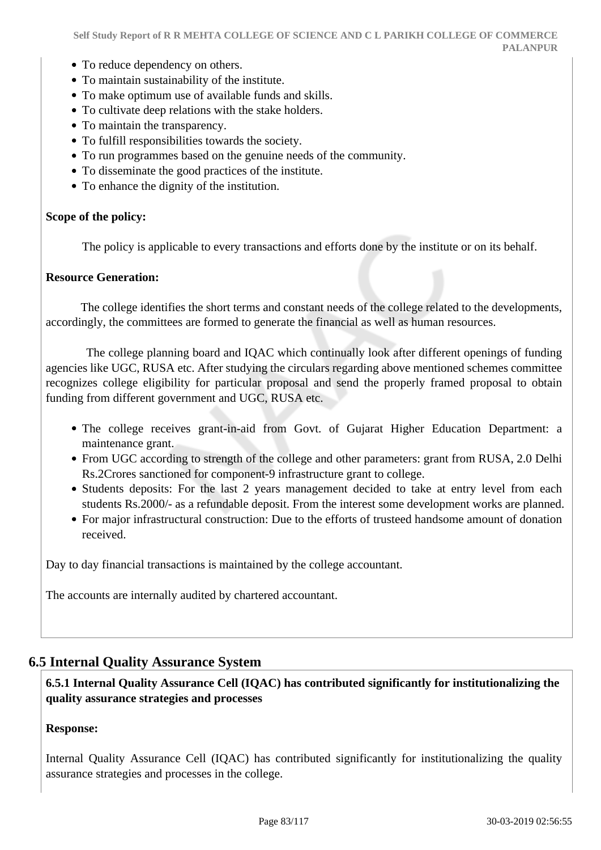- To reduce dependency on others.
- To maintain sustainability of the institute.
- To make optimum use of available funds and skills.
- To cultivate deep relations with the stake holders.
- To maintain the transparency.
- To fulfill responsibilities towards the society.
- To run programmes based on the genuine needs of the community.
- To disseminate the good practices of the institute.
- To enhance the dignity of the institution.

## **Scope of the policy:**

The policy is applicable to every transactions and efforts done by the institute or on its behalf.

## **Resource Generation:**

 The college identifies the short terms and constant needs of the college related to the developments, accordingly, the committees are formed to generate the financial as well as human resources.

 The college planning board and IQAC which continually look after different openings of funding agencies like UGC, RUSA etc. After studying the circulars regarding above mentioned schemes committee recognizes college eligibility for particular proposal and send the properly framed proposal to obtain funding from different government and UGC, RUSA etc.

- The college receives grant-in-aid from Govt. of Gujarat Higher Education Department: a maintenance grant.
- From UGC according to strength of the college and other parameters: grant from RUSA, 2.0 Delhi Rs.2Crores sanctioned for component-9 infrastructure grant to college.
- Students deposits: For the last 2 years management decided to take at entry level from each students Rs.2000/- as a refundable deposit. From the interest some development works are planned.
- For major infrastructural construction: Due to the efforts of trusteed handsome amount of donation received.

Day to day financial transactions is maintained by the college accountant.

The accounts are internally audited by chartered accountant.

## **6.5 Internal Quality Assurance System**

 **6.5.1 Internal Quality Assurance Cell (IQAC) has contributed significantly for institutionalizing the quality assurance strategies and processes**

## **Response:**

Internal Quality Assurance Cell (IQAC) has contributed significantly for institutionalizing the quality assurance strategies and processes in the college.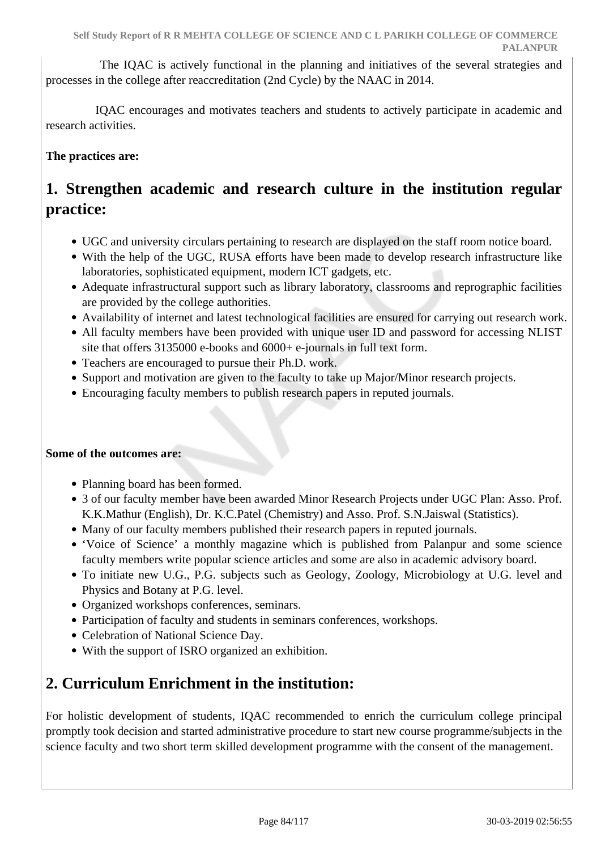The IQAC is actively functional in the planning and initiatives of the several strategies and processes in the college after reaccreditation (2nd Cycle) by the NAAC in 2014.

 IQAC encourages and motivates teachers and students to actively participate in academic and research activities.

## **The practices are:**

## **1. Strengthen academic and research culture in the institution regular practice:**

- UGC and university circulars pertaining to research are displayed on the staff room notice board.
- With the help of the UGC, RUSA efforts have been made to develop research infrastructure like laboratories, sophisticated equipment, modern ICT gadgets, etc.
- Adequate infrastructural support such as library laboratory, classrooms and reprographic facilities are provided by the college authorities.
- Availability of internet and latest technological facilities are ensured for carrying out research work.
- All faculty members have been provided with unique user ID and password for accessing NLIST site that offers 3135000 e-books and 6000+ e-journals in full text form.
- Teachers are encouraged to pursue their Ph.D. work.
- Support and motivation are given to the faculty to take up Major/Minor research projects.
- Encouraging faculty members to publish research papers in reputed journals.

## **Some of the outcomes are:**

- Planning board has been formed.
- 3 of our faculty member have been awarded Minor Research Projects under UGC Plan: Asso. Prof. K.K.Mathur (English), Dr. K.C.Patel (Chemistry) and Asso. Prof. S.N.Jaiswal (Statistics).
- Many of our faculty members published their research papers in reputed journals.
- 'Voice of Science' a monthly magazine which is published from Palanpur and some science faculty members write popular science articles and some are also in academic advisory board.
- To initiate new U.G., P.G. subjects such as Geology, Zoology, Microbiology at U.G. level and Physics and Botany at P.G. level.
- Organized workshops conferences, seminars.
- Participation of faculty and students in seminars conferences, workshops.
- Celebration of National Science Day.
- With the support of ISRO organized an exhibition.

## **2. Curriculum Enrichment in the institution:**

For holistic development of students, IQAC recommended to enrich the curriculum college principal promptly took decision and started administrative procedure to start new course programme/subjects in the science faculty and two short term skilled development programme with the consent of the management.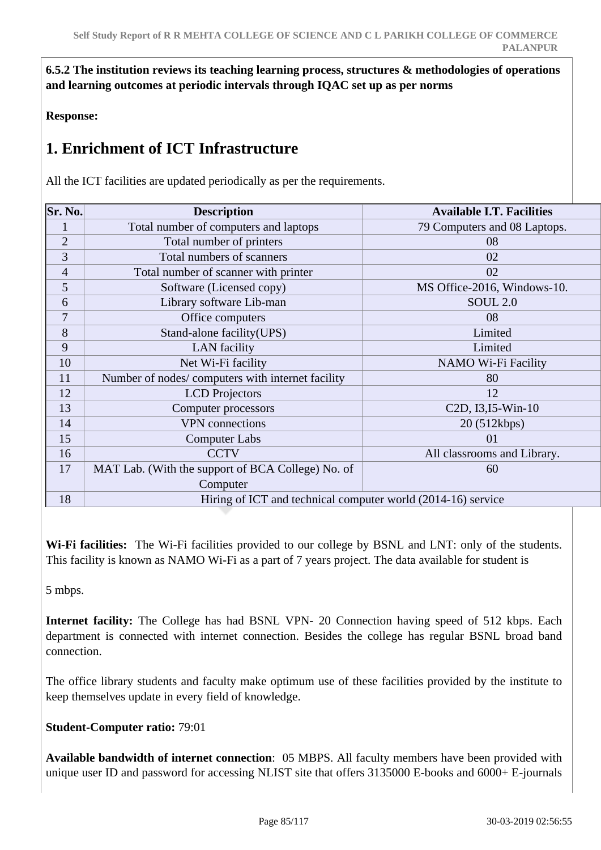**6.5.2 The institution reviews its teaching learning process, structures & methodologies of operations and learning outcomes at periodic intervals through IQAC set up as per norms**

**Response:** 

## **1. Enrichment of ICT Infrastructure**

All the ICT facilities are updated periodically as per the requirements.

| Sr. No.        | <b>Description</b>                                           | <b>Available I.T. Facilities</b>                          |  |
|----------------|--------------------------------------------------------------|-----------------------------------------------------------|--|
| 1              | Total number of computers and laptops                        | 79 Computers and 08 Laptops.                              |  |
| $\overline{2}$ | Total number of printers                                     | 08                                                        |  |
| 3              | Total numbers of scanners                                    | 02                                                        |  |
| $\overline{4}$ | Total number of scanner with printer                         | 02                                                        |  |
| 5              | Software (Licensed copy)                                     | MS Office-2016, Windows-10.                               |  |
| 6              | Library software Lib-man                                     | <b>SOUL 2.0</b>                                           |  |
| 7              | Office computers                                             | 08                                                        |  |
| 8              | Stand-alone facility (UPS)                                   | Limited                                                   |  |
| 9              | <b>LAN</b> facility                                          | Limited                                                   |  |
| 10             | Net Wi-Fi facility                                           | NAMO Wi-Fi Facility                                       |  |
| 11             | Number of nodes/computers with internet facility             | 80                                                        |  |
| 12             | <b>LCD</b> Projectors                                        | 12                                                        |  |
| 13             | Computer processors                                          | C <sub>2</sub> D, I <sub>3</sub> , I <sub>5</sub> -Win-10 |  |
| 14             | <b>VPN</b> connections                                       | 20 (512kbps)                                              |  |
| 15             | <b>Computer Labs</b>                                         | 01                                                        |  |
| 16             | <b>CCTV</b>                                                  | All classrooms and Library.                               |  |
| 17             | MAT Lab. (With the support of BCA College) No. of            | 60                                                        |  |
|                | Computer                                                     |                                                           |  |
| 18             | Hiring of ICT and technical computer world (2014-16) service |                                                           |  |

**Wi-Fi facilities:** The Wi-Fi facilities provided to our college by BSNL and LNT: only of the students. This facility is known as NAMO Wi-Fi as a part of 7 years project. The data available for student is

5 mbps.

**Internet facility:** The College has had BSNL VPN- 20 Connection having speed of 512 kbps. Each department is connected with internet connection. Besides the college has regular BSNL broad band connection.

The office library students and faculty make optimum use of these facilities provided by the institute to keep themselves update in every field of knowledge.

## **Student-Computer ratio:** 79:01

**Available bandwidth of internet connection**: 05 MBPS. All faculty members have been provided with unique user ID and password for accessing NLIST site that offers 3135000 E-books and 6000+ E-journals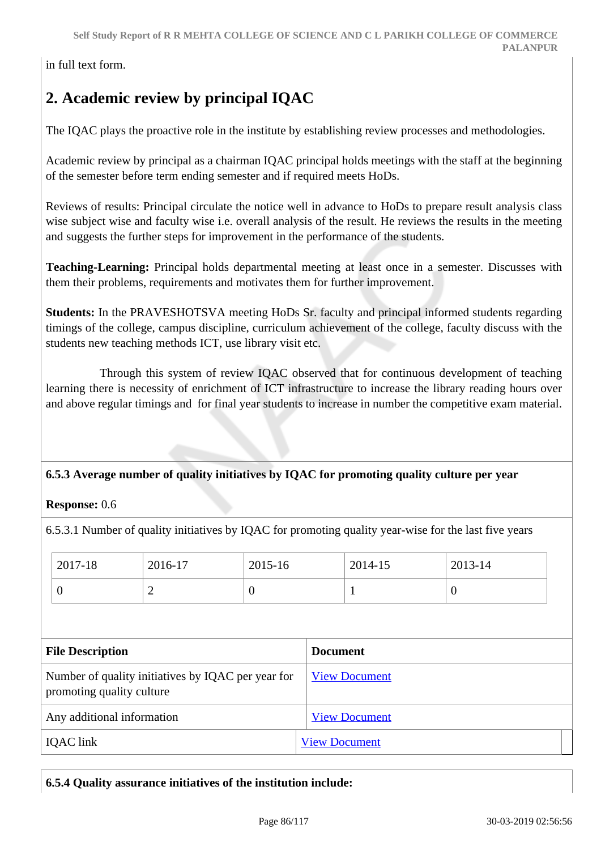in full text form.

# **2. Academic review by principal IQAC**

The IQAC plays the proactive role in the institute by establishing review processes and methodologies.

Academic review by principal as a chairman IQAC principal holds meetings with the staff at the beginning of the semester before term ending semester and if required meets HoDs.

Reviews of results: Principal circulate the notice well in advance to HoDs to prepare result analysis class wise subject wise and faculty wise i.e. overall analysis of the result. He reviews the results in the meeting and suggests the further steps for improvement in the performance of the students.

**Teaching-Learning:** Principal holds departmental meeting at least once in a semester. Discusses with them their problems, requirements and motivates them for further improvement.

**Students:** In the PRAVESHOTSVA meeting HoDs Sr. faculty and principal informed students regarding timings of the college, campus discipline, curriculum achievement of the college, faculty discuss with the students new teaching methods ICT, use library visit etc.

 Through this system of review IQAC observed that for continuous development of teaching learning there is necessity of enrichment of ICT infrastructure to increase the library reading hours over and above regular timings and for final year students to increase in number the competitive exam material.

## **6.5.3 Average number of quality initiatives by IQAC for promoting quality culture per year**

## **Response:** 0.6

6.5.3.1 Number of quality initiatives by IQAC for promoting quality year-wise for the last five years

| 2017-18 | 2016-17 | 2015-16 | 2014-15 | 2013-14 |
|---------|---------|---------|---------|---------|
|         | -       | υ       |         | v       |

| <b>File Description</b>                                                         | <b>Document</b>      |
|---------------------------------------------------------------------------------|----------------------|
| Number of quality initiatives by IQAC per year for<br>promoting quality culture | <b>View Document</b> |
| Any additional information                                                      | <b>View Document</b> |
| <b>IQAC</b> link                                                                | <b>View Document</b> |

## **6.5.4 Quality assurance initiatives of the institution include:**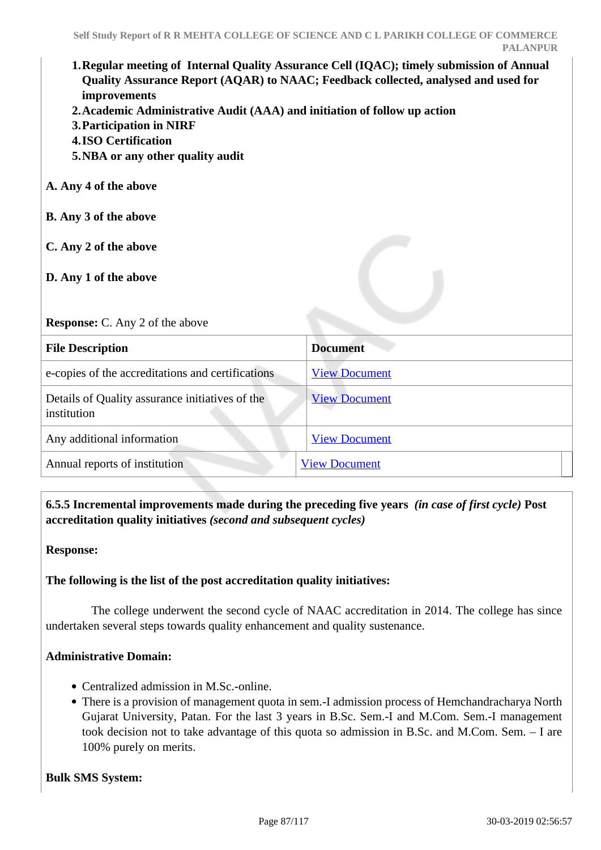# **1.Regular meeting of Internal Quality Assurance Cell (IQAC); timely submission of Annual Quality Assurance Report (AQAR) to NAAC; Feedback collected, analysed and used for improvements 2.Academic Administrative Audit (AAA) and initiation of follow up action 3.Participation in NIRF 4.ISO Certification 5.NBA or any other quality audit A. Any 4 of the above B. Any 3 of the above C. Any 2 of the above D. Any 1 of the above Response:** C. Any 2 of the above **File Description Document** e-copies of the accreditations and certifications [View Document](https://assessmentonline.naac.gov.in/storage/app/hei/SSR/102652/6.5.4_1549349697_2708.pdf) Details of Quality assurance initiatives of the institution [View Document](https://assessmentonline.naac.gov.in/storage/app/hei/SSR/102652/6.5.4_1548835086_2708.xlsx) Any additional information [View Document](https://assessmentonline.naac.gov.in/storage/app/hei/SSR/102652/6.5.4_1549607341_2708.pdf) Annual reports of institution [View Document](http://rrmsclpc.org/admin/assets-admin/naac-pdf/AQAR_link.pdf)

 **6.5.5 Incremental improvements made during the preceding five years** *(in case of first cycle)* **Post accreditation quality initiatives** *(second and subsequent cycles)*

**Response:** 

## **The following is the list of the post accreditation quality initiatives:**

 The college underwent the second cycle of NAAC accreditation in 2014. The college has since undertaken several steps towards quality enhancement and quality sustenance.

## **Administrative Domain:**

- Centralized admission in M.Sc.-online.
- There is a provision of management quota in sem.-I admission process of Hemchandracharya North Gujarat University, Patan. For the last 3 years in B.Sc. Sem.-I and M.Com. Sem.-I management took decision not to take advantage of this quota so admission in B.Sc. and M.Com. Sem. – I are 100% purely on merits.

**Bulk SMS System:**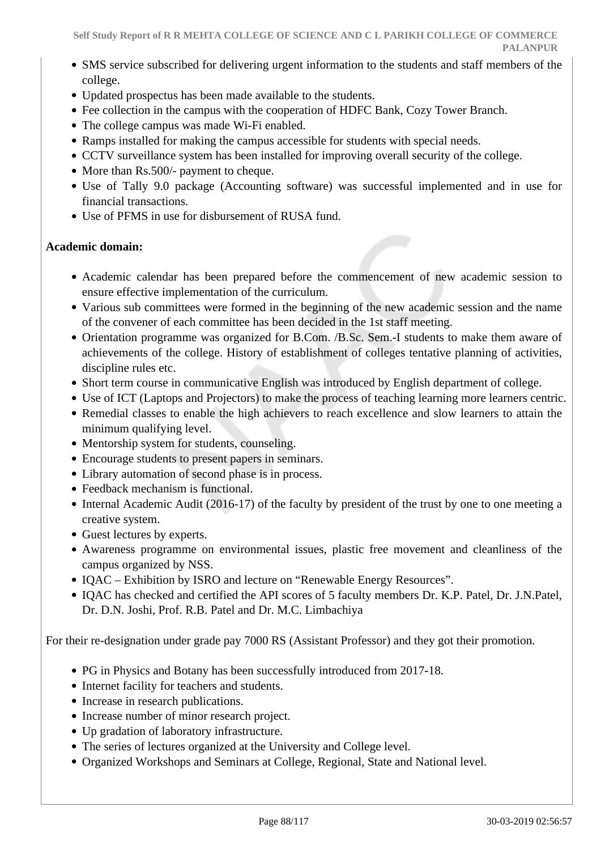- SMS service subscribed for delivering urgent information to the students and staff members of the college.
- Updated prospectus has been made available to the students.
- Fee collection in the campus with the cooperation of HDFC Bank, Cozy Tower Branch.
- The college campus was made Wi-Fi enabled.
- Ramps installed for making the campus accessible for students with special needs.
- CCTV surveillance system has been installed for improving overall security of the college.
- More than Rs.500/- payment to cheque.
- Use of Tally 9.0 package (Accounting software) was successful implemented and in use for financial transactions.
- Use of PFMS in use for disbursement of RUSA fund.

## **Academic domain:**

- Academic calendar has been prepared before the commencement of new academic session to ensure effective implementation of the curriculum.
- Various sub committees were formed in the beginning of the new academic session and the name of the convener of each committee has been decided in the 1st staff meeting.
- Orientation programme was organized for B.Com. /B.Sc. Sem.-I students to make them aware of achievements of the college. History of establishment of colleges tentative planning of activities, discipline rules etc.
- Short term course in communicative English was introduced by English department of college.
- Use of ICT (Laptops and Projectors) to make the process of teaching learning more learners centric.
- Remedial classes to enable the high achievers to reach excellence and slow learners to attain the minimum qualifying level.
- Mentorship system for students, counseling.
- Encourage students to present papers in seminars.
- Library automation of second phase is in process.
- Feedback mechanism is functional.
- Internal Academic Audit (2016-17) of the faculty by president of the trust by one to one meeting a creative system.
- Guest lectures by experts.
- Awareness programme on environmental issues, plastic free movement and cleanliness of the campus organized by NSS.
- IOAC Exhibition by ISRO and lecture on "Renewable Energy Resources".
- IQAC has checked and certified the API scores of 5 faculty members Dr. K.P. Patel, Dr. J.N.Patel, Dr. D.N. Joshi, Prof. R.B. Patel and Dr. M.C. Limbachiya

For their re-designation under grade pay 7000 RS (Assistant Professor) and they got their promotion.

- PG in Physics and Botany has been successfully introduced from 2017-18.
- Internet facility for teachers and students.
- Increase in research publications.
- Increase number of minor research project.
- Up gradation of laboratory infrastructure.
- The series of lectures organized at the University and College level.
- Organized Workshops and Seminars at College, Regional, State and National level.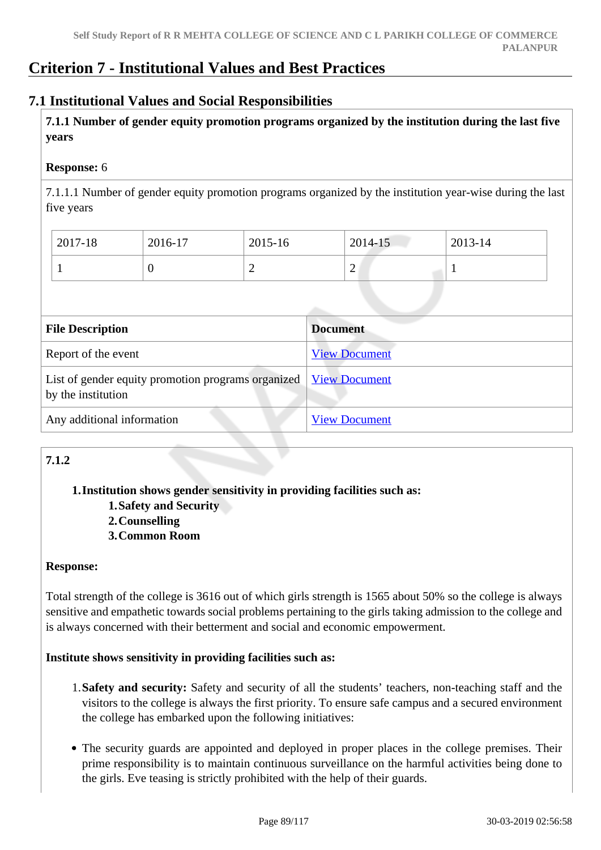## **Criterion 7 - Institutional Values and Best Practices**

## **7.1 Institutional Values and Social Responsibilities**

 **7.1.1 Number of gender equity promotion programs organized by the institution during the last five years** 

## **Response:** 6

7.1.1.1 Number of gender equity promotion programs organized by the institution year-wise during the last five years

| 2017-18 | 2016-17 | 2015-16 | 2014-15 | 2013-14 |
|---------|---------|---------|---------|---------|
|         |         | ∼       | ∽       |         |

| <b>File Description</b>                                                                  | <b>Document</b>      |
|------------------------------------------------------------------------------------------|----------------------|
| Report of the event                                                                      | <b>View Document</b> |
| List of gender equity promotion programs organized   View Document<br>by the institution |                      |
| Any additional information                                                               | <b>View Document</b> |

## **7.1.2**

## **1.Institution shows gender sensitivity in providing facilities such as:**

- **1.Safety and Security**
- **2.Counselling**
- **3.Common Room**

## **Response:**

Total strength of the college is 3616 out of which girls strength is 1565 about 50% so the college is always sensitive and empathetic towards social problems pertaining to the girls taking admission to the college and is always concerned with their betterment and social and economic empowerment.

## **Institute shows sensitivity in providing facilities such as:**

- 1.**Safety and security:** Safety and security of all the students' teachers, non-teaching staff and the visitors to the college is always the first priority. To ensure safe campus and a secured environment the college has embarked upon the following initiatives:
- The security guards are appointed and deployed in proper places in the college premises. Their prime responsibility is to maintain continuous surveillance on the harmful activities being done to the girls. Eve teasing is strictly prohibited with the help of their guards.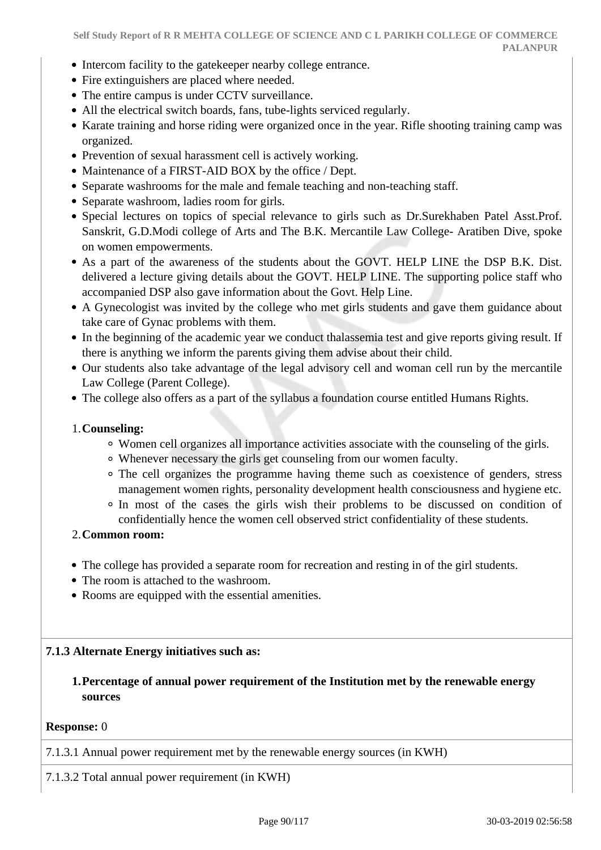- Intercom facility to the gatekeeper nearby college entrance.
- Fire extinguishers are placed where needed.
- The entire campus is under CCTV surveillance.
- All the electrical switch boards, fans, tube-lights serviced regularly.
- Karate training and horse riding were organized once in the year. Rifle shooting training camp was organized.
- Prevention of sexual harassment cell is actively working.
- Maintenance of a FIRST-AID BOX by the office / Dept.
- Separate washrooms for the male and female teaching and non-teaching staff.
- Separate washroom, ladies room for girls.
- Special lectures on topics of special relevance to girls such as Dr.Surekhaben Patel Asst.Prof. Sanskrit, G.D.Modi college of Arts and The B.K. Mercantile Law College- Aratiben Dive, spoke on women empowerments.
- As a part of the awareness of the students about the GOVT. HELP LINE the DSP B.K. Dist. delivered a lecture giving details about the GOVT. HELP LINE. The supporting police staff who accompanied DSP also gave information about the Govt. Help Line.
- A Gynecologist was invited by the college who met girls students and gave them guidance about take care of Gynac problems with them.
- In the beginning of the academic year we conduct thalassemia test and give reports giving result. If there is anything we inform the parents giving them advise about their child.
- Our students also take advantage of the legal advisory cell and woman cell run by the mercantile Law College (Parent College).
- The college also offers as a part of the syllabus a foundation course entitled Humans Rights.

#### 1.**Counseling:**

- Women cell organizes all importance activities associate with the counseling of the girls.
- Whenever necessary the girls get counseling from our women faculty.
- The cell organizes the programme having theme such as coexistence of genders, stress management women rights, personality development health consciousness and hygiene etc.
- In most of the cases the girls wish their problems to be discussed on condition of confidentially hence the women cell observed strict confidentiality of these students.

## 2.**Common room:**

- The college has provided a separate room for recreation and resting in of the girl students.
- The room is attached to the washroom.
- Rooms are equipped with the essential amenities.

## **7.1.3 Alternate Energy initiatives such as:**

## **1.Percentage of annual power requirement of the Institution met by the renewable energy sources**

#### **Response:** 0

7.1.3.1 Annual power requirement met by the renewable energy sources (in KWH)

7.1.3.2 Total annual power requirement (in KWH)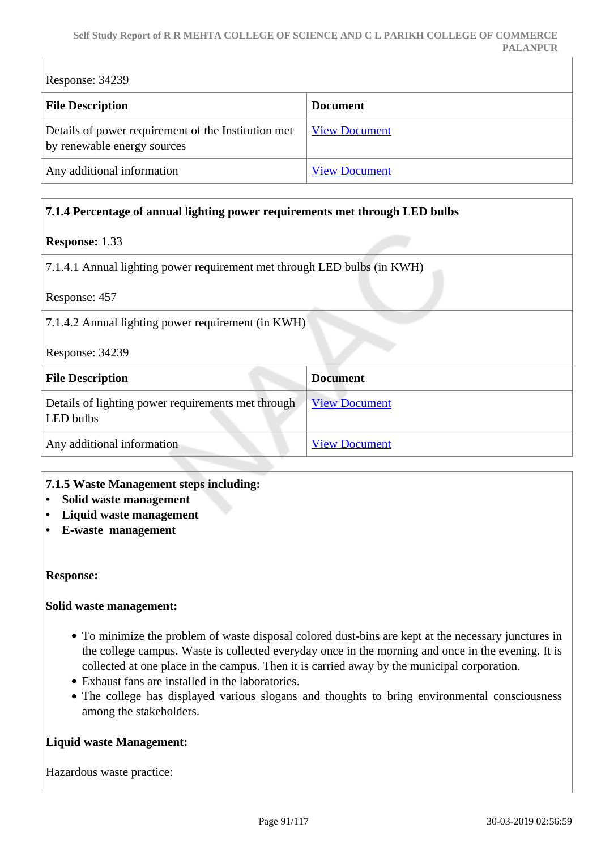Response: 34239 **File Description Document** Details of power requirement of the Institution met by renewable energy sources [View Document](https://assessmentonline.naac.gov.in/storage/app/hei/SSR/102652/7.1.3_1548237221_2708.xlsx) Any additional information [View Document](https://assessmentonline.naac.gov.in/storage/app/hei/SSR/102652/7.1.3_1548245411_2708.pdf)

## **7.1.4 Percentage of annual lighting power requirements met through LED bulbs**

## **Response:** 1.33

7.1.4.1 Annual lighting power requirement met through LED bulbs (in KWH)

Response: 457

7.1.4.2 Annual lighting power requirement (in KWH)

Response: 34239

| <b>File Description</b>                                         | <b>Document</b>      |
|-----------------------------------------------------------------|----------------------|
| Details of lighting power requirements met through<br>LED bulbs | <b>View Document</b> |
| Any additional information                                      | <b>View Document</b> |

#### **7.1.5 Waste Management steps including:**

- **Solid waste management**
- **Liquid waste management**
- **E-waste management**

#### **Response:**

#### **Solid waste management:**

- To minimize the problem of waste disposal colored dust-bins are kept at the necessary junctures in the college campus. Waste is collected everyday once in the morning and once in the evening. It is collected at one place in the campus. Then it is carried away by the municipal corporation.
- Exhaust fans are installed in the laboratories.
- The college has displayed various slogans and thoughts to bring environmental consciousness among the stakeholders.

#### **Liquid waste Management:**

Hazardous waste practice: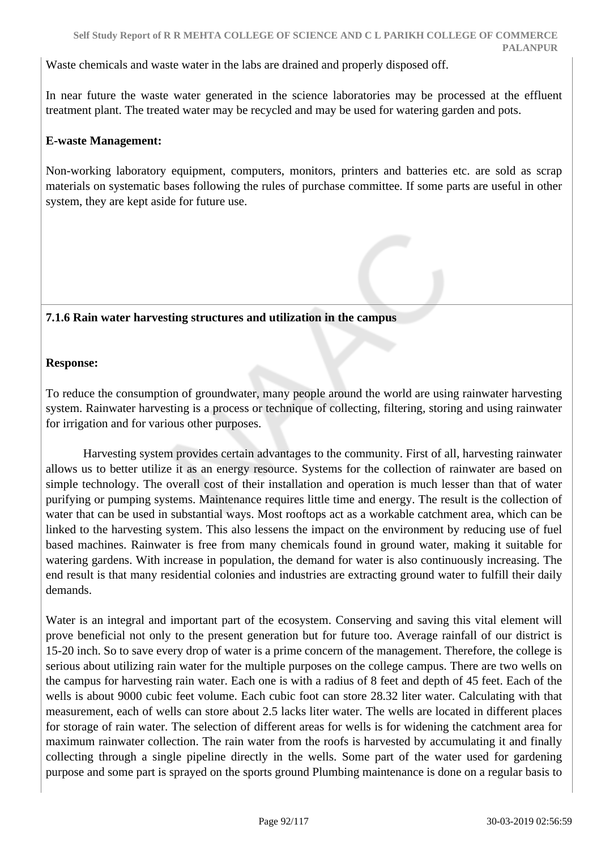Waste chemicals and waste water in the labs are drained and properly disposed off.

In near future the waste water generated in the science laboratories may be processed at the effluent treatment plant. The treated water may be recycled and may be used for watering garden and pots.

## **E-waste Management:**

Non-working laboratory equipment, computers, monitors, printers and batteries etc. are sold as scrap materials on systematic bases following the rules of purchase committee. If some parts are useful in other system, they are kept aside for future use.

## **7.1.6 Rain water harvesting structures and utilization in the campus**

## **Response:**

To reduce the consumption of groundwater, many people around the world are using rainwater harvesting system. Rainwater harvesting is a process or technique of collecting, filtering, storing and using rainwater for irrigation and for various other purposes.

 Harvesting system provides certain advantages to the community. First of all, harvesting rainwater allows us to better utilize it as an energy resource. Systems for the collection of rainwater are based on simple technology. The overall cost of their installation and operation is much lesser than that of water purifying or pumping systems. Maintenance requires little time and energy. The result is the collection of water that can be used in substantial ways. Most rooftops act as a workable catchment area, which can be linked to the harvesting system. This also lessens the impact on the environment by reducing use of fuel based machines. Rainwater is free from many chemicals found in ground water, making it suitable for watering gardens. With increase in population, the demand for water is also continuously increasing. The end result is that many residential colonies and industries are extracting ground water to fulfill their daily demands.

Water is an integral and important part of the ecosystem. Conserving and saving this vital element will prove beneficial not only to the present generation but for future too. Average rainfall of our district is 15-20 inch. So to save every drop of water is a prime concern of the management. Therefore, the college is serious about utilizing rain water for the multiple purposes on the college campus. There are two wells on the campus for harvesting rain water. Each one is with a radius of 8 feet and depth of 45 feet. Each of the wells is about 9000 cubic feet volume. Each cubic foot can store 28.32 liter water. Calculating with that measurement, each of wells can store about 2.5 lacks liter water. The wells are located in different places for storage of rain water. The selection of different areas for wells is for widening the catchment area for maximum rainwater collection. The rain water from the roofs is harvested by accumulating it and finally collecting through a single pipeline directly in the wells. Some part of the water used for gardening purpose and some part is sprayed on the sports ground Plumbing maintenance is done on a regular basis to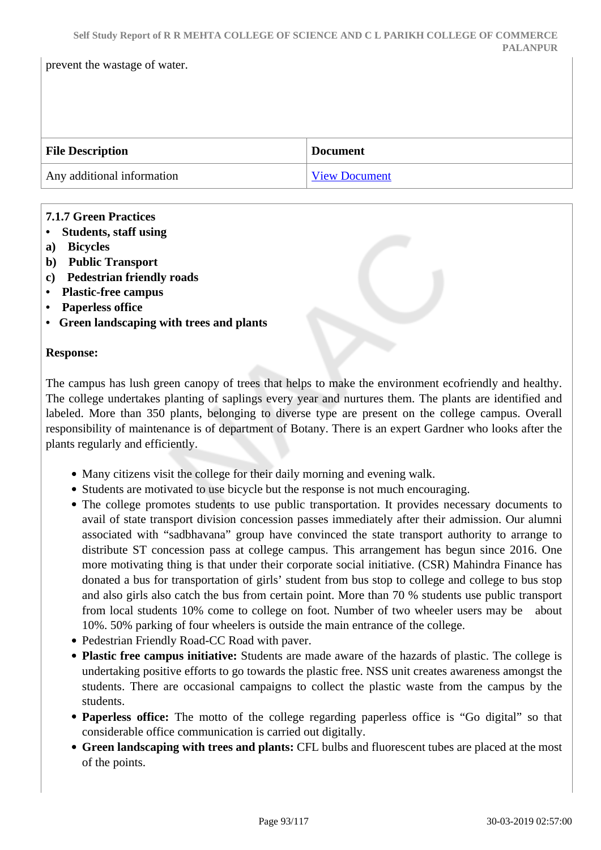| <b>File Description</b>    | <b>Document</b> |
|----------------------------|-----------------|
| Any additional information | View Document   |

## **7.1.7 Green Practices**

**• Students, staff using**

prevent the wastage of water.

- **a) Bicycles**
- **b) Public Transport**
- **c) Pedestrian friendly roads**
- **Plastic-free campus**
- **Paperless office**
- **Green landscaping with trees and plants**

## **Response:**

The campus has lush green canopy of trees that helps to make the environment ecofriendly and healthy. The college undertakes planting of saplings every year and nurtures them. The plants are identified and labeled. More than 350 plants, belonging to diverse type are present on the college campus. Overall responsibility of maintenance is of department of Botany. There is an expert Gardner who looks after the plants regularly and efficiently.

- Many citizens visit the college for their daily morning and evening walk.
- Students are motivated to use bicycle but the response is not much encouraging.
- The college promotes students to use public transportation. It provides necessary documents to avail of state transport division concession passes immediately after their admission. Our alumni associated with "sadbhavana" group have convinced the state transport authority to arrange to distribute ST concession pass at college campus. This arrangement has begun since 2016. One more motivating thing is that under their corporate social initiative. (CSR) Mahindra Finance has donated a bus for transportation of girls' student from bus stop to college and college to bus stop and also girls also catch the bus from certain point. More than 70 % students use public transport from local students 10% come to college on foot. Number of two wheeler users may be about 10%. 50% parking of four wheelers is outside the main entrance of the college.
- Pedestrian Friendly Road-CC Road with paver.
- **Plastic free campus initiative:** Students are made aware of the hazards of plastic. The college is undertaking positive efforts to go towards the plastic free. NSS unit creates awareness amongst the students. There are occasional campaigns to collect the plastic waste from the campus by the students.
- **Paperless office:** The motto of the college regarding paperless office is "Go digital" so that considerable office communication is carried out digitally.
- **Green landscaping with trees and plants:** CFL bulbs and fluorescent tubes are placed at the most of the points.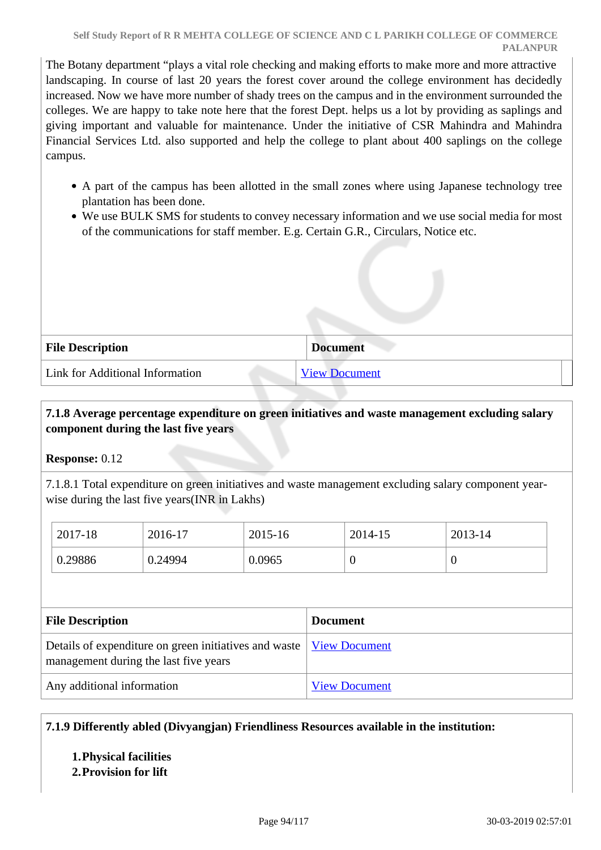The Botany department "plays a vital role checking and making efforts to make more and more attractive landscaping. In course of last 20 years the forest cover around the college environment has decidedly increased. Now we have more number of shady trees on the campus and in the environment surrounded the colleges. We are happy to take note here that the forest Dept. helps us a lot by providing as saplings and giving important and valuable for maintenance. Under the initiative of CSR Mahindra and Mahindra Financial Services Ltd. also supported and help the college to plant about 400 saplings on the college campus.

- A part of the campus has been allotted in the small zones where using Japanese technology tree plantation has been done.
- We use BULK SMS for students to convey necessary information and we use social media for most of the communications for staff member. E.g. Certain G.R., Circulars, Notice etc.

| <b>File Description</b>         | <b>Document</b>      |
|---------------------------------|----------------------|
| Link for Additional Information | <b>View Document</b> |

## **7.1.8 Average percentage expenditure on green initiatives and waste management excluding salary component during the last five years**

## **Response:** 0.12

7.1.8.1 Total expenditure on green initiatives and waste management excluding salary component yearwise during the last five years(INR in Lakhs)

| 2017-18 | 2016-17 | 2015-16 | 2014-15          | 2013-14 |
|---------|---------|---------|------------------|---------|
| 0.29886 | 0.24994 | 0.0965  | $\boldsymbol{0}$ |         |

| <b>File Description</b>                                                                                        | <b>Document</b>      |
|----------------------------------------------------------------------------------------------------------------|----------------------|
| Details of expenditure on green initiatives and waste   View Document<br>management during the last five years |                      |
| Any additional information                                                                                     | <b>View Document</b> |

## **7.1.9 Differently abled (Divyangjan) Friendliness Resources available in the institution:**

## **1.Physical facilities**

## **2.Provision for lift**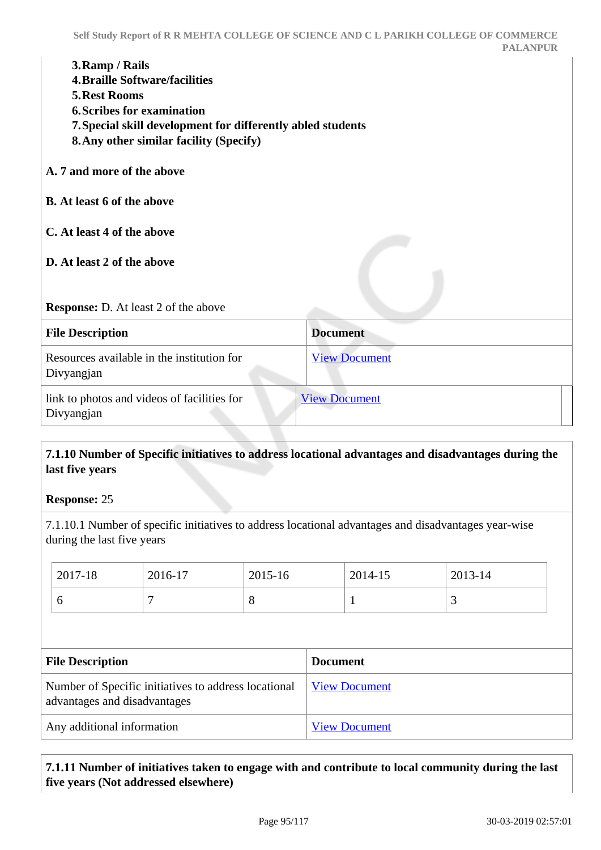- **4.Braille Software/facilities**
- **5.Rest Rooms**
- **6.Scribes for examination**
- **7.Special skill development for differently abled students**
- **8.Any other similar facility (Specify)**
- **A. 7 and more of the above**
- **B. At least 6 of the above**
- **C. At least 4 of the above**
- **D. At least 2 of the above**

## **Response:** D. At least 2 of the above

| <b>File Description</b>                                   | <b>Document</b>      |  |
|-----------------------------------------------------------|----------------------|--|
| Resources available in the institution for<br>Divyangjan  | <b>View Document</b> |  |
| link to photos and videos of facilities for<br>Divyangjan | <b>View Document</b> |  |

## **7.1.10 Number of Specific initiatives to address locational advantages and disadvantages during the last five years**

## **Response:** 25

7.1.10.1 Number of specific initiatives to address locational advantages and disadvantages year-wise during the last five years

| $ 2017-18 $<br>2016-17<br>2015-16<br>2014-15 | $ 2013-14 $ |
|----------------------------------------------|-------------|
| $\circ$<br>┍<br>O<br>O                       | ت           |

| <b>File Description</b>                                                              | <b>Document</b>      |
|--------------------------------------------------------------------------------------|----------------------|
| Number of Specific initiatives to address locational<br>advantages and disadvantages | <b>View Document</b> |
| Any additional information                                                           | <b>View Document</b> |

## **7.1.11 Number of initiatives taken to engage with and contribute to local community during the last five years (Not addressed elsewhere)**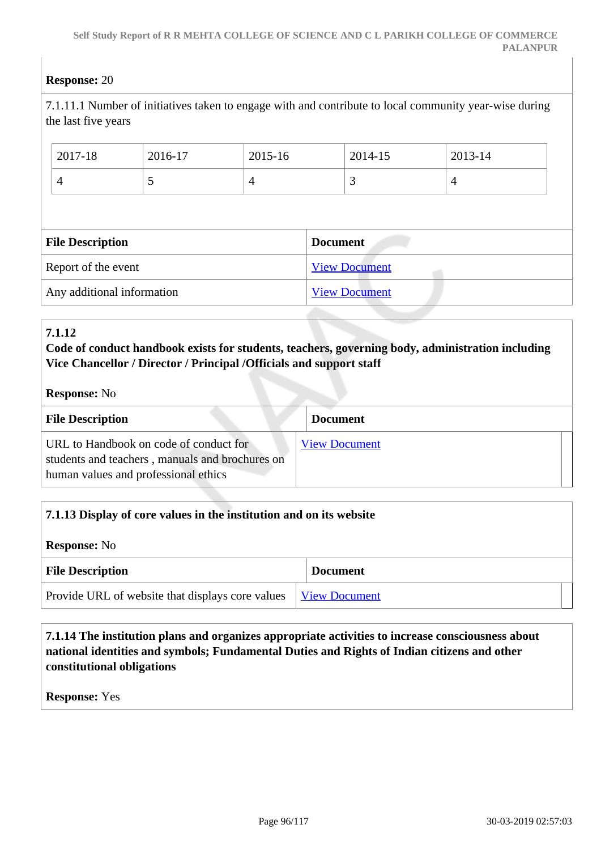## **Response:** 20

7.1.11.1 Number of initiatives taken to engage with and contribute to local community year-wise during the last five years

| 2017-18                 | 2016-17 | 2015-16        |                 | 2014-15              | 2013-14        |  |
|-------------------------|---------|----------------|-----------------|----------------------|----------------|--|
| $\overline{4}$          | C       | $\overline{4}$ |                 | 3                    | $\overline{4}$ |  |
|                         |         |                |                 |                      |                |  |
|                         |         |                |                 |                      |                |  |
| <b>File Description</b> |         |                | <b>Document</b> |                      |                |  |
| Report of the event     |         |                |                 | <b>View Document</b> |                |  |

## **7.1.12**

## **Code of conduct handbook exists for students, teachers, governing body, administration including Vice Chancellor / Director / Principal /Officials and support staff**

| <b>Response:</b> No |  |
|---------------------|--|
|---------------------|--|

| <b>File Description</b>                                                                                                           | <b>Document</b>      |
|-----------------------------------------------------------------------------------------------------------------------------------|----------------------|
| URL to Handbook on code of conduct for<br>students and teachers, manuals and brochures on<br>human values and professional ethics | <b>View Document</b> |

| 7.1.13 Display of core values in the institution and on its website |                      |
|---------------------------------------------------------------------|----------------------|
| <b>Response:</b> No                                                 |                      |
| <b>File Description</b>                                             | <b>Document</b>      |
| Provide URL of website that displays core values                    | <b>View Document</b> |

## **7.1.14 The institution plans and organizes appropriate activities to increase consciousness about national identities and symbols; Fundamental Duties and Rights of Indian citizens and other constitutional obligations**

**Response:** Yes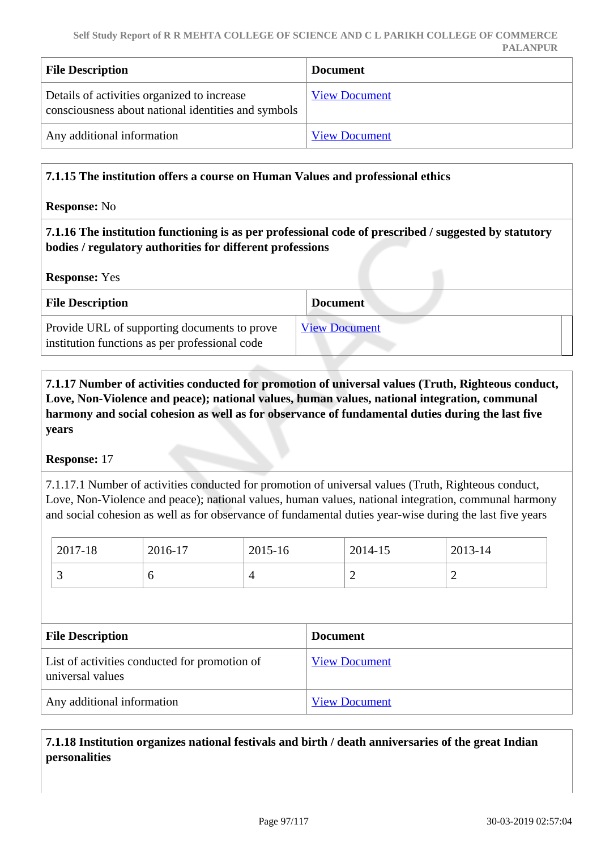| <b>File Description</b>                                                                            | <b>Document</b>      |
|----------------------------------------------------------------------------------------------------|----------------------|
| Details of activities organized to increase<br>consciousness about national identities and symbols | <b>View Document</b> |
| Any additional information                                                                         | <b>View Document</b> |

## **7.1.15 The institution offers a course on Human Values and professional ethics**

**Response:** No

 **7.1.16 The institution functioning is as per professional code of prescribed / suggested by statutory bodies / regulatory authorities for different professions**

**Response:** Yes

| <b>File Description</b>                                                                        | <b>Document</b>      |
|------------------------------------------------------------------------------------------------|----------------------|
| Provide URL of supporting documents to prove<br>institution functions as per professional code | <b>View Document</b> |

 **7.1.17 Number of activities conducted for promotion of universal values (Truth, Righteous conduct, Love, Non-Violence and peace); national values, human values, national integration, communal harmony and social cohesion as well as for observance of fundamental duties during the last five years**

#### **Response:** 17

7.1.17.1 Number of activities conducted for promotion of universal values (Truth, Righteous conduct, Love, Non-Violence and peace); national values, human values, national integration, communal harmony and social cohesion as well as for observance of fundamental duties year-wise during the last five years

| 2017-18                                                           | 2016-17 | 2015-16              |                 | 2014-15 | 2013-14        |
|-------------------------------------------------------------------|---------|----------------------|-----------------|---------|----------------|
| 3                                                                 | 6       | $\overline{4}$       |                 | 2       | $\overline{2}$ |
|                                                                   |         |                      |                 |         |                |
| <b>File Description</b>                                           |         |                      | <b>Document</b> |         |                |
| List of activities conducted for promotion of<br>universal values |         | <b>View Document</b> |                 |         |                |
|                                                                   |         |                      |                 |         |                |

 **7.1.18 Institution organizes national festivals and birth / death anniversaries of the great Indian personalities**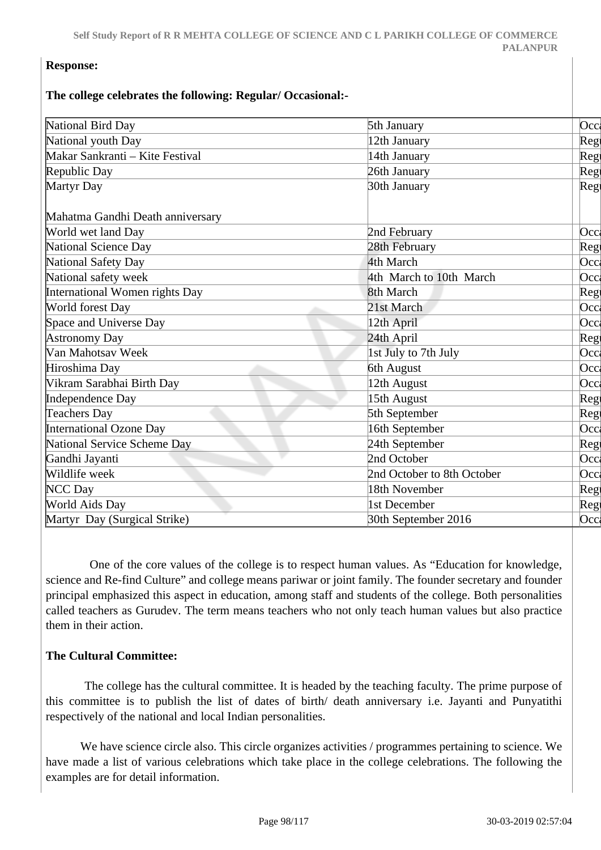## **Response:**

#### **The college celebrates the following: Regular/ Occasional:-**

| National Bird Day                | 5th January                | $ $ Occ     |
|----------------------------------|----------------------------|-------------|
| National youth Day               | 12th January               | Reg         |
| Makar Sankranti - Kite Festival  | 14th January               | Reg         |
| Republic Day                     | 26th January               | Reg         |
| Martyr Day                       | 30th January               | Reg         |
| Mahatma Gandhi Death anniversary |                            |             |
| World wet land Day               | 2nd February               | Occl        |
| National Science Day             | 28th February              | Reg         |
| National Safety Day              | 4th March                  | Occ         |
| National safety week             | 4th March to 10th March    | Occl        |
| International Women rights Day   | 8th March                  | Reg         |
| World forest Day                 | 21st March                 | Occ         |
| Space and Universe Day           | 12th April                 | Occl        |
| <b>Astronomy Day</b>             | 24th April                 | Reg         |
| Van Mahotsav Week                | 1st July to 7th July       | Occ         |
| Hiroshima Day                    | 6th August                 | Occ         |
| Vikram Sarabhai Birth Day        | 12th August                | Occl        |
| Independence Day                 | 15th August                | Reg         |
| Teachers Day                     | 5th September              | Reg         |
| International Ozone Day          | 16th September             | Occ         |
| National Service Scheme Day      | 24th September             | Reg         |
| Gandhi Jayanti                   | 2nd October                | $ $ Occ $ $ |
| Wildlife week                    | 2nd October to 8th October | Occl        |
| NCC Day                          | 18th November              | Reg         |
| <b>World Aids Day</b>            | 1st December               | Reg         |
| Martyr Day (Surgical Strike)     | 30th September 2016        | Occl        |

 One of the core values of the college is to respect human values. As "Education for knowledge, science and Re-find Culture" and college means pariwar or joint family. The founder secretary and founder principal emphasized this aspect in education, among staff and students of the college. Both personalities called teachers as Gurudev. The term means teachers who not only teach human values but also practice them in their action.

## **The Cultural Committee:**

 The college has the cultural committee. It is headed by the teaching faculty. The prime purpose of this committee is to publish the list of dates of birth/ death anniversary i.e. Jayanti and Punyatithi respectively of the national and local Indian personalities.

 We have science circle also. This circle organizes activities / programmes pertaining to science. We have made a list of various celebrations which take place in the college celebrations. The following the examples are for detail information.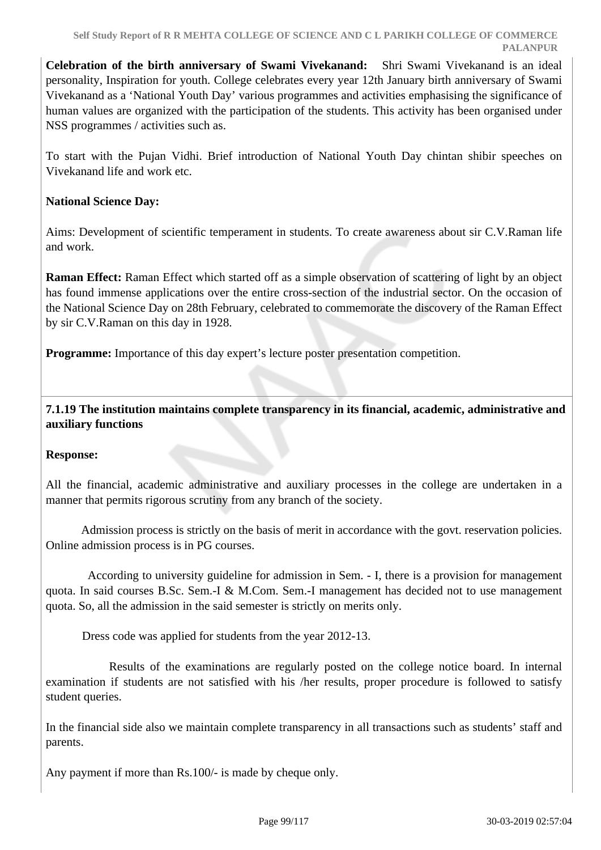**Celebration of the birth anniversary of Swami Vivekanand:** Shri Swami Vivekanand is an ideal personality, Inspiration for youth. College celebrates every year 12th January birth anniversary of Swami Vivekanand as a 'National Youth Day' various programmes and activities emphasising the significance of human values are organized with the participation of the students. This activity has been organised under NSS programmes / activities such as.

To start with the Pujan Vidhi. Brief introduction of National Youth Day chintan shibir speeches on Vivekanand life and work etc.

## **National Science Day:**

Aims: Development of scientific temperament in students. To create awareness about sir C.V.Raman life and work.

**Raman Effect:** Raman Effect which started off as a simple observation of scattering of light by an object has found immense applications over the entire cross-section of the industrial sector. On the occasion of the National Science Day on 28th February, celebrated to commemorate the discovery of the Raman Effect by sir C.V.Raman on this day in 1928.

**Programme:** Importance of this day expert's lecture poster presentation competition.

 **7.1.19 The institution maintains complete transparency in its financial, academic, administrative and auxiliary functions**

## **Response:**

All the financial, academic administrative and auxiliary processes in the college are undertaken in a manner that permits rigorous scrutiny from any branch of the society.

 Admission process is strictly on the basis of merit in accordance with the govt. reservation policies. Online admission process is in PG courses.

 According to university guideline for admission in Sem. - I, there is a provision for management quota. In said courses B.Sc. Sem.-I & M.Com. Sem.-I management has decided not to use management quota. So, all the admission in the said semester is strictly on merits only.

Dress code was applied for students from the year 2012-13.

 Results of the examinations are regularly posted on the college notice board. In internal examination if students are not satisfied with his /her results, proper procedure is followed to satisfy student queries.

In the financial side also we maintain complete transparency in all transactions such as students' staff and parents.

Any payment if more than Rs.100/- is made by cheque only.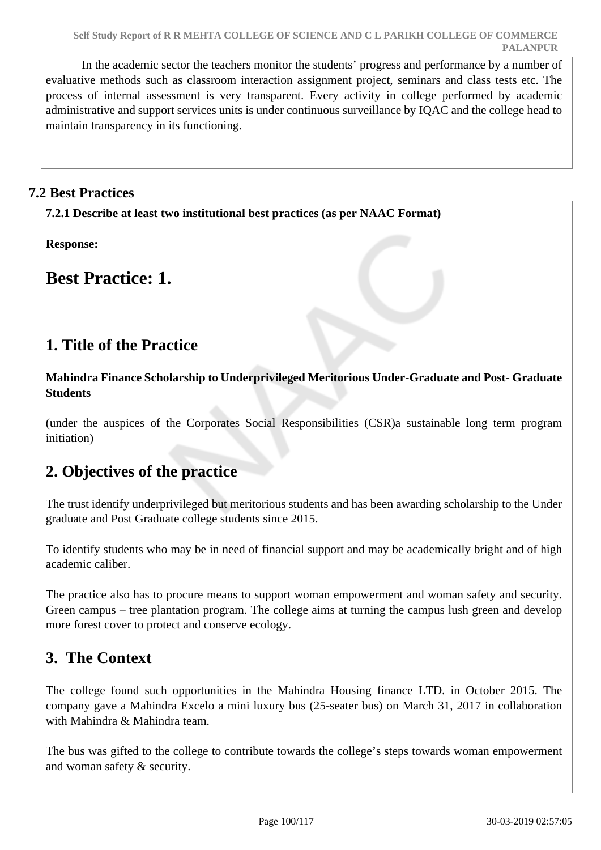In the academic sector the teachers monitor the students' progress and performance by a number of evaluative methods such as classroom interaction assignment project, seminars and class tests etc. The process of internal assessment is very transparent. Every activity in college performed by academic administrative and support services units is under continuous surveillance by IQAC and the college head to maintain transparency in its functioning.

## **7.2 Best Practices**

**7.2.1 Describe at least two institutional best practices (as per NAAC Format)**

**Response:** 

**Best Practice: 1.**

## **1. Title of the Practice**

**Mahindra Finance Scholarship to Underprivileged Meritorious Under-Graduate and Post- Graduate Students**

(under the auspices of the Corporates Social Responsibilities (CSR)a sustainable long term program initiation)

## **2. Objectives of the practice**

The trust identify underprivileged but meritorious students and has been awarding scholarship to the Under graduate and Post Graduate college students since 2015.

To identify students who may be in need of financial support and may be academically bright and of high academic caliber.

The practice also has to procure means to support woman empowerment and woman safety and security. Green campus – tree plantation program. The college aims at turning the campus lush green and develop more forest cover to protect and conserve ecology.

## **3. The Context**

The college found such opportunities in the Mahindra Housing finance LTD. in October 2015. The company gave a Mahindra Excelo a mini luxury bus (25-seater bus) on March 31, 2017 in collaboration with Mahindra & Mahindra team.

The bus was gifted to the college to contribute towards the college's steps towards woman empowerment and woman safety & security.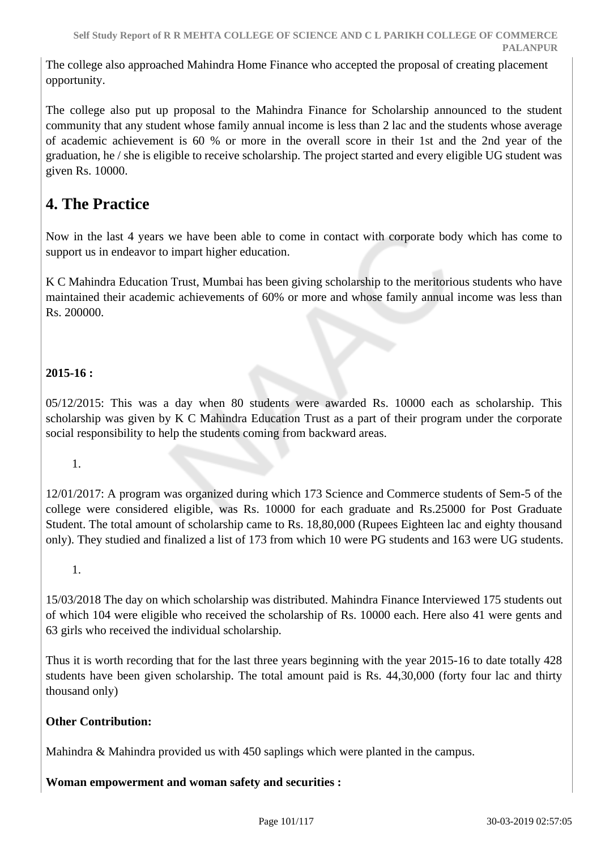The college also approached Mahindra Home Finance who accepted the proposal of creating placement opportunity.

The college also put up proposal to the Mahindra Finance for Scholarship announced to the student community that any student whose family annual income is less than 2 lac and the students whose average of academic achievement is 60 % or more in the overall score in their 1st and the 2nd year of the graduation, he / she is eligible to receive scholarship. The project started and every eligible UG student was given Rs. 10000.

## **4. The Practice**

Now in the last 4 years we have been able to come in contact with corporate body which has come to support us in endeavor to impart higher education.

K C Mahindra Education Trust, Mumbai has been giving scholarship to the meritorious students who have maintained their academic achievements of 60% or more and whose family annual income was less than Rs. 200000.

## **2015-16 :**

05/12/2015: This was a day when 80 students were awarded Rs. 10000 each as scholarship. This scholarship was given by K C Mahindra Education Trust as a part of their program under the corporate social responsibility to help the students coming from backward areas.

## 1.

12/01/2017: A program was organized during which 173 Science and Commerce students of Sem-5 of the college were considered eligible, was Rs. 10000 for each graduate and Rs.25000 for Post Graduate Student. The total amount of scholarship came to Rs. 18,80,000 (Rupees Eighteen lac and eighty thousand only). They studied and finalized a list of 173 from which 10 were PG students and 163 were UG students.

1.

15/03/2018 The day on which scholarship was distributed. Mahindra Finance Interviewed 175 students out of which 104 were eligible who received the scholarship of Rs. 10000 each. Here also 41 were gents and 63 girls who received the individual scholarship.

Thus it is worth recording that for the last three years beginning with the year 2015-16 to date totally 428 students have been given scholarship. The total amount paid is Rs. 44,30,000 (forty four lac and thirty thousand only)

## **Other Contribution:**

Mahindra & Mahindra provided us with 450 saplings which were planted in the campus.

## **Woman empowerment and woman safety and securities :**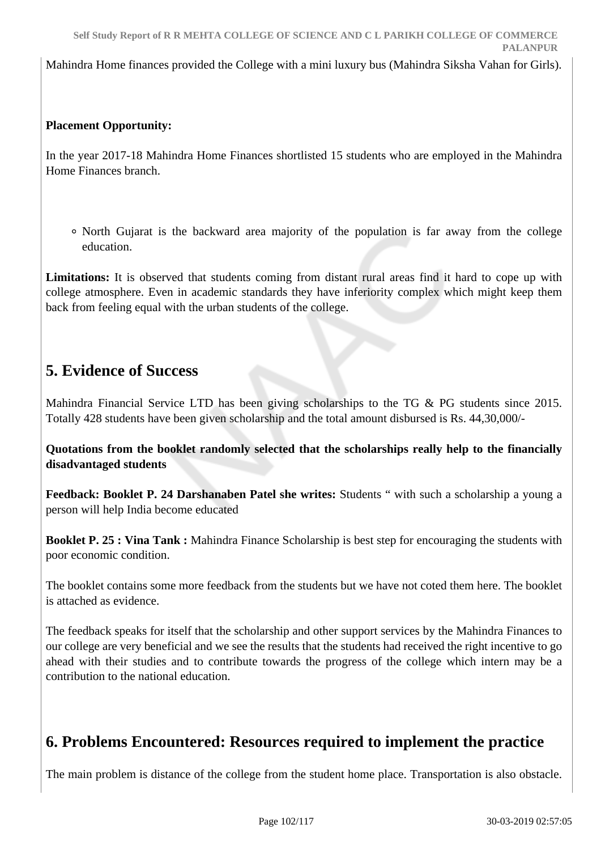Mahindra Home finances provided the College with a mini luxury bus (Mahindra Siksha Vahan for Girls).

## **Placement Opportunity:**

In the year 2017-18 Mahindra Home Finances shortlisted 15 students who are employed in the Mahindra Home Finances branch.

North Gujarat is the backward area majority of the population is far away from the college education.

**Limitations:** It is observed that students coming from distant rural areas find it hard to cope up with college atmosphere. Even in academic standards they have inferiority complex which might keep them back from feeling equal with the urban students of the college.

## **5. Evidence of Success**

Mahindra Financial Service LTD has been giving scholarships to the TG & PG students since 2015. Totally 428 students have been given scholarship and the total amount disbursed is Rs. 44,30,000/-

**Quotations from the booklet randomly selected that the scholarships really help to the financially disadvantaged students** 

**Feedback: Booklet P. 24 Darshanaben Patel she writes:** Students " with such a scholarship a young a person will help India become educated

**Booklet P. 25 : Vina Tank :** Mahindra Finance Scholarship is best step for encouraging the students with poor economic condition.

The booklet contains some more feedback from the students but we have not coted them here. The booklet is attached as evidence.

The feedback speaks for itself that the scholarship and other support services by the Mahindra Finances to our college are very beneficial and we see the results that the students had received the right incentive to go ahead with their studies and to contribute towards the progress of the college which intern may be a contribution to the national education.

## **6. Problems Encountered: Resources required to implement the practice**

The main problem is distance of the college from the student home place. Transportation is also obstacle.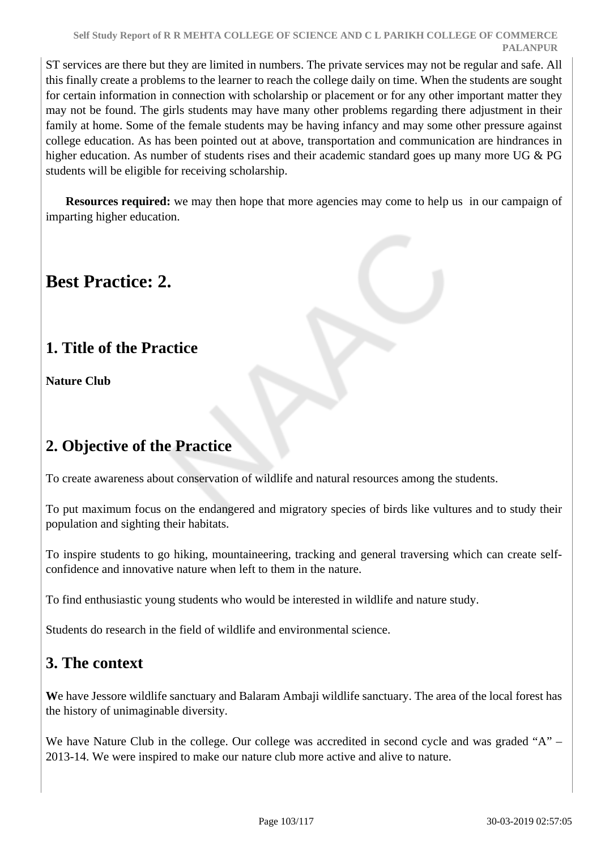ST services are there but they are limited in numbers. The private services may not be regular and safe. All this finally create a problems to the learner to reach the college daily on time. When the students are sought for certain information in connection with scholarship or placement or for any other important matter they may not be found. The girls students may have many other problems regarding there adjustment in their family at home. Some of the female students may be having infancy and may some other pressure against college education. As has been pointed out at above, transportation and communication are hindrances in higher education. As number of students rises and their academic standard goes up many more UG & PG students will be eligible for receiving scholarship.

**Resources required:** we may then hope that more agencies may come to help us in our campaign of imparting higher education.

# **Best Practice: 2.**

## **1. Title of the Practice**

**Nature Club** 

# **2. Objective of the Practice**

To create awareness about conservation of wildlife and natural resources among the students.

To put maximum focus on the endangered and migratory species of birds like vultures and to study their population and sighting their habitats.

To inspire students to go hiking, mountaineering, tracking and general traversing which can create selfconfidence and innovative nature when left to them in the nature.

To find enthusiastic young students who would be interested in wildlife and nature study.

Students do research in the field of wildlife and environmental science.

## **3. The context**

**W**e have Jessore wildlife sanctuary and Balaram Ambaji wildlife sanctuary. The area of the local forest has the history of unimaginable diversity.

We have Nature Club in the college. Our college was accredited in second cycle and was graded "A" – 2013-14. We were inspired to make our nature club more active and alive to nature.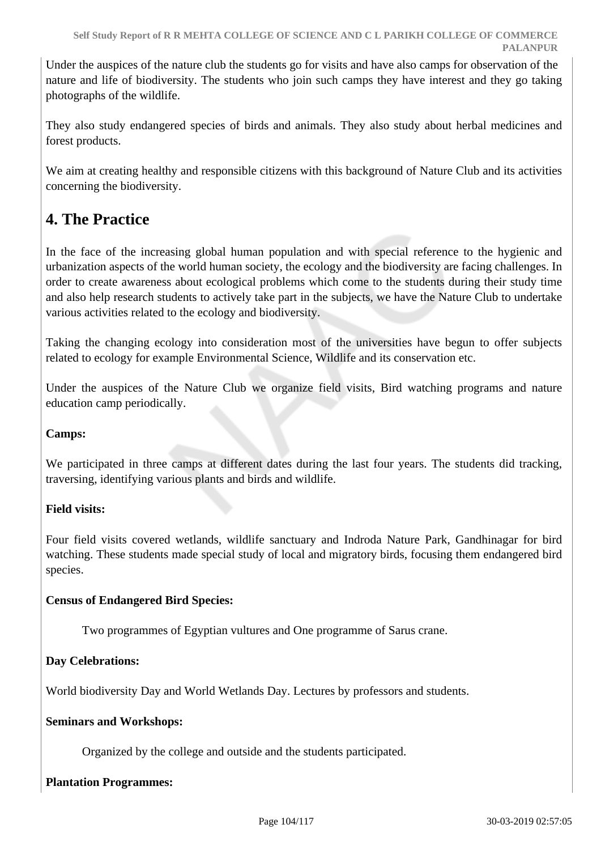Under the auspices of the nature club the students go for visits and have also camps for observation of the nature and life of biodiversity. The students who join such camps they have interest and they go taking photographs of the wildlife.

They also study endangered species of birds and animals. They also study about herbal medicines and forest products.

We aim at creating healthy and responsible citizens with this background of Nature Club and its activities concerning the biodiversity.

# **4. The Practice**

In the face of the increasing global human population and with special reference to the hygienic and urbanization aspects of the world human society, the ecology and the biodiversity are facing challenges. In order to create awareness about ecological problems which come to the students during their study time and also help research students to actively take part in the subjects, we have the Nature Club to undertake various activities related to the ecology and biodiversity.

Taking the changing ecology into consideration most of the universities have begun to offer subjects related to ecology for example Environmental Science, Wildlife and its conservation etc.

Under the auspices of the Nature Club we organize field visits, Bird watching programs and nature education camp periodically.

## **Camps:**

We participated in three camps at different dates during the last four years. The students did tracking, traversing, identifying various plants and birds and wildlife.

## **Field visits:**

Four field visits covered wetlands, wildlife sanctuary and Indroda Nature Park, Gandhinagar for bird watching. These students made special study of local and migratory birds, focusing them endangered bird species.

## **Census of Endangered Bird Species:**

Two programmes of Egyptian vultures and One programme of Sarus crane.

## **Day Celebrations:**

World biodiversity Day and World Wetlands Day. Lectures by professors and students.

## **Seminars and Workshops:**

Organized by the college and outside and the students participated.

## **Plantation Programmes:**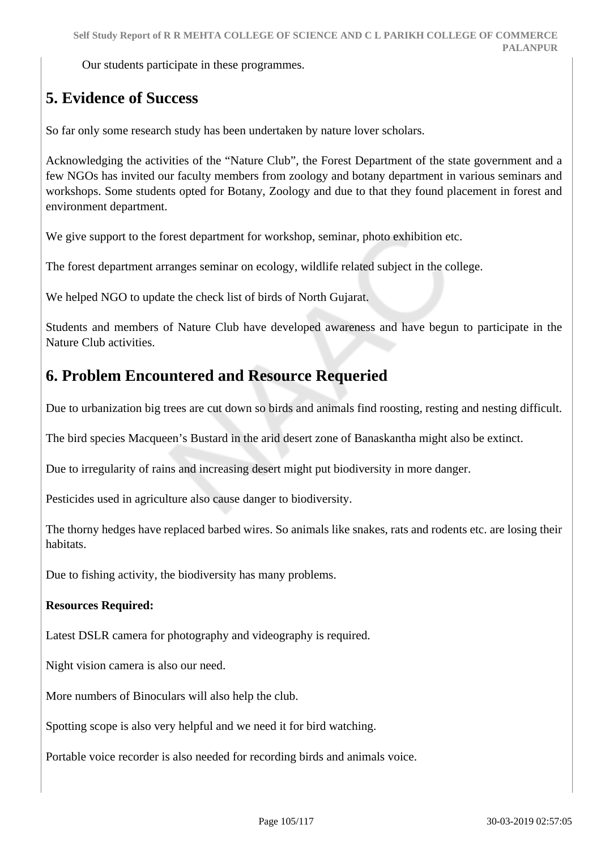Our students participate in these programmes.

# **5. Evidence of Success**

So far only some research study has been undertaken by nature lover scholars.

Acknowledging the activities of the "Nature Club", the Forest Department of the state government and a few NGOs has invited our faculty members from zoology and botany department in various seminars and workshops. Some students opted for Botany, Zoology and due to that they found placement in forest and environment department.

We give support to the forest department for workshop, seminar, photo exhibition etc.

The forest department arranges seminar on ecology, wildlife related subject in the college.

We helped NGO to update the check list of birds of North Gujarat.

Students and members of Nature Club have developed awareness and have begun to participate in the Nature Club activities.

## **6. Problem Encountered and Resource Requeried**

Due to urbanization big trees are cut down so birds and animals find roosting, resting and nesting difficult.

The bird species Macqueen's Bustard in the arid desert zone of Banaskantha might also be extinct.

Due to irregularity of rains and increasing desert might put biodiversity in more danger.

Pesticides used in agriculture also cause danger to biodiversity.

The thorny hedges have replaced barbed wires. So animals like snakes, rats and rodents etc. are losing their habitats.

Due to fishing activity, the biodiversity has many problems.

## **Resources Required:**

Latest DSLR camera for photography and videography is required.

Night vision camera is also our need.

More numbers of Binoculars will also help the club.

Spotting scope is also very helpful and we need it for bird watching.

Portable voice recorder is also needed for recording birds and animals voice.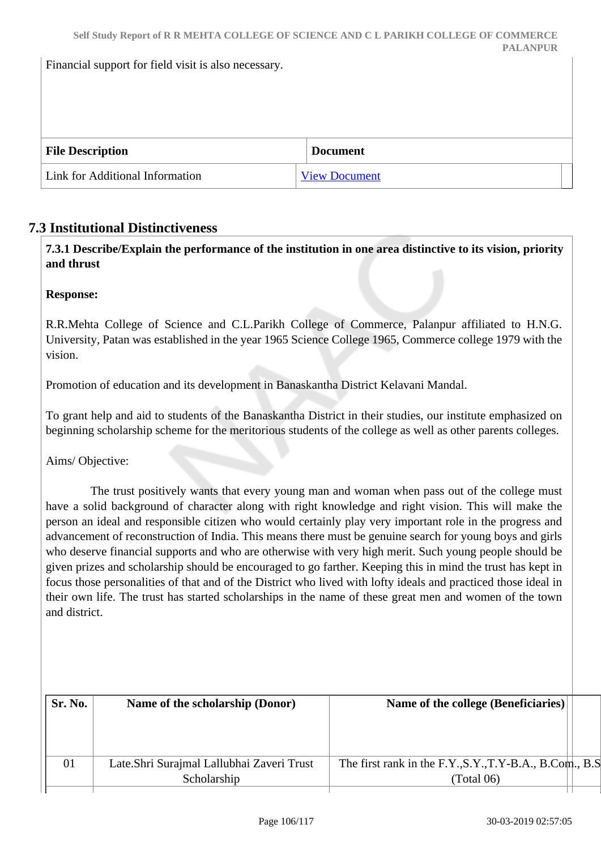Financial support for field visit is also necessary.

| <b>File Description</b>         | <b>Document</b>      |  |
|---------------------------------|----------------------|--|
| Link for Additional Information | <b>View Document</b> |  |

## **7.3 Institutional Distinctiveness**

 **7.3.1 Describe/Explain the performance of the institution in one area distinctive to its vision, priority and thrust**

**Response:** 

R.R.Mehta College of Science and C.L.Parikh College of Commerce, Palanpur affiliated to H.N.G. University, Patan was established in the year 1965 Science College 1965, Commerce college 1979 with the vision.

Promotion of education and its development in Banaskantha District Kelavani Mandal.

To grant help and aid to students of the Banaskantha District in their studies, our institute emphasized on beginning scholarship scheme for the meritorious students of the college as well as other parents colleges.

Aims/ Objective:

 The trust positively wants that every young man and woman when pass out of the college must have a solid background of character along with right knowledge and right vision. This will make the person an ideal and responsible citizen who would certainly play very important role in the progress and advancement of reconstruction of India. This means there must be genuine search for young boys and girls who deserve financial supports and who are otherwise with very high merit. Such young people should be given prizes and scholarship should be encouraged to go farther. Keeping this in mind the trust has kept in focus those personalities of that and of the District who lived with lofty ideals and practiced those ideal in their own life. The trust has started scholarships in the name of these great men and women of the town and district.

| Sr. No. | Name of the scholarship (Donor)            | Name of the college (Beneficiaries)                      |  |
|---------|--------------------------------------------|----------------------------------------------------------|--|
|         |                                            |                                                          |  |
| 01      | Late. Shri Surajmal Lallubhai Zaveri Trust | The first rank in the F.Y., S.Y., T.Y-B.A., B.Com., B.S. |  |
|         | Scholarship                                | (Total 06)                                               |  |
|         |                                            |                                                          |  |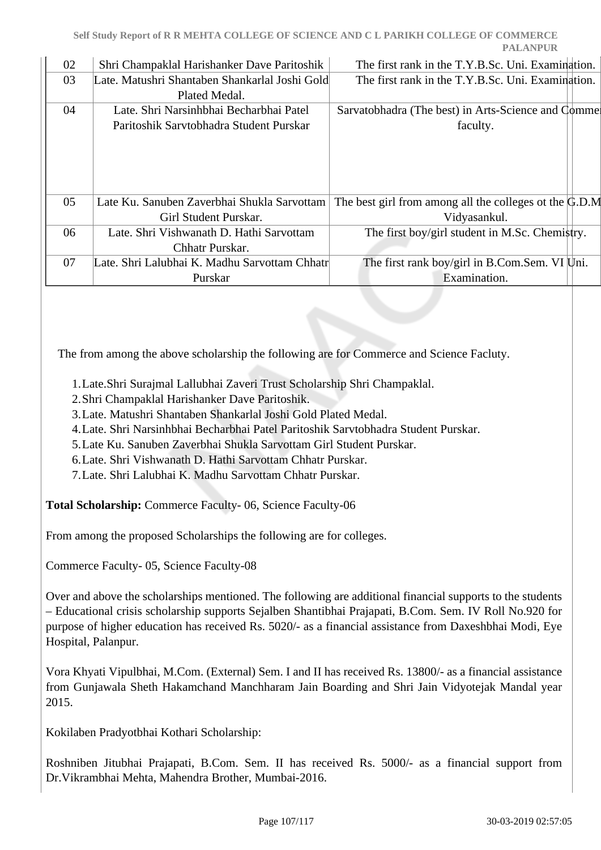| 02 | Shri Champaklal Harishanker Dave Paritoshik    | The first rank in the T.Y.B.Sc. Uni. Examination.                       |  |
|----|------------------------------------------------|-------------------------------------------------------------------------|--|
| 03 | Late. Matushri Shantaben Shankarlal Joshi Gold | The first rank in the T.Y.B.Sc. Uni. Examination.                       |  |
|    | Plated Medal.                                  |                                                                         |  |
| 04 | Late. Shri Narsinhbhai Becharbhai Patel        | Sarvatobhadra (The best) in Arts-Science and Comme                      |  |
|    | Paritoshik Sarvtobhadra Student Purskar        | faculty.                                                                |  |
|    |                                                |                                                                         |  |
|    |                                                |                                                                         |  |
|    |                                                |                                                                         |  |
|    |                                                |                                                                         |  |
| 05 | Late Ku. Sanuben Zaverbhai Shukla Sarvottam    | The best girl from among all the colleges ot the $\ddot{\text{G}}$ .D.M |  |
|    | Girl Student Purskar.                          | Vidyasankul.                                                            |  |
| 06 | Late. Shri Vishwanath D. Hathi Sarvottam       | The first boy/girl student in M.Sc. Chemistry.                          |  |
|    | Chhatr Purskar.                                |                                                                         |  |
| 07 | Late. Shri Lalubhai K. Madhu Sarvottam Chhatr  | The first rank boy/girl in B.Com.Sem. VI Uni.                           |  |
|    | Purskar                                        | Examination.                                                            |  |
|    |                                                |                                                                         |  |

The from among the above scholarship the following are for Commerce and Science Facluty.

- 1.Late.Shri Surajmal Lallubhai Zaveri Trust Scholarship Shri Champaklal.
- 2.Shri Champaklal Harishanker Dave Paritoshik.
- 3.Late. Matushri Shantaben Shankarlal Joshi Gold Plated Medal.
- 4.Late. Shri Narsinhbhai Becharbhai Patel Paritoshik Sarvtobhadra Student Purskar.
- 5.Late Ku. Sanuben Zaverbhai Shukla Sarvottam Girl Student Purskar.
- 6.Late. Shri Vishwanath D. Hathi Sarvottam Chhatr Purskar.
- 7.Late. Shri Lalubhai K. Madhu Sarvottam Chhatr Purskar.

**Total Scholarship:** Commerce Faculty- 06, Science Faculty-06

From among the proposed Scholarships the following are for colleges.

Commerce Faculty- 05, Science Faculty-08

Over and above the scholarships mentioned. The following are additional financial supports to the students – Educational crisis scholarship supports Sejalben Shantibhai Prajapati, B.Com. Sem. IV Roll No.920 for purpose of higher education has received Rs. 5020/- as a financial assistance from Daxeshbhai Modi, Eye Hospital, Palanpur.

Vora Khyati Vipulbhai, M.Com. (External) Sem. I and II has received Rs. 13800/- as a financial assistance from Gunjawala Sheth Hakamchand Manchharam Jain Boarding and Shri Jain Vidyotejak Mandal year 2015.

Kokilaben Pradyotbhai Kothari Scholarship:

Roshniben Jitubhai Prajapati, B.Com. Sem. II has received Rs. 5000/- as a financial support from Dr.Vikrambhai Mehta, Mahendra Brother, Mumbai-2016.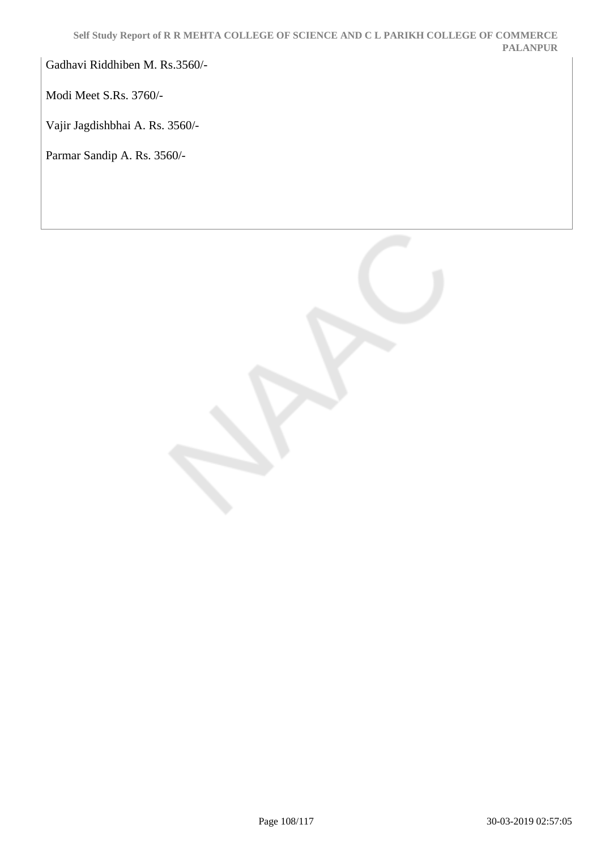Gadhavi Riddhiben M. Rs.3560/-

Modi Meet S.Rs. 3760/-

Vajir Jagdishbhai A. Rs. 3560/-

Parmar Sandip A. Rs. 3560/-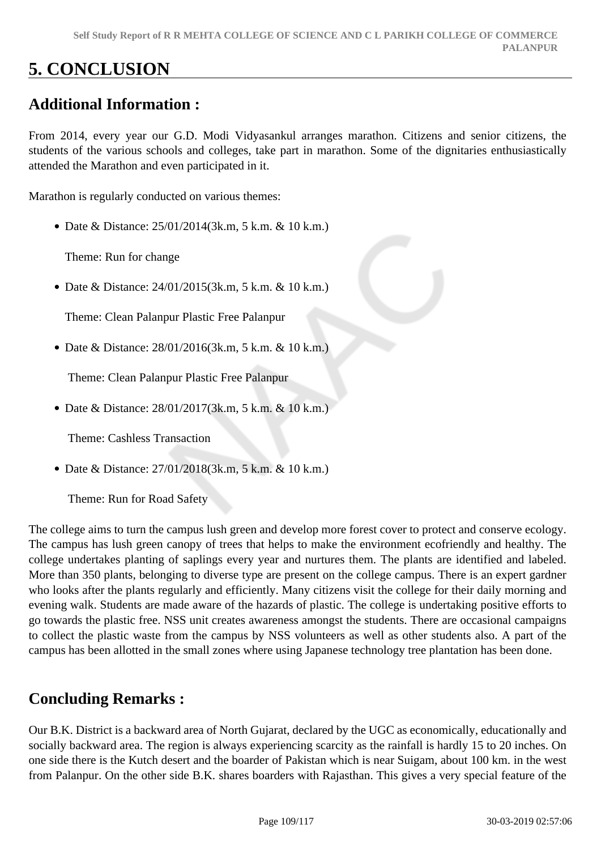# **5. CONCLUSION**

## **Additional Information :**

From 2014, every year our G.D. Modi Vidyasankul arranges marathon. Citizens and senior citizens, the students of the various schools and colleges, take part in marathon. Some of the dignitaries enthusiastically attended the Marathon and even participated in it.

Marathon is regularly conducted on various themes:

Date & Distance: 25/01/2014(3k.m, 5 k.m. & 10 k.m.)

Theme: Run for change

Date & Distance: 24/01/2015(3k.m, 5 k.m. & 10 k.m.)

Theme: Clean Palanpur Plastic Free Palanpur

Date & Distance: 28/01/2016(3k.m, 5 k.m. & 10 k.m.)

Theme: Clean Palanpur Plastic Free Palanpur

• Date & Distance: 28/01/2017(3k.m, 5 k.m. & 10 k.m.)

Theme: Cashless Transaction

Date & Distance: 27/01/2018(3k.m, 5 k.m. & 10 k.m.)

Theme: Run for Road Safety

The college aims to turn the campus lush green and develop more forest cover to protect and conserve ecology. The campus has lush green canopy of trees that helps to make the environment ecofriendly and healthy. The college undertakes planting of saplings every year and nurtures them. The plants are identified and labeled. More than 350 plants, belonging to diverse type are present on the college campus. There is an expert gardner who looks after the plants regularly and efficiently. Many citizens visit the college for their daily morning and evening walk. Students are made aware of the hazards of plastic. The college is undertaking positive efforts to go towards the plastic free. NSS unit creates awareness amongst the students. There are occasional campaigns to collect the plastic waste from the campus by NSS volunteers as well as other students also. A part of the campus has been allotted in the small zones where using Japanese technology tree plantation has been done.

### **Concluding Remarks :**

Our B.K. District is a backward area of North Gujarat, declared by the UGC as economically, educationally and socially backward area. The region is always experiencing scarcity as the rainfall is hardly 15 to 20 inches. On one side there is the Kutch desert and the boarder of Pakistan which is near Suigam, about 100 km. in the west from Palanpur. On the other side B.K. shares boarders with Rajasthan. This gives a very special feature of the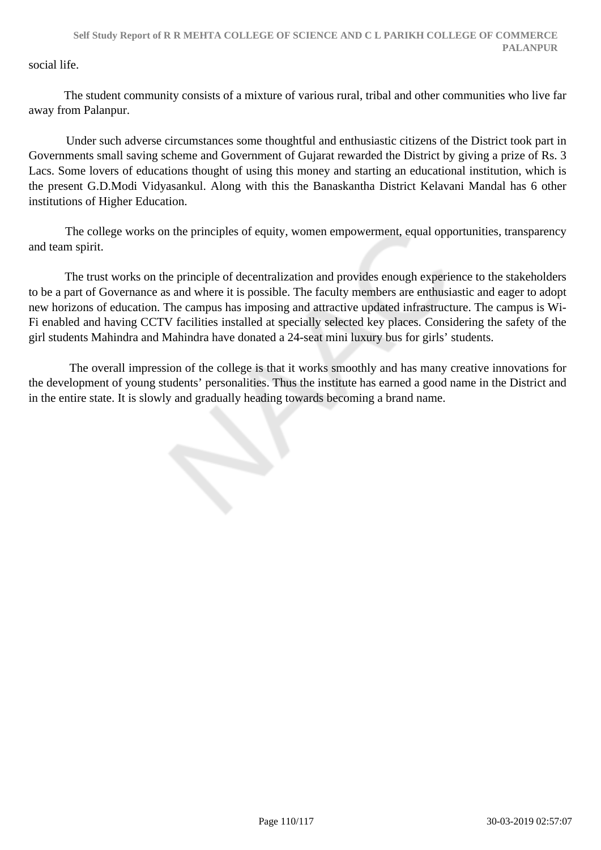social life.

 The student community consists of a mixture of various rural, tribal and other communities who live far away from Palanpur.

 Under such adverse circumstances some thoughtful and enthusiastic citizens of the District took part in Governments small saving scheme and Government of Gujarat rewarded the District by giving a prize of Rs. 3 Lacs. Some lovers of educations thought of using this money and starting an educational institution, which is the present G.D.Modi Vidyasankul. Along with this the Banaskantha District Kelavani Mandal has 6 other institutions of Higher Education.

 The college works on the principles of equity, women empowerment, equal opportunities, transparency and team spirit.

 The trust works on the principle of decentralization and provides enough experience to the stakeholders to be a part of Governance as and where it is possible. The faculty members are enthusiastic and eager to adopt new horizons of education. The campus has imposing and attractive updated infrastructure. The campus is Wi-Fi enabled and having CCTV facilities installed at specially selected key places. Considering the safety of the girl students Mahindra and Mahindra have donated a 24-seat mini luxury bus for girls' students.

 The overall impression of the college is that it works smoothly and has many creative innovations for the development of young students' personalities. Thus the institute has earned a good name in the District and in the entire state. It is slowly and gradually heading towards becoming a brand name.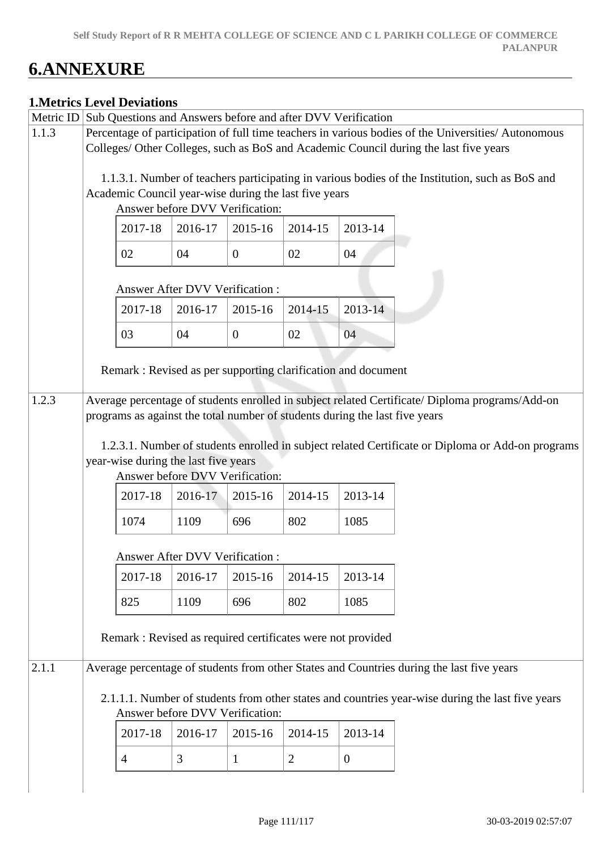# **6.ANNEXURE**

|           |                                                                                       | <b>1. Metrics Level Deviations</b>                                                                  |                                                                             |                  |                |                |                                                                                                   |  |  |  |
|-----------|---------------------------------------------------------------------------------------|-----------------------------------------------------------------------------------------------------|-----------------------------------------------------------------------------|------------------|----------------|----------------|---------------------------------------------------------------------------------------------------|--|--|--|
| Metric ID |                                                                                       |                                                                                                     | Sub Questions and Answers before and after DVV Verification                 |                  |                |                |                                                                                                   |  |  |  |
| 1.1.3     |                                                                                       | Percentage of participation of full time teachers in various bodies of the Universities/ Autonomous |                                                                             |                  |                |                |                                                                                                   |  |  |  |
|           | Colleges/ Other Colleges, such as BoS and Academic Council during the last five years |                                                                                                     |                                                                             |                  |                |                |                                                                                                   |  |  |  |
|           |                                                                                       |                                                                                                     |                                                                             |                  |                |                | 1.1.3.1. Number of teachers participating in various bodies of the Institution, such as BoS and   |  |  |  |
|           |                                                                                       |                                                                                                     | Academic Council year-wise during the last five years                       |                  |                |                |                                                                                                   |  |  |  |
|           |                                                                                       |                                                                                                     | Answer before DVV Verification:                                             |                  |                |                |                                                                                                   |  |  |  |
|           |                                                                                       | 2017-18                                                                                             | 2016-17                                                                     | 2015-16          | 2014-15        | 2013-14        |                                                                                                   |  |  |  |
|           |                                                                                       | 02                                                                                                  | 04                                                                          | $\overline{0}$   | 02             | 04             |                                                                                                   |  |  |  |
|           |                                                                                       |                                                                                                     | Answer After DVV Verification :                                             |                  |                |                |                                                                                                   |  |  |  |
|           |                                                                                       | 2017-18                                                                                             | 2016-17                                                                     | 2015-16          | 2014-15        | 2013-14        |                                                                                                   |  |  |  |
|           |                                                                                       | 03                                                                                                  | 04                                                                          | $\boldsymbol{0}$ | 02             | 04             |                                                                                                   |  |  |  |
|           |                                                                                       |                                                                                                     | Remark: Revised as per supporting clarification and document                |                  |                |                |                                                                                                   |  |  |  |
| 1.2.3     |                                                                                       |                                                                                                     | programs as against the total number of students during the last five years |                  |                |                | Average percentage of students enrolled in subject related Certificate/ Diploma programs/Add-on   |  |  |  |
|           |                                                                                       |                                                                                                     |                                                                             |                  |                |                | 1.2.3.1. Number of students enrolled in subject related Certificate or Diploma or Add-on programs |  |  |  |
|           |                                                                                       |                                                                                                     | year-wise during the last five years<br>Answer before DVV Verification:     |                  |                |                |                                                                                                   |  |  |  |
|           |                                                                                       | 2017-18                                                                                             | 2016-17                                                                     | 2015-16          | 2014-15        | 2013-14        |                                                                                                   |  |  |  |
|           |                                                                                       | 1074                                                                                                | 1109                                                                        | 696              | 802            | 1085           |                                                                                                   |  |  |  |
|           |                                                                                       |                                                                                                     | <b>Answer After DVV Verification:</b>                                       |                  |                |                |                                                                                                   |  |  |  |
|           |                                                                                       | 2017-18                                                                                             | 2016-17                                                                     | 2015-16          | 2014-15        | 2013-14        |                                                                                                   |  |  |  |
|           |                                                                                       | 825                                                                                                 | 1109                                                                        | 696              | 802            | 1085           |                                                                                                   |  |  |  |
|           |                                                                                       |                                                                                                     | Remark : Revised as required certificates were not provided                 |                  |                |                |                                                                                                   |  |  |  |
| 2.1.1     |                                                                                       |                                                                                                     |                                                                             |                  |                |                | Average percentage of students from other States and Countries during the last five years         |  |  |  |
|           |                                                                                       |                                                                                                     |                                                                             |                  |                |                | 2.1.1.1. Number of students from other states and countries year-wise during the last five years  |  |  |  |
|           |                                                                                       |                                                                                                     | Answer before DVV Verification:                                             |                  |                |                |                                                                                                   |  |  |  |
|           |                                                                                       | 2017-18                                                                                             | 2016-17                                                                     | 2015-16          | 2014-15        | 2013-14        |                                                                                                   |  |  |  |
|           |                                                                                       | $\overline{4}$                                                                                      | 3                                                                           | $\mathbf{1}$     | $\overline{2}$ | $\overline{0}$ |                                                                                                   |  |  |  |
|           |                                                                                       |                                                                                                     |                                                                             |                  |                |                |                                                                                                   |  |  |  |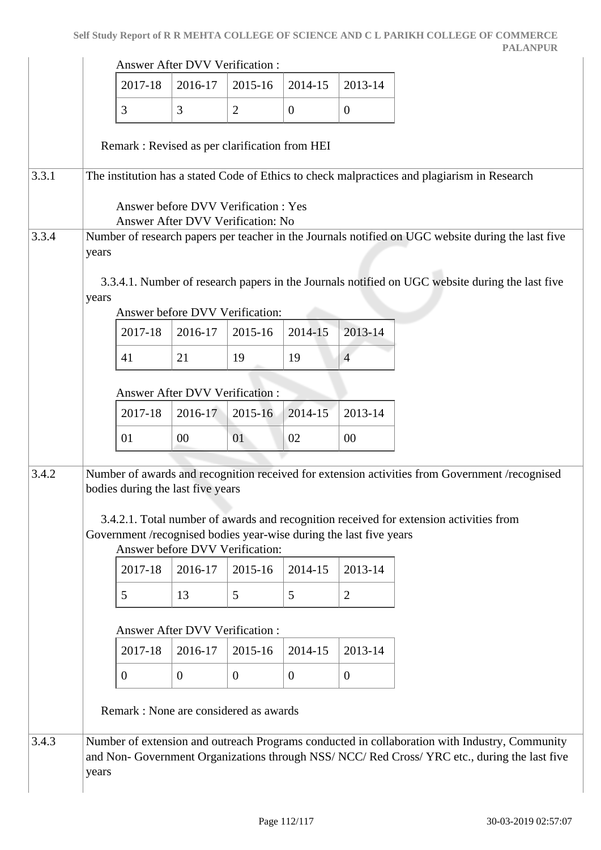|       |       |                                                                    | <b>Answer After DVV Verification:</b> |                                                                          |              |                  |                                                                                                                                                                                                |
|-------|-------|--------------------------------------------------------------------|---------------------------------------|--------------------------------------------------------------------------|--------------|------------------|------------------------------------------------------------------------------------------------------------------------------------------------------------------------------------------------|
|       |       | 2017-18                                                            | 2016-17                               | 2015-16                                                                  | 2014-15      | 2013-14          |                                                                                                                                                                                                |
|       |       | 3                                                                  | 3                                     | 2                                                                        | $\mathbf{0}$ | $\boldsymbol{0}$ |                                                                                                                                                                                                |
|       |       | Remark: Revised as per clarification from HEI                      |                                       |                                                                          |              |                  |                                                                                                                                                                                                |
| 3.3.1 |       |                                                                    |                                       |                                                                          |              |                  | The institution has a stated Code of Ethics to check malpractices and plagiarism in Research                                                                                                   |
|       |       |                                                                    |                                       | Answer before DVV Verification: Yes<br>Answer After DVV Verification: No |              |                  |                                                                                                                                                                                                |
| 3.3.4 | years |                                                                    |                                       |                                                                          |              |                  | Number of research papers per teacher in the Journals notified on UGC website during the last five                                                                                             |
|       | years |                                                                    |                                       |                                                                          |              |                  | 3.3.4.1. Number of research papers in the Journals notified on UGC website during the last five                                                                                                |
|       |       |                                                                    |                                       | Answer before DVV Verification:                                          |              |                  |                                                                                                                                                                                                |
|       |       | 2017-18                                                            | 2016-17                               | 2015-16                                                                  | 2014-15      | 2013-14          |                                                                                                                                                                                                |
|       |       | 41                                                                 | 21                                    | 19                                                                       | 19           | $\overline{4}$   |                                                                                                                                                                                                |
|       |       |                                                                    | <b>Answer After DVV Verification:</b> |                                                                          |              |                  |                                                                                                                                                                                                |
|       |       | 2017-18                                                            | 2016-17                               | 2015-16                                                                  | 2014-15      | 2013-14          |                                                                                                                                                                                                |
|       |       | 01                                                                 | 00                                    | 01                                                                       | 02           | $00\,$           |                                                                                                                                                                                                |
| 3.4.2 |       | bodies during the last five years                                  |                                       |                                                                          |              |                  | Number of awards and recognition received for extension activities from Government /recognised<br>3.4.2.1. Total number of awards and recognition received for extension activities from       |
|       |       | Government /recognised bodies year-wise during the last five years |                                       | Answer before DVV Verification:                                          |              |                  |                                                                                                                                                                                                |
|       |       | 2017-18                                                            | 2016-17                               | 2015-16                                                                  | 2014-15      | 2013-14          |                                                                                                                                                                                                |
|       |       | 5                                                                  | 13                                    | 5                                                                        | 5            | $\overline{2}$   |                                                                                                                                                                                                |
|       |       |                                                                    | Answer After DVV Verification:        |                                                                          |              |                  |                                                                                                                                                                                                |
|       |       | 2017-18                                                            | 2016-17                               | 2015-16                                                                  | 2014-15      | 2013-14          |                                                                                                                                                                                                |
|       |       | $\overline{0}$                                                     | $\overline{0}$                        | $\overline{0}$                                                           | $\mathbf{0}$ | $\mathbf{0}$     |                                                                                                                                                                                                |
|       |       | Remark : None are considered as awards                             |                                       |                                                                          |              |                  |                                                                                                                                                                                                |
| 3.4.3 | years |                                                                    |                                       |                                                                          |              |                  | Number of extension and outreach Programs conducted in collaboration with Industry, Community<br>and Non- Government Organizations through NSS/ NCC/ Red Cross/ YRC etc., during the last five |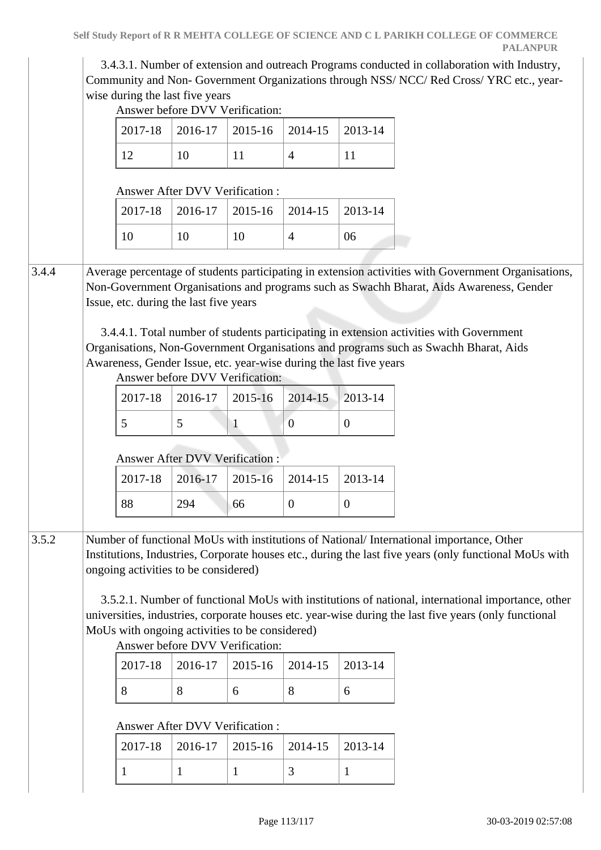3.4.3.1. Number of extension and outreach Programs conducted in collaboration with Industry, Community and Non- Government Organizations through NSS/ NCC/ Red Cross/ YRC etc., yearwise during the last five years

Answer before DVV Verification:

|       | 2017-18                                                                                                                                                                                                                                                                                                                                                                                                                                                                                           | 2016-17                                    | 2015-16 | 2014-15          | 2013-14        |                                                                                                                                                                                                                                                                                                                      |  |  |
|-------|---------------------------------------------------------------------------------------------------------------------------------------------------------------------------------------------------------------------------------------------------------------------------------------------------------------------------------------------------------------------------------------------------------------------------------------------------------------------------------------------------|--------------------------------------------|---------|------------------|----------------|----------------------------------------------------------------------------------------------------------------------------------------------------------------------------------------------------------------------------------------------------------------------------------------------------------------------|--|--|
|       | 12                                                                                                                                                                                                                                                                                                                                                                                                                                                                                                | 10                                         | 11      | $\overline{4}$   | 11             |                                                                                                                                                                                                                                                                                                                      |  |  |
|       |                                                                                                                                                                                                                                                                                                                                                                                                                                                                                                   | Answer After DVV Verification :            |         |                  |                |                                                                                                                                                                                                                                                                                                                      |  |  |
|       | 2017-18                                                                                                                                                                                                                                                                                                                                                                                                                                                                                           | 2016-17                                    | 2015-16 | 2014-15          | 2013-14        |                                                                                                                                                                                                                                                                                                                      |  |  |
|       | 10                                                                                                                                                                                                                                                                                                                                                                                                                                                                                                | 10                                         | 10      | $\overline{4}$   | 06             |                                                                                                                                                                                                                                                                                                                      |  |  |
| 3.4.4 | Average percentage of students participating in extension activities with Government Organisations,<br>Non-Government Organisations and programs such as Swachh Bharat, Aids Awareness, Gender<br>Issue, etc. during the last five years<br>3.4.4.1. Total number of students participating in extension activities with Government<br>Organisations, Non-Government Organisations and programs such as Swachh Bharat, Aids<br>Awareness, Gender Issue, etc. year-wise during the last five years |                                            |         |                  |                |                                                                                                                                                                                                                                                                                                                      |  |  |
|       | 2017-18                                                                                                                                                                                                                                                                                                                                                                                                                                                                                           | Answer before DVV Verification:<br>2016-17 | 2015-16 | 2014-15          | 2013-14        |                                                                                                                                                                                                                                                                                                                      |  |  |
|       | 5                                                                                                                                                                                                                                                                                                                                                                                                                                                                                                 | 5                                          | 1       | $\overline{0}$   | $\overline{0}$ |                                                                                                                                                                                                                                                                                                                      |  |  |
|       | 2017-18                                                                                                                                                                                                                                                                                                                                                                                                                                                                                           | Answer After DVV Verification :<br>2016-17 | 2015-16 | 2014-15          | 2013-14        |                                                                                                                                                                                                                                                                                                                      |  |  |
|       | 88                                                                                                                                                                                                                                                                                                                                                                                                                                                                                                | 294                                        | 66      | $\boldsymbol{0}$ | $\theta$       |                                                                                                                                                                                                                                                                                                                      |  |  |
|       |                                                                                                                                                                                                                                                                                                                                                                                                                                                                                                   |                                            |         |                  |                |                                                                                                                                                                                                                                                                                                                      |  |  |
| 3.5.2 | ongoing activities to be considered)<br>MoUs with ongoing activities to be considered)                                                                                                                                                                                                                                                                                                                                                                                                            |                                            |         |                  |                | Number of functional MoUs with institutions of National/International importance, Other                                                                                                                                                                                                                              |  |  |
|       | 2017-18                                                                                                                                                                                                                                                                                                                                                                                                                                                                                           | Answer before DVV Verification:<br>2016-17 | 2015-16 | 2014-15          | 2013-14        |                                                                                                                                                                                                                                                                                                                      |  |  |
|       | 8                                                                                                                                                                                                                                                                                                                                                                                                                                                                                                 | 8                                          | 6       | 8                | 6              |                                                                                                                                                                                                                                                                                                                      |  |  |
|       |                                                                                                                                                                                                                                                                                                                                                                                                                                                                                                   |                                            |         |                  |                | Institutions, Industries, Corporate houses etc., during the last five years (only functional MoUs with<br>3.5.2.1. Number of functional MoUs with institutions of national, international importance, other<br>universities, industries, corporate houses etc. year-wise during the last five years (only functional |  |  |
|       | 2017-18                                                                                                                                                                                                                                                                                                                                                                                                                                                                                           | Answer After DVV Verification :<br>2016-17 | 2015-16 | 2014-15          | 2013-14        |                                                                                                                                                                                                                                                                                                                      |  |  |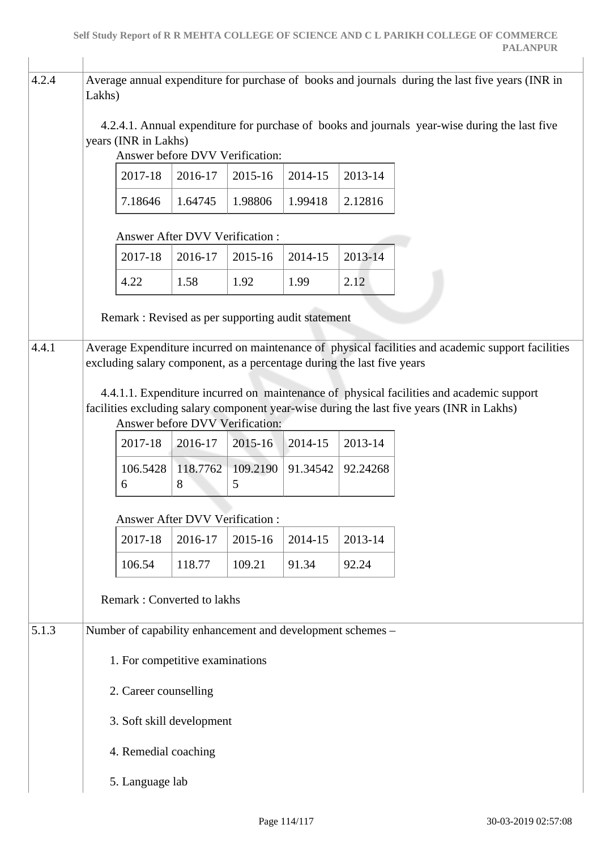| 4.2.4 | Average annual expenditure for purchase of books and journals during the last five years (INR in<br>Lakhs)                                                                                                               |                                                                        |               |               |          |          |                                                                                                    |  |  |
|-------|--------------------------------------------------------------------------------------------------------------------------------------------------------------------------------------------------------------------------|------------------------------------------------------------------------|---------------|---------------|----------|----------|----------------------------------------------------------------------------------------------------|--|--|
|       | 4.2.4.1. Annual expenditure for purchase of books and journals year-wise during the last five<br>years (INR in Lakhs)<br>Answer before DVV Verification:                                                                 |                                                                        |               |               |          |          |                                                                                                    |  |  |
|       |                                                                                                                                                                                                                          | 2017-18                                                                | 2016-17       | 2015-16       | 2014-15  | 2013-14  |                                                                                                    |  |  |
|       |                                                                                                                                                                                                                          | 7.18646                                                                | 1.64745       | 1.98806       | 1.99418  | 2.12816  |                                                                                                    |  |  |
|       |                                                                                                                                                                                                                          | <b>Answer After DVV Verification:</b>                                  |               |               |          |          |                                                                                                    |  |  |
|       |                                                                                                                                                                                                                          | 2017-18                                                                | 2016-17       | 2015-16       | 2014-15  | 2013-14  |                                                                                                    |  |  |
|       |                                                                                                                                                                                                                          | 4.22                                                                   | 1.58          | 1.92          | 1.99     | 2.12     |                                                                                                    |  |  |
|       |                                                                                                                                                                                                                          | Remark: Revised as per supporting audit statement                      |               |               |          |          |                                                                                                    |  |  |
| 4.4.1 |                                                                                                                                                                                                                          | excluding salary component, as a percentage during the last five years |               |               |          |          | Average Expenditure incurred on maintenance of physical facilities and academic support facilities |  |  |
|       | 4.4.1.1. Expenditure incurred on maintenance of physical facilities and academic support<br>facilities excluding salary component year-wise during the last five years (INR in Lakhs)<br>Answer before DVV Verification: |                                                                        |               |               |          |          |                                                                                                    |  |  |
|       |                                                                                                                                                                                                                          | 2017-18                                                                | 2016-17       | 2015-16       | 2014-15  | 2013-14  |                                                                                                    |  |  |
|       |                                                                                                                                                                                                                          | 106.5428<br>6                                                          | 118.7762<br>8 | 109.2190<br>5 | 91.34542 | 92.24268 |                                                                                                    |  |  |
|       |                                                                                                                                                                                                                          | <b>Answer After DVV Verification:</b>                                  |               |               |          |          |                                                                                                    |  |  |
|       |                                                                                                                                                                                                                          | 2017-18                                                                | 2016-17       | 2015-16       | 2014-15  | 2013-14  |                                                                                                    |  |  |
|       |                                                                                                                                                                                                                          | 106.54                                                                 | 118.77        | 109.21        | 91.34    | 92.24    |                                                                                                    |  |  |
|       |                                                                                                                                                                                                                          | <b>Remark: Converted to lakhs</b>                                      |               |               |          |          |                                                                                                    |  |  |
| 5.1.3 |                                                                                                                                                                                                                          | Number of capability enhancement and development schemes -             |               |               |          |          |                                                                                                    |  |  |
|       |                                                                                                                                                                                                                          | 1. For competitive examinations                                        |               |               |          |          |                                                                                                    |  |  |
|       |                                                                                                                                                                                                                          | 2. Career counselling                                                  |               |               |          |          |                                                                                                    |  |  |
|       |                                                                                                                                                                                                                          | 3. Soft skill development                                              |               |               |          |          |                                                                                                    |  |  |
|       |                                                                                                                                                                                                                          | 4. Remedial coaching                                                   |               |               |          |          |                                                                                                    |  |  |
|       |                                                                                                                                                                                                                          | 5. Language lab                                                        |               |               |          |          |                                                                                                    |  |  |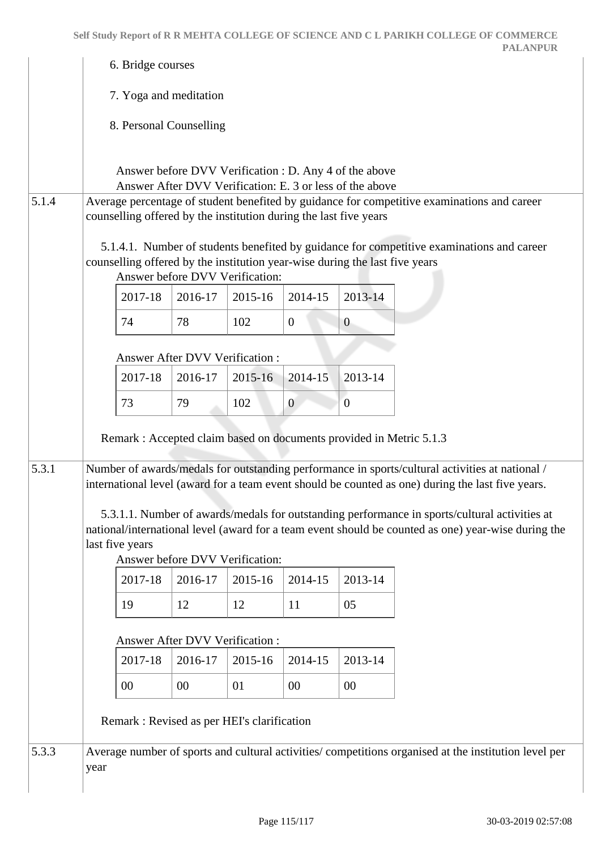|       |                                                                                                                                                                                                             | 6. Bridge courses                                                                                                  |         |                |                |                                                                                                                                                                                                      |  |  |  |
|-------|-------------------------------------------------------------------------------------------------------------------------------------------------------------------------------------------------------------|--------------------------------------------------------------------------------------------------------------------|---------|----------------|----------------|------------------------------------------------------------------------------------------------------------------------------------------------------------------------------------------------------|--|--|--|
|       | 7. Yoga and meditation                                                                                                                                                                                      |                                                                                                                    |         |                |                |                                                                                                                                                                                                      |  |  |  |
|       |                                                                                                                                                                                                             | 8. Personal Counselling                                                                                            |         |                |                |                                                                                                                                                                                                      |  |  |  |
|       |                                                                                                                                                                                                             | Answer before DVV Verification : D. Any 4 of the above<br>Answer After DVV Verification: E. 3 or less of the above |         |                |                |                                                                                                                                                                                                      |  |  |  |
| 5.1.4 | Average percentage of student benefited by guidance for competitive examinations and career<br>counselling offered by the institution during the last five years                                            |                                                                                                                    |         |                |                |                                                                                                                                                                                                      |  |  |  |
|       | 5.1.4.1. Number of students benefited by guidance for competitive examinations and career<br>counselling offered by the institution year-wise during the last five years<br>Answer before DVV Verification: |                                                                                                                    |         |                |                |                                                                                                                                                                                                      |  |  |  |
|       | 2017-18                                                                                                                                                                                                     | 2016-17                                                                                                            | 2015-16 | 2014-15        | 2013-14        |                                                                                                                                                                                                      |  |  |  |
|       | 74                                                                                                                                                                                                          | 78                                                                                                                 | 102     | $\overline{0}$ | $\overline{0}$ |                                                                                                                                                                                                      |  |  |  |
|       |                                                                                                                                                                                                             | <b>Answer After DVV Verification:</b>                                                                              |         |                |                |                                                                                                                                                                                                      |  |  |  |
|       | 2017-18                                                                                                                                                                                                     | 2016-17                                                                                                            | 2015-16 | 2014-15        | 2013-14        |                                                                                                                                                                                                      |  |  |  |
|       | 73                                                                                                                                                                                                          | 79                                                                                                                 | 102     | $\overline{0}$ | $\overline{0}$ |                                                                                                                                                                                                      |  |  |  |
|       |                                                                                                                                                                                                             | Remark : Accepted claim based on documents provided in Metric 5.1.3                                                |         |                |                |                                                                                                                                                                                                      |  |  |  |
| 5.3.1 |                                                                                                                                                                                                             |                                                                                                                    |         |                |                | Number of awards/medals for outstanding performance in sports/cultural activities at national /<br>international level (award for a team event should be counted as one) during the last five years. |  |  |  |
|       | last five years                                                                                                                                                                                             | Answer before DVV Verification:                                                                                    |         |                |                | 5.3.1.1. Number of awards/medals for outstanding performance in sports/cultural activities at<br>national/international level (award for a team event should be counted as one) year-wise during the |  |  |  |
|       | 2017-18                                                                                                                                                                                                     | 2016-17                                                                                                            | 2015-16 | 2014-15        | 2013-14        |                                                                                                                                                                                                      |  |  |  |
|       | 19                                                                                                                                                                                                          | 12                                                                                                                 | 12      | 11             | 05             |                                                                                                                                                                                                      |  |  |  |
|       |                                                                                                                                                                                                             | <b>Answer After DVV Verification:</b>                                                                              |         |                |                |                                                                                                                                                                                                      |  |  |  |
|       | 2017-18                                                                                                                                                                                                     | 2016-17                                                                                                            | 2015-16 | 2014-15        | 2013-14        |                                                                                                                                                                                                      |  |  |  |
|       | 00                                                                                                                                                                                                          | 00                                                                                                                 | 01      | $00\,$         | 00             |                                                                                                                                                                                                      |  |  |  |
|       |                                                                                                                                                                                                             | Remark : Revised as per HEI's clarification                                                                        |         |                |                |                                                                                                                                                                                                      |  |  |  |
| 5.3.3 | year                                                                                                                                                                                                        |                                                                                                                    |         |                |                | Average number of sports and cultural activities/ competitions organised at the institution level per                                                                                                |  |  |  |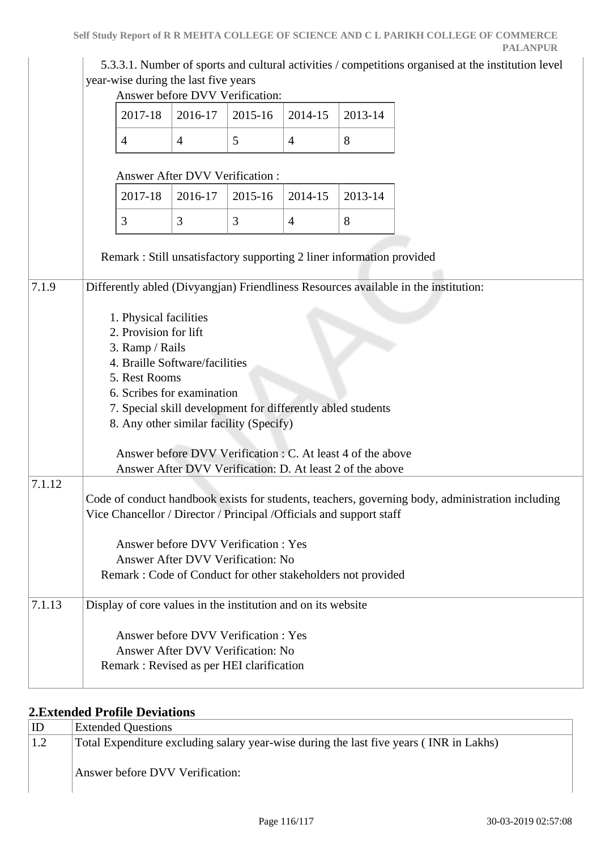|        | year-wise during the last five years                                                                                                                                                                                                                          | Answer before DVV Verification:                                                                                          |         |                |         | 5.3.3.1. Number of sports and cultural activities / competitions organised at the institution level |
|--------|---------------------------------------------------------------------------------------------------------------------------------------------------------------------------------------------------------------------------------------------------------------|--------------------------------------------------------------------------------------------------------------------------|---------|----------------|---------|-----------------------------------------------------------------------------------------------------|
|        | 2017-18                                                                                                                                                                                                                                                       | 2016-17                                                                                                                  | 2015-16 | 2014-15        | 2013-14 |                                                                                                     |
|        | $\overline{4}$                                                                                                                                                                                                                                                | $\overline{4}$                                                                                                           | 5       | $\overline{4}$ | 8       |                                                                                                     |
|        |                                                                                                                                                                                                                                                               | Answer After DVV Verification :                                                                                          |         |                |         |                                                                                                     |
|        | 2017-18                                                                                                                                                                                                                                                       | 2016-17                                                                                                                  | 2015-16 | 2014-15        | 2013-14 |                                                                                                     |
|        | 3                                                                                                                                                                                                                                                             | 3                                                                                                                        | 3       | $\overline{4}$ | 8       |                                                                                                     |
|        | Remark: Still unsatisfactory supporting 2 liner information provided                                                                                                                                                                                          |                                                                                                                          |         |                |         |                                                                                                     |
|        | 1. Physical facilities<br>2. Provision for lift<br>3. Ramp / Rails<br>4. Braille Software/facilities<br>5. Rest Rooms<br>6. Scribes for examination<br>7. Special skill development for differently abled students<br>8. Any other similar facility (Specify) | Answer before DVV Verification : C. At least 4 of the above<br>Answer After DVV Verification: D. At least 2 of the above |         |                |         |                                                                                                     |
| 7.1.12 | Vice Chancellor / Director / Principal / Officials and support staff<br>Remark : Code of Conduct for other stakeholders not provided                                                                                                                          | Answer before DVV Verification: Yes<br>Answer After DVV Verification: No                                                 |         |                |         | Code of conduct handbook exists for students, teachers, governing body, administration including    |
| 7.1.13 | Display of core values in the institution and on its website<br>Remark: Revised as per HEI clarification                                                                                                                                                      | Answer before DVV Verification: Yes<br>Answer After DVV Verification: No                                                 |         |                |         |                                                                                                     |

#### **2.Extended Profile Deviations**

| ID  | <b>Extended Questions</b>                                                                                                 |
|-----|---------------------------------------------------------------------------------------------------------------------------|
| 1.2 | Total Expenditure excluding salary year-wise during the last five years (INR in Lakhs)<br>Answer before DVV Verification: |